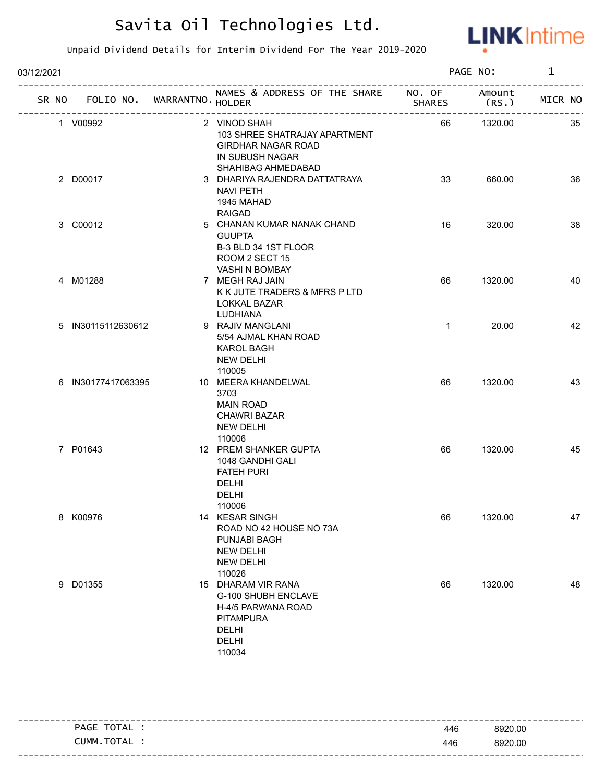

| 03/12/2021 |                                   |                                                                                                                        | PAGE NO:      |                 | $\mathbf 1$ |  |
|------------|-----------------------------------|------------------------------------------------------------------------------------------------------------------------|---------------|-----------------|-------------|--|
|            | SR NO FOLIO NO. WARRANTNO. HOLDER | NAMES & ADDRESS OF THE SHARE NO. OF                                                                                    | <b>SHARES</b> | Amount<br>(RS.) | MICR NO     |  |
|            | 1 V00992                          | 2 VINOD SHAH<br>103 SHREE SHATRAJAY APARTMENT<br><b>GIRDHAR NAGAR ROAD</b><br>IN SUBUSH NAGAR<br>SHAHIBAG AHMEDABAD    | 66            | 1320.00         | 35          |  |
|            | 2 D00017                          | 3 DHARIYA RAJENDRA DATTATRAYA<br><b>NAVI PETH</b><br>1945 MAHAD<br><b>RAIGAD</b>                                       | 33            | 660.00          | 36          |  |
|            | 3 C00012                          | 5 CHANAN KUMAR NANAK CHAND<br><b>GUUPTA</b><br>B-3 BLD 34 1ST FLOOR<br>ROOM 2 SECT 15<br>VASHI N BOMBAY                | 16            | 320.00          | 38          |  |
|            | 4 M01288                          | 7 MEGH RAJ JAIN<br>K K JUTE TRADERS & MFRS P LTD<br>LOKKAL BAZAR<br>LUDHIANA                                           | 66            | 1320.00         | 40          |  |
|            | 5 IN30115112630612                | 9 RAJIV MANGLANI<br>5/54 AJMAL KHAN ROAD<br><b>KAROL BAGH</b><br><b>NEW DELHI</b><br>110005                            | $\mathbf{1}$  | 20.00           | 42          |  |
|            | 6 IN30177417063395                | 10 MEERA KHANDELWAL<br>3703<br><b>MAIN ROAD</b><br><b>CHAWRI BAZAR</b><br><b>NEW DELHI</b><br>110006                   | 66            | 1320.00         | 43          |  |
|            | 7 P01643                          | 12 PREM SHANKER GUPTA<br>1048 GANDHI GALI<br><b>FATEH PURI</b><br><b>DELHI</b><br><b>DELHI</b><br>110006               | 66            | 1320.00         | 45          |  |
|            | 8 K00976                          | 14 KESAR SINGH<br>ROAD NO 42 HOUSE NO 73A<br>PUNJABI BAGH<br><b>NEW DELHI</b><br><b>NEW DELHI</b><br>110026            | 66            | 1320.00         | 47          |  |
|            | 9 D01355                          | 15 DHARAM VIR RANA<br>G-100 SHUBH ENCLAVE<br>H-4/5 PARWANA ROAD<br><b>PITAMPURA</b><br><b>DELHI</b><br>DELHI<br>110034 | 66            | 1320.00         | 48          |  |

| TOTAL<br>PAGE | 446 | 8920.00 |
|---------------|-----|---------|
| CUMM.TOTAL    | 446 | 8920.00 |
|               |     |         |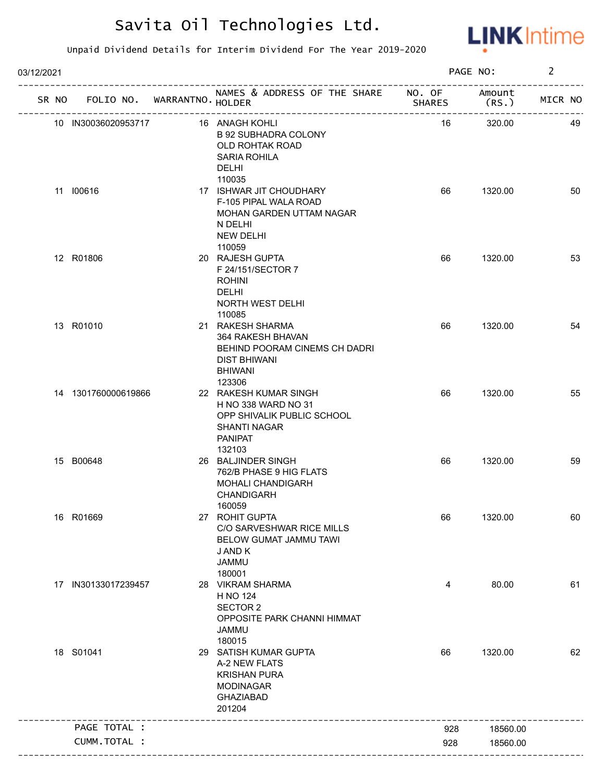

| 03/12/2021 |                     |                             |                                                                                                                               |               | PAGE NO:        | $\overline{2}$ |    |
|------------|---------------------|-----------------------------|-------------------------------------------------------------------------------------------------------------------------------|---------------|-----------------|----------------|----|
| SR NO      |                     | FOLIO NO. WARRANTNO. HOLDER | NAMES & ADDRESS OF THE SHARE NO. OF<br>--------------------------                                                             | <b>SHARES</b> | Amount<br>(RS.) | MICR NO        |    |
|            | 10 IN30036020953717 |                             | 16 ANAGH KOHLI<br><b>B 92 SUBHADRA COLONY</b><br>OLD ROHTAK ROAD<br><b>SARIA ROHILA</b><br><b>DELHI</b>                       | 16            | 320.00          |                | 49 |
|            | 11 100616           |                             | 110035<br>17 ISHWAR JIT CHOUDHARY<br>F-105 PIPAL WALA ROAD<br>MOHAN GARDEN UTTAM NAGAR<br>N DELHI<br><b>NEW DELHI</b>         | 66            | 1320.00         |                | 50 |
|            | 12 R01806           |                             | 110059<br>20 RAJESH GUPTA<br>F 24/151/SECTOR 7<br><b>ROHINI</b><br><b>DELHI</b><br>NORTH WEST DELHI<br>110085                 | 66            | 1320.00         |                | 53 |
|            | 13 R01010           |                             | 21 RAKESH SHARMA<br>364 RAKESH BHAVAN<br>BEHIND POORAM CINEMS CH DADRI<br><b>DIST BHIWANI</b><br><b>BHIWANI</b><br>123306     | 66            | 1320.00         |                | 54 |
|            | 14 1301760000619866 |                             | 22 RAKESH KUMAR SINGH<br>H NO 338 WARD NO 31<br>OPP SHIVALIK PUBLIC SCHOOL<br><b>SHANTI NAGAR</b><br><b>PANIPAT</b><br>132103 | 66            | 1320.00         |                | 55 |
|            | 15 B00648           |                             | 26 BALJINDER SINGH<br>762/B PHASE 9 HIG FLATS<br><b>MOHALI CHANDIGARH</b><br><b>CHANDIGARH</b><br>160059                      | 66            | 1320.00         |                | 59 |
|            | 16 R01669           |                             | 27 ROHIT GUPTA<br>C/O SARVESHWAR RICE MILLS<br>BELOW GUMAT JAMMU TAWI<br>J AND K<br><b>JAMMU</b><br>180001                    | 66            | 1320.00         |                | 60 |
|            | 17 IN30133017239457 |                             | 28 VIKRAM SHARMA<br>H NO 124<br><b>SECTOR 2</b><br>OPPOSITE PARK CHANNI HIMMAT<br><b>JAMMU</b><br>180015                      | 4             | 80.00           |                | 61 |
|            | 18 S01041           |                             | 29 SATISH KUMAR GUPTA<br>A-2 NEW FLATS<br><b>KRISHAN PURA</b><br><b>MODINAGAR</b><br><b>GHAZIABAD</b><br>201204               | 66            | 1320.00         |                | 62 |
|            | PAGE TOTAL :        |                             |                                                                                                                               | 928           | 18560.00        |                |    |
|            | CUMM.TOTAL :        |                             |                                                                                                                               | 928           | 18560.00        |                |    |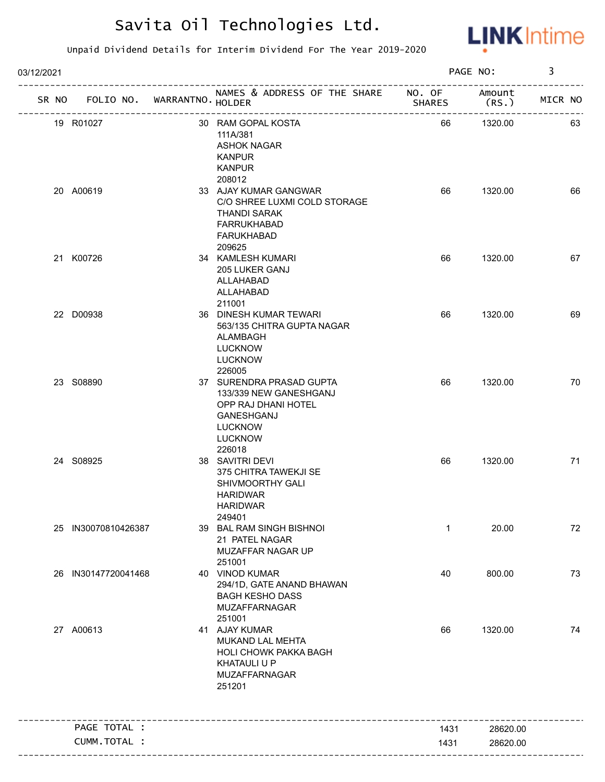

| 03/12/2021 |                             |                                                                                                                                             |               | PAGE NO:        | 3       |
|------------|-----------------------------|---------------------------------------------------------------------------------------------------------------------------------------------|---------------|-----------------|---------|
| SR NO      | FOLIO NO. WARRANTNO. HOLDER | NAMES & ADDRESS OF THE SHARE NO. OF                                                                                                         | <b>SHARES</b> | Amount<br>(RS.) | MICR NO |
|            | 19 R01027                   | 30 RAM GOPAL KOSTA<br>111A/381<br><b>ASHOK NAGAR</b><br><b>KANPUR</b><br><b>KANPUR</b>                                                      | 66            | 1320.00         | 63      |
|            | 20 A00619                   | 208012<br>33 AJAY KUMAR GANGWAR<br>C/O SHREE LUXMI COLD STORAGE<br><b>THANDI SARAK</b><br><b>FARRUKHABAD</b><br><b>FARUKHABAD</b><br>209625 | 66            | 1320.00         | 66      |
|            | 21 K00726                   | 34 KAMLESH KUMARI<br>205 LUKER GANJ<br>ALLAHABAD<br>ALLAHABAD<br>211001                                                                     | 66            | 1320.00         | 67      |
|            | 22 D00938                   | 36 DINESH KUMAR TEWARI<br>563/135 CHITRA GUPTA NAGAR<br>ALAMBAGH<br><b>LUCKNOW</b><br><b>LUCKNOW</b><br>226005                              | 66            | 1320.00         | 69      |
|            | 23 S08890                   | 37 SURENDRA PRASAD GUPTA<br>133/339 NEW GANESHGANJ<br>OPP RAJ DHANI HOTEL<br>GANESHGANJ<br><b>LUCKNOW</b><br><b>LUCKNOW</b><br>226018       | 66            | 1320.00         | 70      |
|            | 24 S08925                   | 38 SAVITRI DEVI<br>375 CHITRA TAWEKJI SE<br>SHIVMOORTHY GALI<br><b>HARIDWAR</b><br><b>HARIDWAR</b><br>249401                                | 66            | 1320.00         | 71      |
|            | 25 IN30070810426387         | 39 BAL RAM SINGH BISHNOI<br>21 PATEL NAGAR<br>MUZAFFAR NAGAR UP<br>251001                                                                   | $\mathbf{1}$  | 20.00           | 72      |
|            | 26 IN30147720041468         | 40 VINOD KUMAR<br>294/1D, GATE ANAND BHAWAN<br><b>BAGH KESHO DASS</b><br><b>MUZAFFARNAGAR</b><br>251001                                     | 40            | 800.00          | 73      |
|            | 27 A00613                   | 41 AJAY KUMAR<br>MUKAND LAL MEHTA<br>HOLI CHOWK PAKKA BAGH<br><b>KHATAULI U P</b><br>MUZAFFARNAGAR<br>251201                                | 66            | 1320.00         | 74      |
|            | PAGE TOTAL :                |                                                                                                                                             | 1431          | 28620.00        |         |
|            | CUMM.TOTAL :                |                                                                                                                                             | 1431          | 28620.00        |         |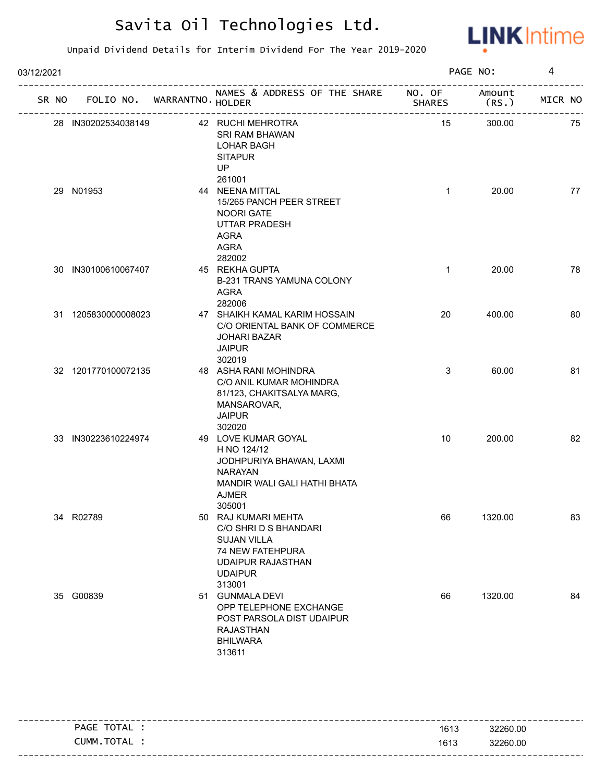

| 03/12/2021 |       |                     |                             |                                                                                                                                                |               | PAGE NO:        | 4       |
|------------|-------|---------------------|-----------------------------|------------------------------------------------------------------------------------------------------------------------------------------------|---------------|-----------------|---------|
|            | SR NO |                     | FOLIO NO. WARRANTNO. HOLDER | NAMES & ADDRESS OF THE SHARE NO. OF                                                                                                            | <b>SHARES</b> | Amount<br>(RS.) | MICR NO |
|            |       | 28 IN30202534038149 |                             | 42 RUCHI MEHROTRA<br>SRI RAM BHAWAN<br><b>LOHAR BAGH</b><br><b>SITAPUR</b><br>UP<br>261001                                                     | 15            | 300.00          | 75      |
|            |       | 29 N01953           |                             | 44 NEENA MITTAL<br>15/265 PANCH PEER STREET<br>NOORI GATE<br><b>UTTAR PRADESH</b><br><b>AGRA</b><br>AGRA<br>282002                             | $\mathbf{1}$  | 20.00           | 77      |
|            |       | 30 IN30100610067407 |                             | 45 REKHA GUPTA<br>B-231 TRANS YAMUNA COLONY<br><b>AGRA</b><br>282006                                                                           | $\mathbf{1}$  | 20.00           | 78      |
|            |       | 31 1205830000008023 |                             | 47 SHAIKH KAMAL KARIM HOSSAIN<br>C/O ORIENTAL BANK OF COMMERCE<br><b>JOHARI BAZAR</b><br><b>JAIPUR</b><br>302019                               | 20            | 400.00          | 80      |
|            |       | 32 1201770100072135 |                             | 48 ASHA RANI MOHINDRA<br>C/O ANIL KUMAR MOHINDRA<br>81/123, CHAKITSALYA MARG,<br>MANSAROVAR,<br><b>JAIPUR</b><br>302020                        | 3             | 60.00           | 81      |
|            |       | 33 IN30223610224974 |                             | 49 LOVE KUMAR GOYAL<br>H NO 124/12<br>JODHPURIYA BHAWAN, LAXMI<br><b>NARAYAN</b><br>MANDIR WALI GALI HATHI BHATA<br><b>AJMER</b><br>305001     | 10            | 200.00          | 82      |
|            |       | 34 R02789           |                             | 50 RAJ KUMARI MEHTA<br>C/O SHRI D S BHANDARI<br><b>SUJAN VILLA</b><br>74 NEW FATEHPURA<br><b>UDAIPUR RAJASTHAN</b><br><b>UDAIPUR</b><br>313001 | 66            | 1320.00         | 83      |
|            |       | 35 G00839           |                             | 51 GUNMALA DEVI<br>OPP TELEPHONE EXCHANGE<br>POST PARSOLA DIST UDAIPUR<br><b>RAJASTHAN</b><br><b>BHILWARA</b><br>313611                        | 66            | 1320.00         | 84      |

| PAGE TOTAL . | 1613 | 32260.00 |
|--------------|------|----------|
| CUMM.TOTAL   | 1613 | 32260.00 |
|              |      |          |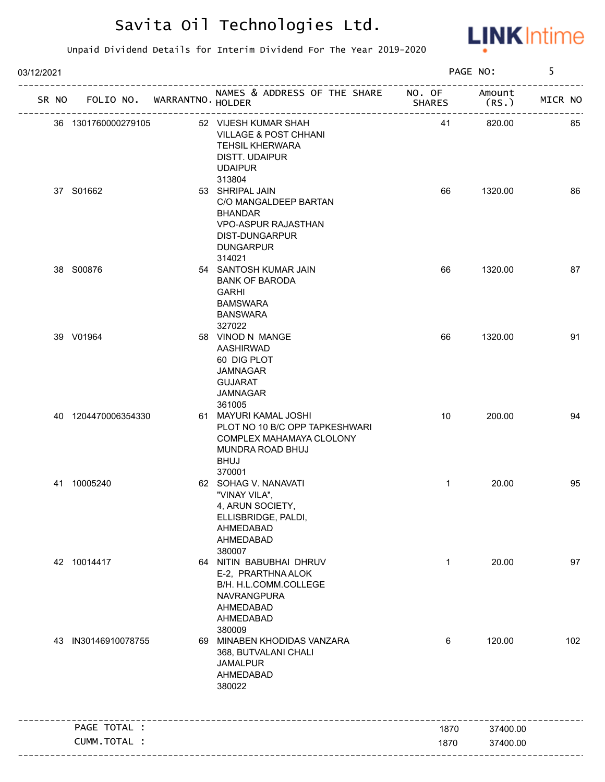

| 03/12/2021 |                     |                                   |                                                                                                                                                    |               | PAGE NO:        | 5       |
|------------|---------------------|-----------------------------------|----------------------------------------------------------------------------------------------------------------------------------------------------|---------------|-----------------|---------|
|            |                     | SR NO FOLIO NO. WARRANTNO. HOLDER | NAMES & ADDRESS OF THE SHARE NO. OF                                                                                                                | <b>SHARES</b> | Amount<br>(RS.) | MICR NO |
|            | 36 1301760000279105 |                                   | 52 VIJESH KUMAR SHAH<br><b>VILLAGE &amp; POST CHHANI</b><br><b>TEHSIL KHERWARA</b><br>DISTT. UDAIPUR<br><b>UDAIPUR</b>                             | 41            | 820.00          | 85      |
|            | 37 S01662           |                                   | 313804<br>53 SHRIPAL JAIN<br>C/O MANGALDEEP BARTAN<br><b>BHANDAR</b><br><b>VPO-ASPUR RAJASTHAN</b><br>DIST-DUNGARPUR<br><b>DUNGARPUR</b><br>314021 | 66            | 1320.00         | 86      |
|            | 38 S00876           |                                   | 54 SANTOSH KUMAR JAIN<br><b>BANK OF BARODA</b><br><b>GARHI</b><br><b>BAMSWARA</b><br><b>BANSWARA</b><br>327022                                     | 66            | 1320.00         | 87      |
|            | 39 V01964           |                                   | 58 VINOD N MANGE<br>AASHIRWAD<br>60 DIG PLOT<br>JAMNAGAR<br><b>GUJARAT</b><br>JAMNAGAR<br>361005                                                   | 66            | 1320.00         | 91      |
|            | 40 1204470006354330 |                                   | 61 MAYURI KAMAL JOSHI<br>PLOT NO 10 B/C OPP TAPKESHWARI<br>COMPLEX MAHAMAYA CLOLONY<br>MUNDRA ROAD BHUJ<br><b>BHUJ</b><br>370001                   | 10            | 200.00          | 94      |
|            | 41 10005240         |                                   | 62 SOHAG V. NANAVATI<br>"VINAY VILA",<br>4, ARUN SOCIETY,<br>ELLISBRIDGE, PALDI,<br>AHMEDABAD<br>AHMEDABAD<br>380007                               | $\mathbf{1}$  | 20.00           | 95      |
|            | 42 10014417         |                                   | 64 NITIN BABUBHAI DHRUV<br>E-2, PRARTHNA ALOK<br>B/H. H.L.COMM.COLLEGE<br>NAVRANGPURA<br>AHMEDABAD<br>AHMEDABAD<br>380009                          | $\mathbf{1}$  | 20.00           | 97      |
|            | 43 IN30146910078755 |                                   | 69 MINABEN KHODIDAS VANZARA<br>368, BUTVALANI CHALI<br><b>JAMALPUR</b><br>AHMEDABAD<br>380022                                                      | 6             | 120.00          | 102     |
|            | PAGE TOTAL :        |                                   |                                                                                                                                                    | 1870          | 37400.00        |         |
|            | CUMM.TOTAL :        |                                   |                                                                                                                                                    | 1870          | 37400.00        |         |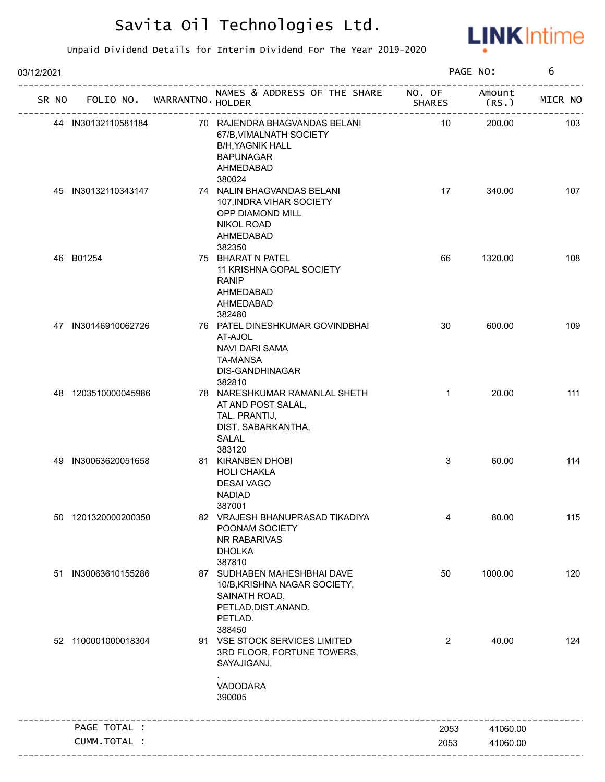

| 03/12/2021 |    |                     |                                   |                                                                                                                                  |                 | PAGE NO:       | 6       |
|------------|----|---------------------|-----------------------------------|----------------------------------------------------------------------------------------------------------------------------------|-----------------|----------------|---------|
|            |    |                     | SR NO FOLIO NO. WARRANTNO. HOLDER | NAMES & ADDRESS OF THE SHARE NO. OF                                                                                              | <b>SHARES</b>   | Amount<br>(RS. | MICR NO |
|            |    | 44 IN30132110581184 |                                   | 70 RAJENDRA BHAGVANDAS BELANI<br>67/B, VIMALNATH SOCIETY<br><b>B/H, YAGNIK HALL</b><br><b>BAPUNAGAR</b><br>AHMEDABAD             | $\overline{10}$ | 200.00         | 103     |
|            |    | 45 IN30132110343147 |                                   | 380024<br>74 NALIN BHAGVANDAS BELANI<br>107, INDRA VIHAR SOCIETY<br>OPP DIAMOND MILL<br><b>NIKOL ROAD</b><br>AHMEDABAD<br>382350 | 17              | 340.00         | 107     |
|            |    | 46 B01254           |                                   | 75 BHARAT N PATEL<br>11 KRISHNA GOPAL SOCIETY<br><b>RANIP</b><br>AHMEDABAD<br>AHMEDABAD<br>382480                                | 66              | 1320.00        | 108     |
|            |    | 47 IN30146910062726 |                                   | 76 PATEL DINESHKUMAR GOVINDBHAI<br>AT-AJOL<br>NAVI DARI SAMA<br><b>TA-MANSA</b><br>DIS-GANDHINAGAR<br>382810                     | 30              | 600.00         | 109     |
|            |    | 48 1203510000045986 |                                   | 78 NARESHKUMAR RAMANLAL SHETH<br>AT AND POST SALAL,<br>TAL. PRANTIJ,<br>DIST. SABARKANTHA,<br>SALAL                              | $\mathbf{1}$    | 20.00          | 111     |
|            | 49 | IN30063620051658    |                                   | 383120<br>81 KIRANBEN DHOBI<br><b>HOLI CHAKLA</b><br><b>DESAI VAGO</b><br><b>NADIAD</b><br>387001                                | 3               | 60.00          | 114     |
|            |    | 50 1201320000200350 |                                   | 82 VRAJESH BHANUPRASAD TIKADIYA<br>POONAM SOCIETY<br>NR RABARIVAS<br><b>DHOLKA</b><br>387810                                     | 4               | 80.00          | 115     |
|            | 51 | IN30063610155286    |                                   | 87 SUDHABEN MAHESHBHAI DAVE<br>10/B, KRISHNA NAGAR SOCIETY,<br>SAINATH ROAD,<br>PETLAD.DIST.ANAND.<br>PETLAD.<br>388450          | 50              | 1000.00        | 120     |
|            |    | 52 1100001000018304 |                                   | 91 VSE STOCK SERVICES LIMITED<br>3RD FLOOR, FORTUNE TOWERS,<br>SAYAJIGANJ,<br>VADODARA<br>390005                                 | 2               | 40.00          | 124     |
|            |    | PAGE TOTAL :        |                                   |                                                                                                                                  | 2053            | 41060.00       |         |
|            |    | CUMM.TOTAL :        |                                   |                                                                                                                                  | 2053            | 41060.00       |         |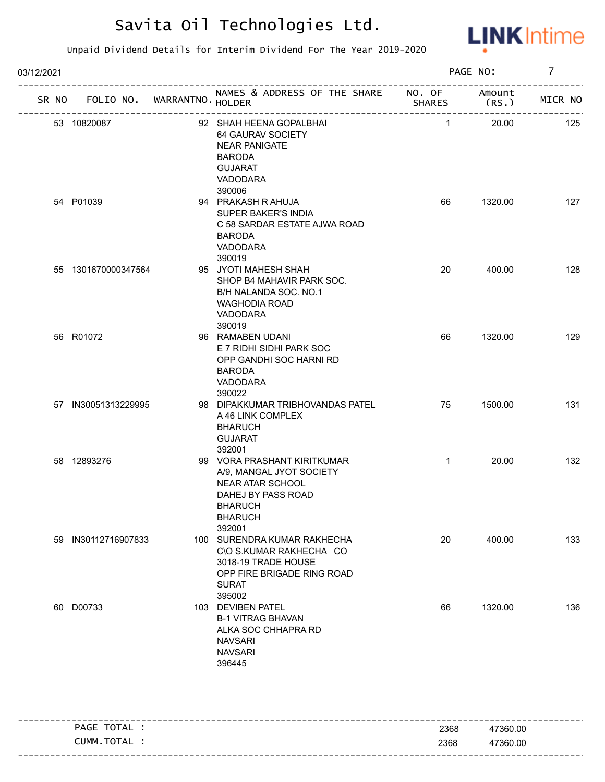

| 03/12/2021 |                     |                                   |                                                                                                                                                 |                | PAGE NO:       | $\overline{7}$ |
|------------|---------------------|-----------------------------------|-------------------------------------------------------------------------------------------------------------------------------------------------|----------------|----------------|----------------|
|            |                     | SR NO FOLIO NO. WARRANTNO. HOLDER | NAMES & ADDRESS OF THE SHARE NO. OF                                                                                                             | <b>SHARES</b>  | Amount<br>(RS. | MICR NO        |
|            | 53 10820087         |                                   | 92 SHAH HEENA GOPALBHAI<br>64 GAURAV SOCIETY<br><b>NEAR PANIGATE</b><br><b>BARODA</b><br><b>GUJARAT</b><br>VADODARA<br>390006                   | $\overline{1}$ | 20.00          | 125            |
|            | 54 P01039           |                                   | 94 PRAKASH R AHUJA<br>SUPER BAKER'S INDIA<br>C 58 SARDAR ESTATE AJWA ROAD<br><b>BARODA</b><br>VADODARA<br>390019                                | 66             | 1320.00        | 127            |
|            | 55 1301670000347564 |                                   | 95 JYOTI MAHESH SHAH<br>SHOP B4 MAHAVIR PARK SOC.<br>B/H NALANDA SOC. NO.1<br><b>WAGHODIA ROAD</b><br>VADODARA<br>390019                        | 20             | 400.00         | 128            |
|            | 56 R01072           |                                   | 96 RAMABEN UDANI<br>E 7 RIDHI SIDHI PARK SOC<br>OPP GANDHI SOC HARNI RD<br><b>BARODA</b><br>VADODARA<br>390022                                  | 66             | 1320.00        | 129            |
|            | 57 IN30051313229995 |                                   | 98 DIPAKKUMAR TRIBHOVANDAS PATEL<br>A 46 LINK COMPLEX<br><b>BHARUCH</b><br><b>GUJARAT</b><br>392001                                             | 75             | 1500.00        | 131            |
|            | 58 12893276         |                                   | 99 VORA PRASHANT KIRITKUMAR<br>A/9, MANGAL JYOT SOCIETY<br>NEAR ATAR SCHOOL<br>DAHEJ BY PASS ROAD<br><b>BHARUCH</b><br><b>BHARUCH</b><br>392001 | $\mathbf{1}$   | 20.00          | 132            |
|            | 59 IN30112716907833 |                                   | 100 SURENDRA KUMAR RAKHECHA<br>C\O S.KUMAR RAKHECHA CO<br>3018-19 TRADE HOUSE<br>OPP FIRE BRIGADE RING ROAD<br><b>SURAT</b><br>395002           | 20             | 400.00         | 133            |
|            | 60 D00733           |                                   | 103 DEVIBEN PATEL<br><b>B-1 VITRAG BHAVAN</b><br>ALKA SOC CHHAPRA RD<br><b>NAVSARI</b><br><b>NAVSARI</b><br>396445                              | 66             | 1320.00        | 136            |

| PAGE TOTAL | 2368 | 47360.00 |
|------------|------|----------|
| CUMM.TOTAL | 2368 | 47360.00 |
|            |      |          |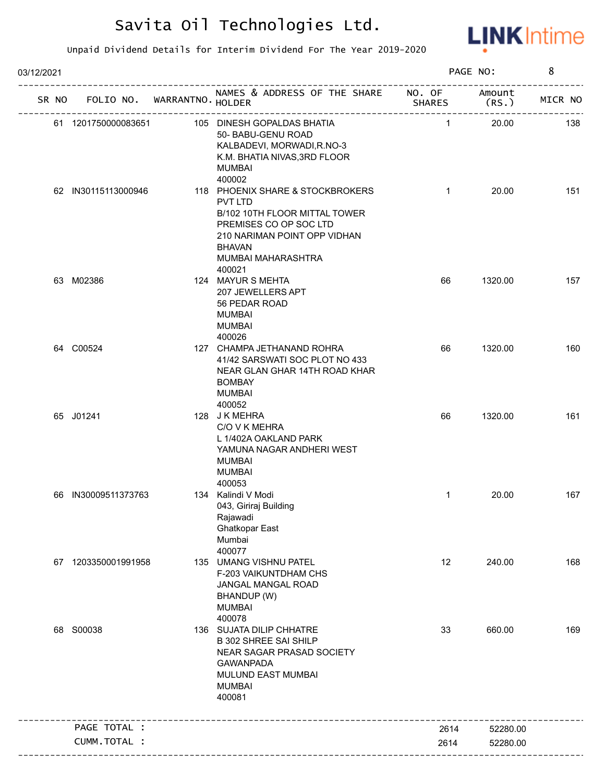

| 03/12/2021 |       |                     |                            |                                                                                                                                                                                         |                         | PAGE NO:        | 8       |
|------------|-------|---------------------|----------------------------|-----------------------------------------------------------------------------------------------------------------------------------------------------------------------------------------|-------------------------|-----------------|---------|
|            | SR NO |                     | FOLIO NO. WARRANTNO HOLDER | NAMES & ADDRESS OF THE SHARE                                                                                                                                                            | NO. OF<br><b>SHARES</b> | Amount<br>(RS.) | MICR NO |
|            |       | 61 1201750000083651 |                            | 105 DINESH GOPALDAS BHATIA<br>50- BABU-GENU ROAD<br>KALBADEVI, MORWADI, R.NO-3<br>K.M. BHATIA NIVAS, 3RD FLOOR<br><b>MUMBAI</b><br>400002                                               | $\mathbf{1}$            | 20.00           | 138     |
|            |       | 62 IN30115113000946 |                            | 118 PHOENIX SHARE & STOCKBROKERS<br>PVT LTD<br>B/102 10TH FLOOR MITTAL TOWER<br>PREMISES CO OP SOC LTD<br>210 NARIMAN POINT OPP VIDHAN<br><b>BHAVAN</b><br>MUMBAI MAHARASHTRA<br>400021 | $\mathbf{1}$            | 20.00           | 151     |
|            |       | 63 M02386           |                            | 124 MAYUR S MEHTA<br>207 JEWELLERS APT<br>56 PEDAR ROAD<br><b>MUMBAI</b><br><b>MUMBAI</b><br>400026                                                                                     | 66                      | 1320.00         | 157     |
|            |       | 64 C00524           |                            | 127 CHAMPA JETHANAND ROHRA<br>41/42 SARSWATI SOC PLOT NO 433<br>NEAR GLAN GHAR 14TH ROAD KHAR<br><b>BOMBAY</b><br><b>MUMBAI</b><br>400052                                               | 66                      | 1320.00         | 160     |
|            |       | 65 J01241           |                            | 128 JK MEHRA<br>C/O V K MEHRA<br>L 1/402A OAKLAND PARK<br>YAMUNA NAGAR ANDHERI WEST<br><b>MUMBAI</b><br><b>MUMBAI</b><br>400053                                                         | 66                      | 1320.00         | 161     |
|            | 66    | IN30009511373763    |                            | 134 Kalindi V Modi<br>043, Giriraj Building<br>Rajawadi<br>Ghatkopar East<br>Mumbai<br>400077                                                                                           | $\mathbf{1}$            | 20.00           | 167     |
|            |       | 67 1203350001991958 |                            | 135 UMANG VISHNU PATEL<br>F-203 VAIKUNTDHAM CHS<br>JANGAL MANGAL ROAD<br>BHANDUP (W)<br><b>MUMBAI</b><br>400078                                                                         | 12                      | 240.00          | 168     |
|            |       | 68 S00038           |                            | 136 SUJATA DILIP CHHATRE<br><b>B 302 SHREE SAI SHILP</b><br>NEAR SAGAR PRASAD SOCIETY<br><b>GAWANPADA</b><br>MULUND EAST MUMBAI<br><b>MUMBAI</b><br>400081                              | 33                      | 660.00          | 169     |
|            |       | PAGE TOTAL :        |                            |                                                                                                                                                                                         | 2614                    | 52280.00        |         |
|            |       | CUMM.TOTAL :        |                            |                                                                                                                                                                                         | 2614                    | 52280.00        |         |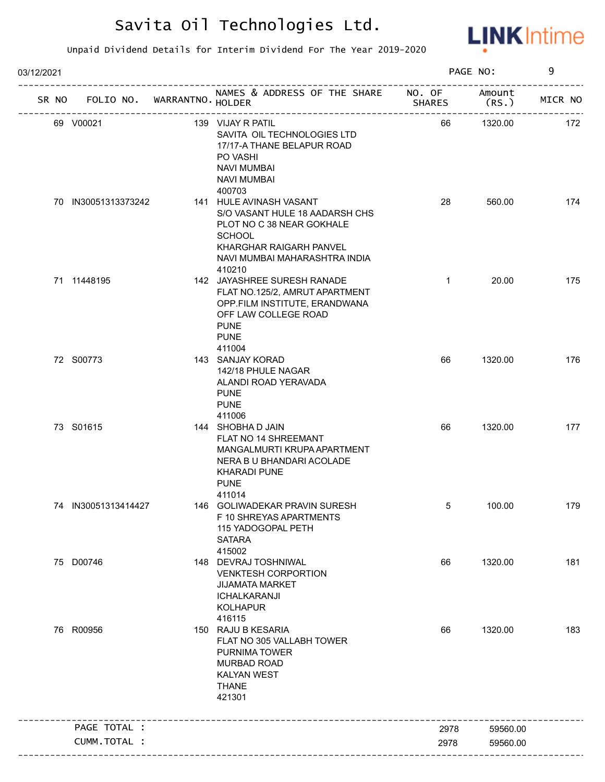

| 03/12/2021 |                             |                                                                                                                                                                               |                         | PAGE NO:        | 9       |
|------------|-----------------------------|-------------------------------------------------------------------------------------------------------------------------------------------------------------------------------|-------------------------|-----------------|---------|
| SR NO      | FOLIO NO. WARRANTNO. HOLDER | NAMES & ADDRESS OF THE SHARE                                                                                                                                                  | NO. OF<br><b>SHARES</b> | Amount<br>(RS.) | MICR NO |
|            | 69 V00021                   | 139 VIJAY R PATIL<br>SAVITA OIL TECHNOLOGIES LTD<br>17/17-A THANE BELAPUR ROAD<br>PO VASHI<br><b>NAVI MUMBAI</b><br><b>NAVI MUMBAI</b><br>400703                              | 66                      | 1320.00         | 172     |
|            | 70 IN30051313373242         | 141 HULE AVINASH VASANT<br>S/O VASANT HULE 18 AADARSH CHS<br>PLOT NO C 38 NEAR GOKHALE<br><b>SCHOOL</b><br>KHARGHAR RAIGARH PANVEL<br>NAVI MUMBAI MAHARASHTRA INDIA<br>410210 | 28                      | 560.00          | 174     |
|            | 71 11448195                 | 142 JAYASHREE SURESH RANADE<br>FLAT NO.125/2, AMRUT APARTMENT<br>OPP.FILM INSTITUTE, ERANDWANA<br>OFF LAW COLLEGE ROAD<br><b>PUNE</b><br><b>PUNE</b><br>411004                | $\mathbf{1}$            | 20.00           | 175     |
|            | 72 S00773                   | 143 SANJAY KORAD<br>142/18 PHULE NAGAR<br>ALANDI ROAD YERAVADA<br><b>PUNE</b><br><b>PUNE</b><br>411006                                                                        | 66                      | 1320.00         | 176     |
|            | 73 S01615                   | 144 SHOBHA D JAIN<br>FLAT NO 14 SHREEMANT<br>MANGALMURTI KRUPA APARTMENT<br>NERA B U BHANDARI ACOLADE<br><b>KHARADI PUNE</b><br><b>PUNE</b><br>411014                         | 66                      | 1320.00         | 177     |
|            | 74 IN30051313414427         | 146 GOLIWADEKAR PRAVIN SURESH<br>F 10 SHREYAS APARTMENTS<br>115 YADOGOPAL PETH<br><b>SATARA</b><br>415002                                                                     | 5                       | 100.00          | 179     |
|            | 75 D00746                   | 148 DEVRAJ TOSHNIWAL<br><b>VENKTESH CORPORTION</b><br><b>JIJAMATA MARKET</b><br>ICHALKARANJI<br><b>KOLHAPUR</b><br>416115                                                     | 66                      | 1320.00         | 181     |
|            | 76 R00956                   | 150 RAJU B KESARIA<br>FLAT NO 305 VALLABH TOWER<br>PURNIMA TOWER<br><b>MURBAD ROAD</b><br><b>KALYAN WEST</b><br><b>THANE</b><br>421301                                        | 66                      | 1320.00         | 183     |
|            | PAGE TOTAL :                |                                                                                                                                                                               | 2978                    | 59560.00        |         |
|            | CUMM.TOTAL :                |                                                                                                                                                                               | 2978                    | 59560.00        |         |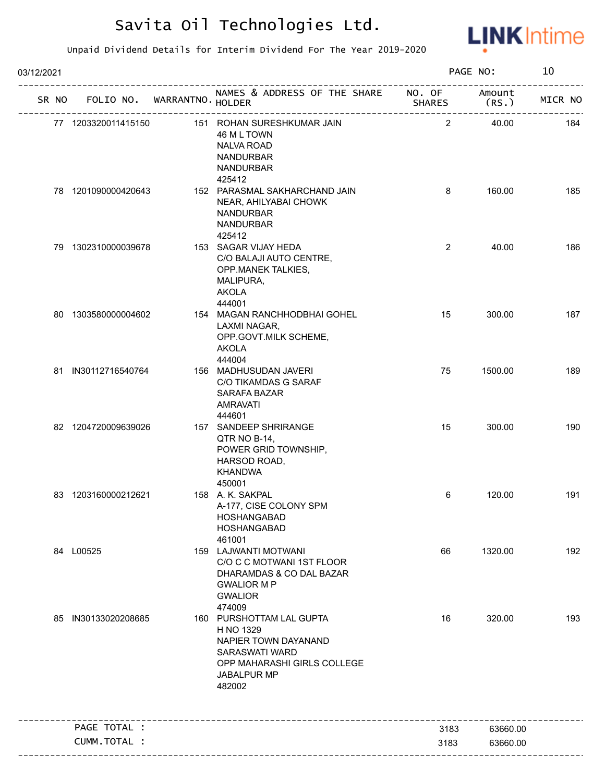

| 03/12/2021 |                     |                                   |                                                                                                                                                |                | PAGE NO:        | 10      |
|------------|---------------------|-----------------------------------|------------------------------------------------------------------------------------------------------------------------------------------------|----------------|-----------------|---------|
|            |                     | SR NO FOLIO NO. WARRANTNO. HOLDER | NAMES & ADDRESS OF THE SHARE NO. OF<br>SHAR<br>------------------------------                                                                  | <b>SHARES</b>  | Amount<br>(RS.) | MICR NO |
|            | 77 1203320011415150 |                                   | 151 ROHAN SURESHKUMAR JAIN<br>46 M L TOWN<br><b>NALVA ROAD</b><br><b>NANDURBAR</b><br><b>NANDURBAR</b>                                         | $\overline{2}$ | 40.00           | 184     |
|            | 78 1201090000420643 |                                   | 425412<br>152 PARASMAL SAKHARCHAND JAIN<br>NEAR, AHILYABAI CHOWK<br><b>NANDURBAR</b><br><b>NANDURBAR</b><br>425412                             | 8              | 160.00          | 185     |
|            | 79 1302310000039678 |                                   | 153 SAGAR VIJAY HEDA<br>C/O BALAJI AUTO CENTRE,<br>OPP.MANEK TALKIES,<br>MALIPURA,<br><b>AKOLA</b><br>444001                                   | $\overline{2}$ | 40.00           | 186     |
|            | 80 1303580000004602 |                                   | 154 MAGAN RANCHHODBHAI GOHEL<br>LAXMI NAGAR,<br>OPP.GOVT.MILK SCHEME,<br><b>AKOLA</b><br>444004                                                | 15             | 300.00          | 187     |
|            | 81 IN30112716540764 |                                   | 156 MADHUSUDAN JAVERI<br>C/O TIKAMDAS G SARAF<br>SARAFA BAZAR<br><b>AMRAVATI</b><br>444601                                                     | 75             | 1500.00         | 189     |
|            | 82 1204720009639026 |                                   | 157 SANDEEP SHRIRANGE<br>QTR NO B-14,<br>POWER GRID TOWNSHIP,<br>HARSOD ROAD,<br><b>KHANDWA</b><br>450001                                      | 15             | 300.00          | 190     |
|            | 83 1203160000212621 |                                   | 158 A. K. SAKPAL<br>A-177, CISE COLONY SPM<br>HOSHANGABAD<br><b>HOSHANGABAD</b><br>461001                                                      | 6              | 120.00          | 191     |
|            | 84 L00525           |                                   | 159 LAJWANTI MOTWANI<br>C/O C C MOTWANI 1ST FLOOR<br>DHARAMDAS & CO DAL BAZAR<br><b>GWALIOR MP</b><br><b>GWALIOR</b><br>474009                 | 66             | 1320.00         | 192     |
|            | 85 IN30133020208685 |                                   | 160 PURSHOTTAM LAL GUPTA<br>H NO 1329<br>NAPIER TOWN DAYANAND<br><b>SARASWATI WARD</b><br>OPP MAHARASHI GIRLS COLLEGE<br>JABALPUR MP<br>482002 | 16             | 320.00          | 193     |
|            | PAGE TOTAL :        |                                   |                                                                                                                                                | 3183           | 63660.00        |         |
|            | CUMM.TOTAL :        |                                   |                                                                                                                                                | 3183           | 63660.00        |         |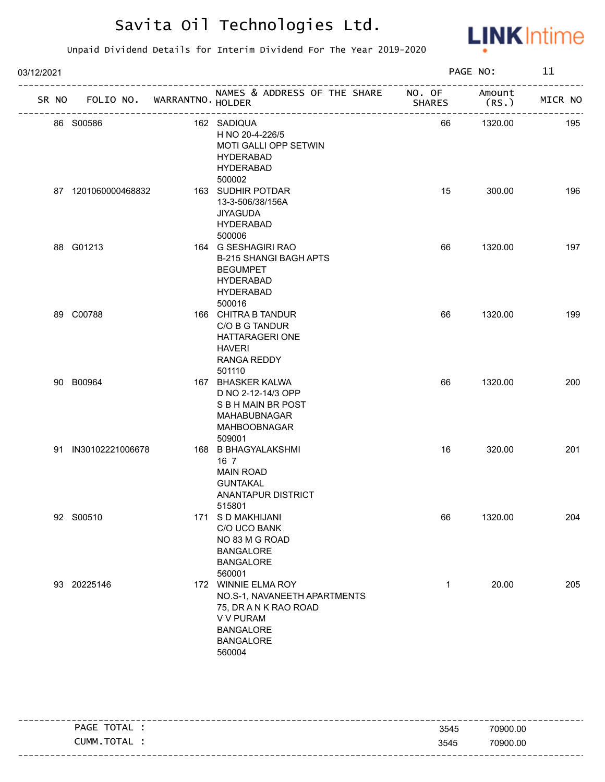

| 03/12/2021 |                     |                             |                                                                                                                                             |                         | PAGE NO:        | 11      |
|------------|---------------------|-----------------------------|---------------------------------------------------------------------------------------------------------------------------------------------|-------------------------|-----------------|---------|
| SR NO      |                     | FOLIO NO. WARRANTNO. HOLDER | NAMES & ADDRESS OF THE SHARE                                                                                                                | NO. OF<br><b>SHARES</b> | Amount<br>(RS.) | MICR NO |
|            | 86 S00586           |                             | 162 SADIQUA<br>H NO 20-4-226/5<br>MOTI GALLI OPP SETWIN<br><b>HYDERABAD</b><br><b>HYDERABAD</b><br>500002                                   | 66                      | 1320.00         | 195     |
|            | 87 1201060000468832 |                             | 163 SUDHIR POTDAR<br>13-3-506/38/156A<br><b>JIYAGUDA</b><br><b>HYDERABAD</b><br>500006                                                      | 15                      | 300.00          | 196     |
|            | 88 G01213           |                             | 164 G SESHAGIRI RAO<br><b>B-215 SHANGI BAGH APTS</b><br><b>BEGUMPET</b><br><b>HYDERABAD</b><br><b>HYDERABAD</b><br>500016                   | 66                      | 1320.00         | 197     |
|            | 89 C00788           |                             | 166 CHITRA B TANDUR<br>C/O B G TANDUR<br>HATTARAGERI ONE<br><b>HAVERI</b><br>RANGA REDDY<br>501110                                          | 66                      | 1320.00         | 199     |
|            | 90 B00964           |                             | 167 BHASKER KALWA<br>D NO 2-12-14/3 OPP<br>S B H MAIN BR POST<br>MAHABUBNAGAR<br>MAHBOOBNAGAR<br>509001                                     | 66                      | 1320.00         | 200     |
|            | 91 IN30102221006678 |                             | 168 B BHAGYALAKSHMI<br>16 <sub>7</sub><br><b>MAIN ROAD</b><br><b>GUNTAKAL</b><br><b>ANANTAPUR DISTRICT</b><br>515801                        | 16                      | 320.00          | 201     |
|            | 92 S00510           |                             | 171 S D MAKHIJANI<br>C/O UCO BANK<br>NO 83 M G ROAD<br><b>BANGALORE</b><br><b>BANGALORE</b><br>560001                                       | 66                      | 1320.00         | 204     |
|            | 93 20225146         |                             | 172 WINNIE ELMA ROY<br>NO.S-1, NAVANEETH APARTMENTS<br>75, DR A N K RAO ROAD<br>V V PURAM<br><b>BANGALORE</b><br><b>BANGALORE</b><br>560004 | 1                       | 20.00           | 205     |

| TOTAL<br>PAGE | 3545 | 70900.00 |
|---------------|------|----------|
| CUMM.TOTAL    | 3545 | 70900.00 |
|               |      |          |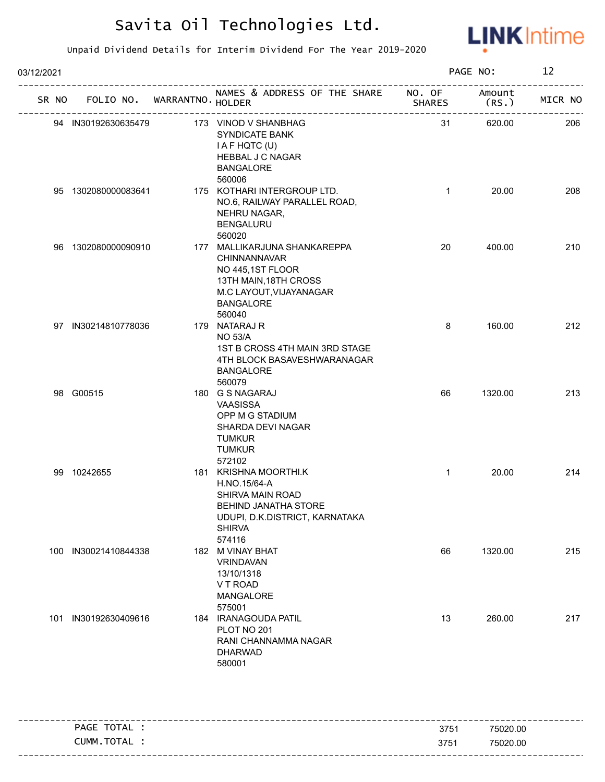

| 03/12/2021 |                      |  |                                   |                                                                                                                                                       | PAGE NO:      | 12              |         |
|------------|----------------------|--|-----------------------------------|-------------------------------------------------------------------------------------------------------------------------------------------------------|---------------|-----------------|---------|
|            |                      |  | SR NO FOLIO NO. WARRANTNO. HOLDER | NAMES & ADDRESS OF THE SHARE NO. OF<br>___________________________                                                                                    | <b>SHARES</b> | Amount<br>(RS.) | MICR NO |
|            | 94 IN30192630635479  |  |                                   | 173 VINOD V SHANBHAG<br>SYNDICATE BANK<br>I A F HQTC (U)<br><b>HEBBAL J C NAGAR</b><br><b>BANGALORE</b><br>560006                                     | 31            | 620.00          | 206     |
|            | 95 1302080000083641  |  |                                   | 175 KOTHARI INTERGROUP LTD.<br>NO.6, RAILWAY PARALLEL ROAD,<br>NEHRU NAGAR,<br><b>BENGALURU</b><br>560020                                             | $\mathbf{1}$  | 20.00           | 208     |
|            | 96 1302080000090910  |  |                                   | 177 MALLIKARJUNA SHANKAREPPA<br>CHINNANNAVAR<br>NO 445,1ST FLOOR<br>13TH MAIN, 18TH CROSS<br>M.C LAYOUT, VIJAYANAGAR<br><b>BANGALORE</b><br>560040    | 20            | 400.00          | 210     |
|            | 97 IN30214810778036  |  |                                   | 179 NATARAJ R<br><b>NO 53/A</b><br>1ST B CROSS 4TH MAIN 3RD STAGE<br>4TH BLOCK BASAVESHWARANAGAR<br><b>BANGALORE</b><br>560079                        | 8             | 160.00          | 212     |
|            | 98 G00515            |  |                                   | 180 G S NAGARAJ<br>VAASISSA<br>OPP M G STADIUM<br>SHARDA DEVI NAGAR<br><b>TUMKUR</b><br><b>TUMKUR</b><br>572102                                       | 66            | 1320.00         | 213     |
|            | 99 10242655          |  |                                   | 181 KRISHNA MOORTHI.K<br>H.NO.15/64-A<br>SHIRVA MAIN ROAD<br><b>BEHIND JANATHA STORE</b><br>UDUPI, D.K.DISTRICT, KARNATAKA<br><b>SHIRVA</b><br>574116 | $\mathbf{1}$  | 20.00           | 214     |
|            | 100 IN30021410844338 |  |                                   | 182 M VINAY BHAT<br>VRINDAVAN<br>13/10/1318<br>V T ROAD<br><b>MANGALORE</b><br>575001                                                                 | 66            | 1320.00         | 215     |
|            | 101 IN30192630409616 |  |                                   | 184 IRANAGOUDA PATIL<br>PLOT NO 201<br>RANI CHANNAMMA NAGAR<br><b>DHARWAD</b><br>580001                                                               | 13            | 260.00          | 217     |

|                |                  | ----------------------- |
|----------------|------------------|-------------------------|
| TOTAL<br>PAGE  | 375 <sup>1</sup> | 75020.00                |
| TOTAL<br>CUMM. | 3751             | 75020.00                |
|                |                  |                         |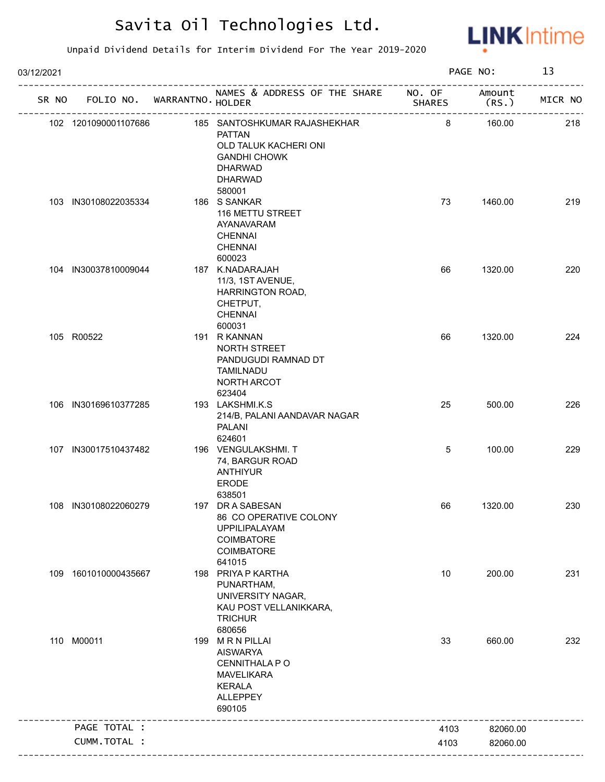

| 03/12/2021 |                             |                                                                                                                                             |                         | PAGE NO:        | 13      |
|------------|-----------------------------|---------------------------------------------------------------------------------------------------------------------------------------------|-------------------------|-----------------|---------|
| SR NO      | FOLIO NO. WARRANTNO. HOLDER | NAMES & ADDRESS OF THE SHARE                                                                                                                | NO. OF<br><b>SHARES</b> | Amount<br>(RS.) | MICR NO |
|            | 102 1201090001107686        | 185 SANTOSHKUMAR RAJASHEKHAR<br><b>PATTAN</b><br>OLD TALUK KACHERI ONI<br><b>GANDHI CHOWK</b><br><b>DHARWAD</b><br><b>DHARWAD</b><br>580001 | 8                       | 160.00          | 218     |
|            | 103 IN30108022035334        | 186 S SANKAR<br>116 METTU STREET<br>AYANAVARAM<br><b>CHENNAI</b><br><b>CHENNAI</b><br>600023                                                | 73                      | 1460.00         | 219     |
|            | 104 IN30037810009044        | 187 K.NADARAJAH<br>11/3, 1ST AVENUE,<br>HARRINGTON ROAD,<br>CHETPUT,<br><b>CHENNAI</b><br>600031                                            | 66                      | 1320.00         | 220     |
|            | 105 R00522                  | 191 R KANNAN<br>NORTH STREET<br>PANDUGUDI RAMNAD DT<br><b>TAMILNADU</b><br>NORTH ARCOT<br>623404                                            | 66                      | 1320.00         | 224     |
|            | 106 IN30169610377285        | 193 LAKSHMI.K.S<br>214/B, PALANI AANDAVAR NAGAR<br>PALANI<br>624601                                                                         | 25                      | 500.00          | 226     |
|            | 107 IN30017510437482        | 196 VENGULAKSHMI. T<br>74, BARGUR ROAD<br><b>ANTHIYUR</b><br>ERODE<br>638501                                                                | 5                       | 100.00          | 229     |
|            | 108 IN30108022060279        | 197 DR A SABESAN<br>86 CO OPERATIVE COLONY<br><b>UPPILIPALAYAM</b><br>COIMBATORE<br>COIMBATORE<br>641015                                    | 66                      | 1320.00         | 230     |
|            | 109 1601010000435667        | 198 PRIYA P KARTHA<br>PUNARTHAM,<br>UNIVERSITY NAGAR,<br>KAU POST VELLANIKKARA,<br><b>TRICHUR</b><br>680656                                 | 10                      | 200.00          | 231     |
|            | 110 M00011                  | 199 MRN PILLAI<br><b>AISWARYA</b><br>CENNITHALA P O<br><b>MAVELIKARA</b><br><b>KERALA</b><br><b>ALLEPPEY</b><br>690105                      | 33                      | 660.00          | 232     |
|            | PAGE TOTAL :                |                                                                                                                                             | 4103                    | 82060.00        |         |
|            | CUMM.TOTAL :                |                                                                                                                                             | 4103                    | 82060.00        |         |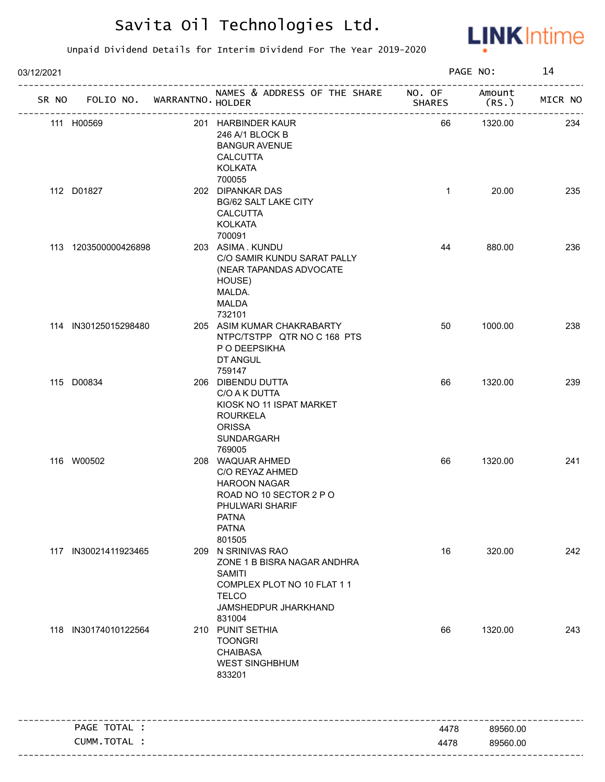

| 03/12/2021 |                                   |  | PAGE NO:                                                                                                                                            | 14            |                 |         |
|------------|-----------------------------------|--|-----------------------------------------------------------------------------------------------------------------------------------------------------|---------------|-----------------|---------|
|            | SR NO FOLIO NO. WARRANTNO. HOLDER |  | NAMES & ADDRESS OF THE SHARE NO. OF                                                                                                                 | <b>SHARES</b> | Amount<br>(RS.) | MICR NO |
|            | 111 H00569                        |  | 201 HARBINDER KAUR<br>246 A/1 BLOCK B<br><b>BANGUR AVENUE</b><br><b>CALCUTTA</b><br><b>KOLKATA</b>                                                  | 66            | 1320.00         | 234     |
|            | 112 D01827                        |  | 700055<br>202 DIPANKAR DAS<br><b>BG/62 SALT LAKE CITY</b><br><b>CALCUTTA</b><br><b>KOLKATA</b>                                                      | $\mathbf{1}$  | 20.00           | 235     |
|            | 113 1203500000426898              |  | 700091<br>203 ASIMA. KUNDU<br>C/O SAMIR KUNDU SARAT PALLY<br>(NEAR TAPANDAS ADVOCATE<br>HOUSE)<br>MALDA.<br><b>MALDA</b><br>732101                  | 44            | 880.00          | 236     |
|            | 114 IN30125015298480              |  | 205 ASIM KUMAR CHAKRABARTY<br>NTPC/TSTPP QTR NO C 168 PTS<br>P O DEEPSIKHA<br>DT ANGUL<br>759147                                                    | 50            | 1000.00         | 238     |
|            | 115 D00834                        |  | 206 DIBENDU DUTTA<br>C/O A K DUTTA<br>KIOSK NO 11 ISPAT MARKET<br><b>ROURKELA</b><br><b>ORISSA</b><br>SUNDARGARH<br>769005                          | 66            | 1320.00         | 239     |
|            | 116 W00502                        |  | 208 WAQUAR AHMED<br>C/O REYAZ AHMED<br><b>HAROON NAGAR</b><br>ROAD NO 10 SECTOR 2 P O<br>PHULWARI SHARIF<br><b>PATNA</b><br><b>PATNA</b><br>801505  | 66            | 1320.00         | 241     |
|            | 117 IN30021411923465              |  | 209 N SRINIVAS RAO<br>ZONE 1 B BISRA NAGAR ANDHRA<br><b>SAMITI</b><br>COMPLEX PLOT NO 10 FLAT 1 1<br><b>TELCO</b><br>JAMSHEDPUR JHARKHAND<br>831004 | 16            | 320.00          | 242     |
|            | 118 IN30174010122564              |  | 210 PUNIT SETHIA<br><b>TOONGRI</b><br><b>CHAIBASA</b><br><b>WEST SINGHBHUM</b><br>833201                                                            | 66            | 1320.00         | 243     |
|            | PAGE TOTAL :                      |  |                                                                                                                                                     | 4478          | 89560.00        |         |
|            | CUMM.TOTAL :                      |  |                                                                                                                                                     | 4478          | 89560.00        |         |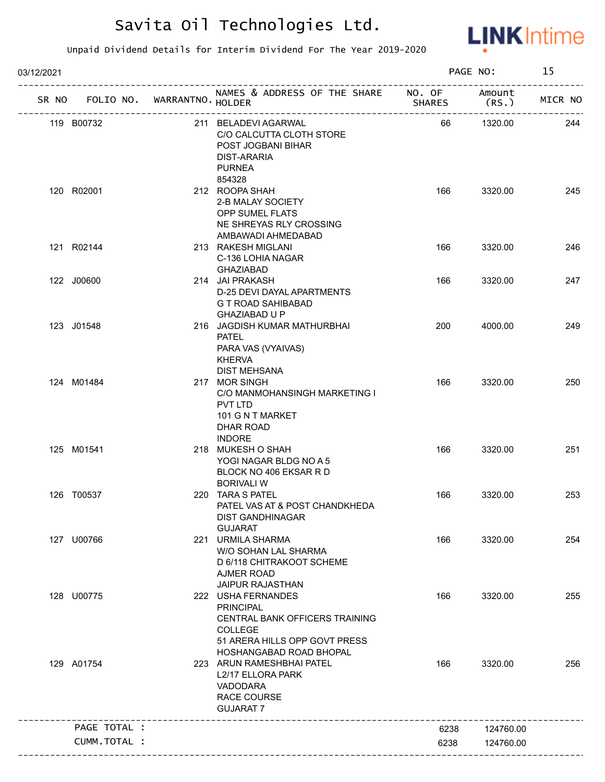

| 03/12/2021 |                                   |                                                                                                                                                               |               | PAGE NO:         | 15      |
|------------|-----------------------------------|---------------------------------------------------------------------------------------------------------------------------------------------------------------|---------------|------------------|---------|
|            | SR NO FOLIO NO. WARRANTNO. HOLDER | NAMES & ADDRESS OF THE SHARE NO. OF<br>SH<br>--------------------------                                                                                       | <b>SHARES</b> | Amount<br>(RS. ) | MICR NO |
|            | 119 B00732                        | 211 BELADEVI AGARWAL<br>C/O CALCUTTA CLOTH STORE<br>POST JOGBANI BIHAR<br>DIST-ARARIA<br><b>PURNEA</b>                                                        | 66            | 1320.00          | 244     |
|            | 120 R02001                        | 854328<br>212 ROOPA SHAH<br>2-B MALAY SOCIETY<br>OPP SUMEL FLATS<br>NE SHREYAS RLY CROSSING<br>AMBAWADI AHMEDABAD                                             | 166           | 3320.00          | 245     |
|            | 121 R02144                        | 213 RAKESH MIGLANI<br>C-136 LOHIA NAGAR<br>GHAZIABAD                                                                                                          | 166           | 3320.00          | 246     |
|            | 122 J00600                        | 214 JAI PRAKASH<br>D-25 DEVI DAYAL APARTMENTS<br>G T ROAD SAHIBABAD<br>GHAZIABAD U P                                                                          | 166           | 3320.00          | 247     |
|            | 123 J01548                        | 216 JAGDISH KUMAR MATHURBHAI<br><b>PATEL</b><br>PARA VAS (VYAIVAS)<br><b>KHERVA</b><br><b>DIST MEHSANA</b>                                                    | 200           | 4000.00          | 249     |
|            | 124 M01484                        | 217 MOR SINGH<br>C/O MANMOHANSINGH MARKETING I<br>PVT LTD<br>101 G N T MARKET<br>DHAR ROAD<br><b>INDORE</b>                                                   | 166           | 3320.00          | 250     |
|            | 125 M01541                        | 218 MUKESH O SHAH<br>YOGI NAGAR BLDG NO A 5<br>BLOCK NO 406 EKSAR R D<br><b>BORIVALI W</b>                                                                    | 166           | 3320.00          | 251     |
|            | 126 T00537                        | 220 TARA S PATEL<br>PATEL VAS AT & POST CHANDKHEDA<br><b>DIST GANDHINAGAR</b><br><b>GUJARAT</b>                                                               | 166           | 3320.00          | 253     |
|            | 127 U00766                        | 221 URMILA SHARMA<br>W/O SOHAN LAL SHARMA<br>D 6/118 CHITRAKOOT SCHEME<br>AJMER ROAD<br><b>JAIPUR RAJASTHAN</b>                                               | 166           | 3320.00          | 254     |
|            | 128 U00775                        | 222 USHA FERNANDES<br><b>PRINCIPAL</b><br><b>CENTRAL BANK OFFICERS TRAINING</b><br><b>COLLEGE</b><br>51 ARERA HILLS OPP GOVT PRESS<br>HOSHANGABAD ROAD BHOPAL | 166           | 3320.00          | 255     |
|            | 129 A01754                        | 223 ARUN RAMESHBHAI PATEL<br>L2/17 ELLORA PARK<br>VADODARA<br><b>RACE COURSE</b><br><b>GUJARAT 7</b>                                                          | 166           | 3320.00          | 256     |
|            | PAGE TOTAL :                      |                                                                                                                                                               | 6238          | 124760.00        |         |
|            | <b>CUMM. TOTAL :</b>              |                                                                                                                                                               | 6238          | 124760.00        |         |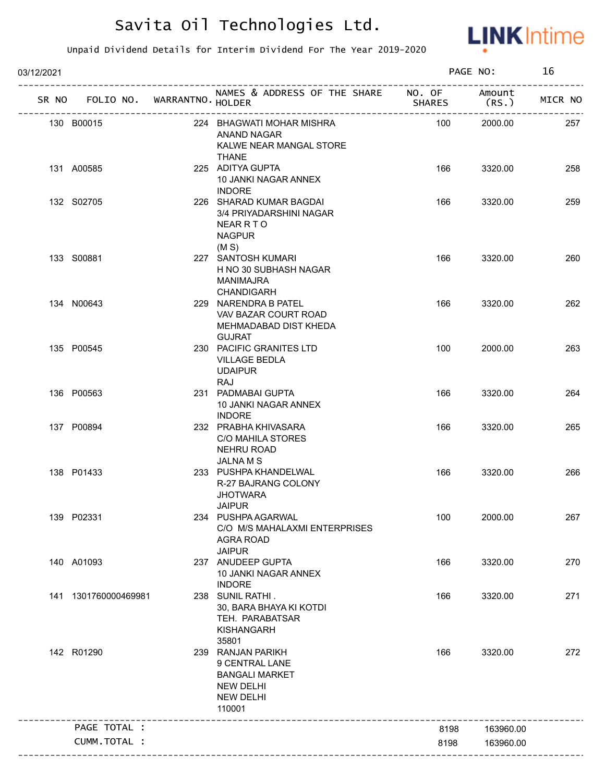

| 03/12/2021 |                                   |  |                                                                                                                |               | PAGE NO:       |         |
|------------|-----------------------------------|--|----------------------------------------------------------------------------------------------------------------|---------------|----------------|---------|
|            | SR NO FOLIO NO. WARRANTNO. HOLDER |  | NAMES & ADDRESS OF THE SHARE NO. OF                                                                            | <b>SHARES</b> | Amount<br>(RS. | MICR NO |
|            | 130 B00015                        |  | 224 BHAGWATI MOHAR MISHRA<br>ANAND NAGAR<br>KALWE NEAR MANGAL STORE<br><b>THANE</b>                            | 100           | 2000.00        | 257     |
|            | 131 A00585                        |  | 225 ADITYA GUPTA<br>10 JANKI NAGAR ANNEX<br><b>INDORE</b>                                                      | 166           | 3320.00        | 258     |
|            | 132 S02705                        |  | 226 SHARAD KUMAR BAGDAI<br>3/4 PRIYADARSHINI NAGAR<br>NEARRTO<br><b>NAGPUR</b><br>(M S)                        | 166           | 3320.00        | 259     |
|            | 133 S00881                        |  | 227 SANTOSH KUMARI<br>H NO 30 SUBHASH NAGAR<br>MANIMAJRA<br>CHANDIGARH                                         | 166           | 3320.00        | 260     |
|            | 134 N00643                        |  | 229 NARENDRA B PATEL<br>VAV BAZAR COURT ROAD<br>MEHMADABAD DIST KHEDA<br><b>GUJRAT</b>                         | 166           | 3320.00        | 262     |
|            | 135 P00545                        |  | 230 PACIFIC GRANITES LTD<br><b>VILLAGE BEDLA</b><br><b>UDAIPUR</b><br><b>RAJ</b>                               | 100           | 2000.00        | 263     |
|            | 136 P00563                        |  | 231 PADMABAI GUPTA<br>10 JANKI NAGAR ANNEX<br><b>INDORE</b>                                                    | 166           | 3320.00        | 264     |
|            | 137 P00894                        |  | 232 PRABHA KHIVASARA<br><b>C/O MAHILA STORES</b><br><b>NEHRU ROAD</b><br>JALNA M S                             | 166           | 3320.00        | 265     |
|            | 138 P01433                        |  | 233 PUSHPA KHANDELWAL<br><b>R-27 BAJRANG COLONY</b><br><b>JHOTWARA</b><br><b>JAIPUR</b>                        | 166           | 3320.00        | 266     |
|            | 139 P02331                        |  | 234 PUSHPA AGARWAL<br>C/O M/S MAHALAXMI ENTERPRISES<br><b>AGRA ROAD</b><br><b>JAIPUR</b>                       | 100           | 2000.00        | 267     |
|            | 140 A01093                        |  | 237 ANUDEEP GUPTA<br>10 JANKI NAGAR ANNEX<br><b>INDORE</b>                                                     | 166           | 3320.00        | 270     |
|            | 141 1301760000469981              |  | 238 SUNIL RATHI.<br>30, BARA BHAYA KI KOTDI<br>TEH. PARABATSAR<br><b>KISHANGARH</b><br>35801                   | 166           | 3320.00        | 271     |
|            | 142 R01290                        |  | 239 RANJAN PARIKH<br>9 CENTRAL LANE<br><b>BANGALI MARKET</b><br><b>NEW DELHI</b><br><b>NEW DELHI</b><br>110001 | 166           | 3320.00        | 272     |
|            | PAGE TOTAL :                      |  |                                                                                                                | 8198          | 163960.00      |         |
|            | CUMM.TOTAL :                      |  |                                                                                                                | 8198          | 163960.00      |         |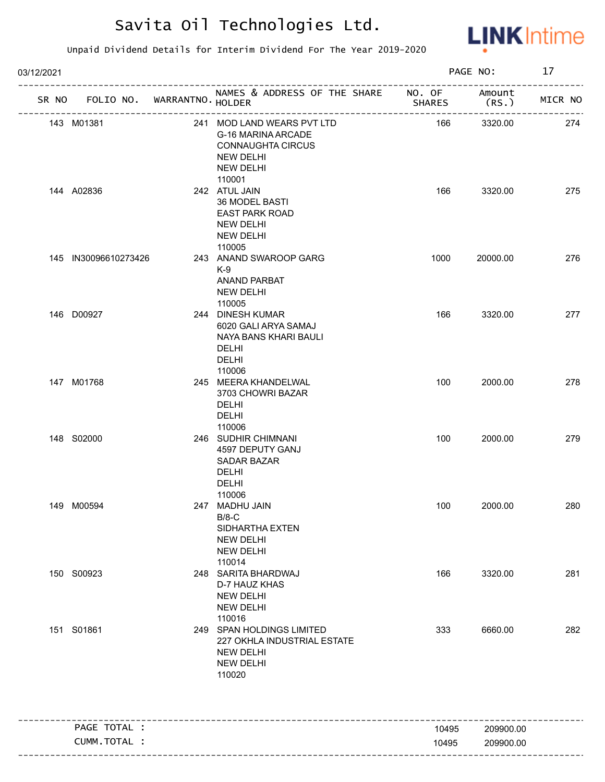

| 03/12/2021 |                                   |  | PAGE NO:                                                                                                         |               | 17              |         |
|------------|-----------------------------------|--|------------------------------------------------------------------------------------------------------------------|---------------|-----------------|---------|
|            | SR NO FOLIO NO. WARRANTNO. HOLDER |  | NAMES & ADDRESS OF THE SHARE NO. OF                                                                              | <b>SHARES</b> | Amount<br>(RS.) | MICR NO |
|            | 143 M01381                        |  | 241 MOD LAND WEARS PVT LTD<br>G-16 MARINA ARCADE<br><b>CONNAUGHTA CIRCUS</b><br>NEW DELHI<br>NEW DELHI<br>110001 | 166           | 3320.00         | 274     |
|            | 144 A02836                        |  | 242 ATUL JAIN<br><b>36 MODEL BASTI</b><br><b>EAST PARK ROAD</b><br>NEW DELHI<br><b>NEW DELHI</b><br>110005       | 166           | 3320.00         | 275     |
|            | 145 IN30096610273426              |  | 243 ANAND SWAROOP GARG<br>K-9<br><b>ANAND PARBAT</b><br>NEW DELHI<br>110005                                      | 1000          | 20000.00        | 276     |
|            | 146 D00927                        |  | 244 DINESH KUMAR<br>6020 GALI ARYA SAMAJ<br>NAYA BANS KHARI BAULI<br>DELHI<br><b>DELHI</b><br>110006             | 166           | 3320.00         | 277     |
|            | 147 M01768                        |  | 245 MEERA KHANDELWAL<br>3703 CHOWRI BAZAR<br><b>DELHI</b><br><b>DELHI</b><br>110006                              | 100           | 2000.00         | 278     |
|            | 148 S02000                        |  | 246 SUDHIR CHIMNANI<br>4597 DEPUTY GANJ<br><b>SADAR BAZAR</b><br><b>DELHI</b><br><b>DELHI</b><br>110006          | 100           | 2000.00         | 279     |
|            | 149 M00594                        |  | 247 MADHU JAIN<br>$B/8-C$<br>SIDHARTHA EXTEN<br><b>NEW DELHI</b><br><b>NEW DELHI</b><br>110014                   | 100           | 2000.00         | 280     |
|            | 150 S00923                        |  | 248 SARITA BHARDWAJ<br>D-7 HAUZ KHAS<br><b>NEW DELHI</b><br><b>NEW DELHI</b><br>110016                           | 166           | 3320.00         | 281     |
|            | 151 S01861                        |  | 249 SPAN HOLDINGS LIMITED<br>227 OKHLA INDUSTRIAL ESTATE<br><b>NEW DELHI</b><br><b>NEW DELHI</b><br>110020       | 333           | 6660.00         | 282     |
|            | PAGE TOTAL :                      |  |                                                                                                                  | 10495         | 209900.00       |         |
|            | CUMM.TOTAL :                      |  |                                                                                                                  | 10495         | 209900.00       |         |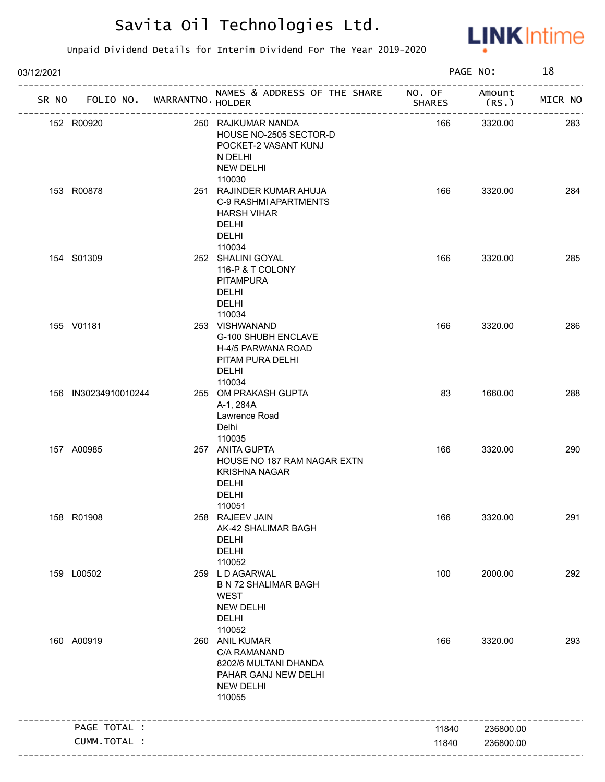

| 03/12/2021 |                      |                                                 |                                                                                                                          |               | PAGE NO:                    | 18      |
|------------|----------------------|-------------------------------------------------|--------------------------------------------------------------------------------------------------------------------------|---------------|-----------------------------|---------|
| SR NO      |                      | FOLIO NO. WARRANTNO. HOLDER<br>---------------- | NAMES & ADDRESS OF THE SHARE NO. OF<br>-------------------------------                                                   | <b>SHARES</b> | Amount<br>(RS.)<br>-------- | MICR NO |
|            | 152 R00920           |                                                 | 250 RAJKUMAR NANDA<br>HOUSE NO-2505 SECTOR-D<br>POCKET-2 VASANT KUNJ<br>N DELHI<br><b>NEW DELHI</b>                      | 166           | 3320.00                     | 283     |
|            | 153 R00878           |                                                 | 110030<br>251 RAJINDER KUMAR AHUJA<br><b>C-9 RASHMI APARTMENTS</b><br><b>HARSH VIHAR</b><br><b>DELHI</b><br><b>DELHI</b> | 166           | 3320.00                     | 284     |
|            | 154 S01309           |                                                 | 110034<br>252 SHALINI GOYAL<br>116-P & T COLONY<br><b>PITAMPURA</b><br><b>DELHI</b><br>DELHI<br>110034                   | 166           | 3320.00                     | 285     |
|            | 155 V01181           |                                                 | 253 VISHWANAND<br>G-100 SHUBH ENCLAVE<br>H-4/5 PARWANA ROAD<br>PITAM PURA DELHI<br><b>DELHI</b><br>110034                | 166           | 3320.00                     | 286     |
|            | 156 IN30234910010244 |                                                 | 255 OM PRAKASH GUPTA<br>A-1, 284A<br>Lawrence Road<br>Delhi<br>110035                                                    | 83            | 1660.00                     | 288     |
|            | 157 A00985           |                                                 | 257 ANITA GUPTA<br>HOUSE NO 187 RAM NAGAR EXTN<br><b>KRISHNA NAGAR</b><br><b>DELHI</b><br><b>DELHI</b><br>110051         | 166           | 3320.00                     | 290     |
|            | 158 R01908           |                                                 | 258 RAJEEV JAIN<br>AK-42 SHALIMAR BAGH<br><b>DELHI</b><br>DELHI<br>110052                                                | 166           | 3320.00                     | 291     |
|            | 159 L00502           |                                                 | 259 LD AGARWAL<br><b>B N 72 SHALIMAR BAGH</b><br><b>WEST</b><br><b>NEW DELHI</b><br><b>DELHI</b><br>110052               | 100           | 2000.00                     | 292     |
|            | 160 A00919           |                                                 | 260 ANIL KUMAR<br>C/A RAMANAND<br>8202/6 MULTANI DHANDA<br>PAHAR GANJ NEW DELHI<br><b>NEW DELHI</b><br>110055            | 166           | 3320.00                     | 293     |
|            | PAGE TOTAL :         |                                                 |                                                                                                                          | 11840         | 236800.00                   |         |
|            | CUMM.TOTAL :         |                                                 |                                                                                                                          | 11840         | 236800.00                   |         |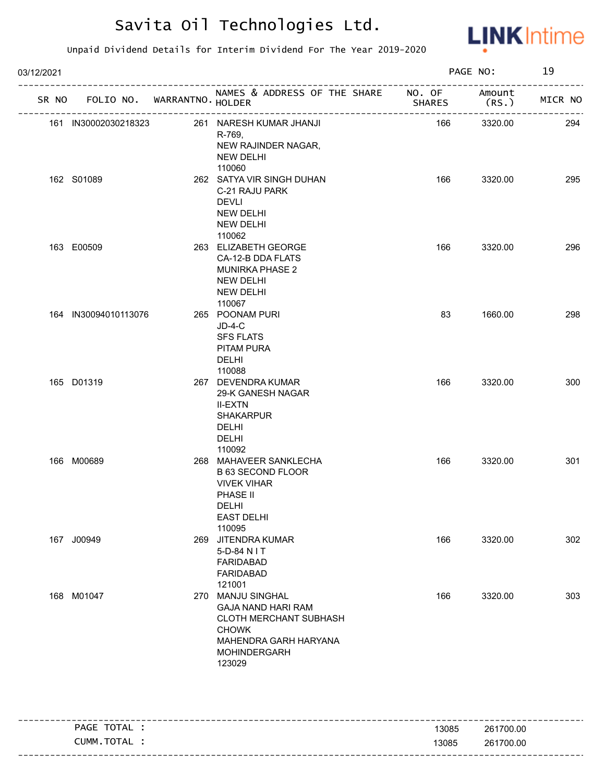

| 03/12/2021 |                      |                                   |                                                                                                                                             |               | PAGE NO:       | 19      |
|------------|----------------------|-----------------------------------|---------------------------------------------------------------------------------------------------------------------------------------------|---------------|----------------|---------|
|            |                      | SR NO FOLIO NO. WARRANTNO. HOLDER | NAMES & ADDRESS OF THE SHARE NO. OF                                                                                                         | <b>SHARES</b> | Amount<br>(RS. | MICR NO |
|            | 161 IN30002030218323 |                                   | 261 NARESH KUMAR JHANJI<br>R-769,<br>NEW RAJINDER NAGAR,<br>NEW DELHI<br>110060                                                             | 166           | 3320.00        | 294     |
|            | 162 S01089           |                                   | 262 SATYA VIR SINGH DUHAN<br>C-21 RAJU PARK<br><b>DEVLI</b><br>NEW DELHI<br><b>NEW DELHI</b><br>110062                                      | 166           | 3320.00        | 295     |
|            | 163 E00509           |                                   | 263 ELIZABETH GEORGE<br>CA-12-B DDA FLATS<br><b>MUNIRKA PHASE 2</b><br>NEW DELHI<br>NEW DELHI<br>110067                                     | 166           | 3320.00        | 296     |
|            | 164 IN30094010113076 |                                   | 265 POONAM PURI<br>$JD-4-C$<br><b>SFS FLATS</b><br>PITAM PURA<br><b>DELHI</b><br>110088                                                     | 83            | 1660.00        | 298     |
|            | 165 D01319           |                                   | 267 DEVENDRA KUMAR<br>29-K GANESH NAGAR<br><b>II-EXTN</b><br><b>SHAKARPUR</b><br><b>DELHI</b><br>DELHI<br>110092                            | 166           | 3320.00        | 300     |
|            | 166 M00689           |                                   | 268 MAHAVEER SANKLECHA<br><b>B 63 SECOND FLOOR</b><br><b>VIVEK VIHAR</b><br>PHASE II<br>DELHI<br><b>EAST DELHI</b><br>110095                | 166           | 3320.00        | 301     |
|            | 167 J00949           |                                   | 269 JITENDRA KUMAR<br>5-D-84 N I T<br><b>FARIDABAD</b><br><b>FARIDABAD</b><br>121001                                                        | 166           | 3320.00        | 302     |
|            | 168 M01047           |                                   | 270 MANJU SINGHAL<br><b>GAJA NAND HARI RAM</b><br>CLOTH MERCHANT SUBHASH<br><b>CHOWK</b><br>MAHENDRA GARH HARYANA<br>MOHINDERGARH<br>123029 | 166           | 3320.00        | 303     |

| TOTAL<br><b>PAGE</b> | 13085 | 261700.00 |
|----------------------|-------|-----------|
| CUMM<br>TOTAL        | 13085 | 261700.00 |
|                      |       |           |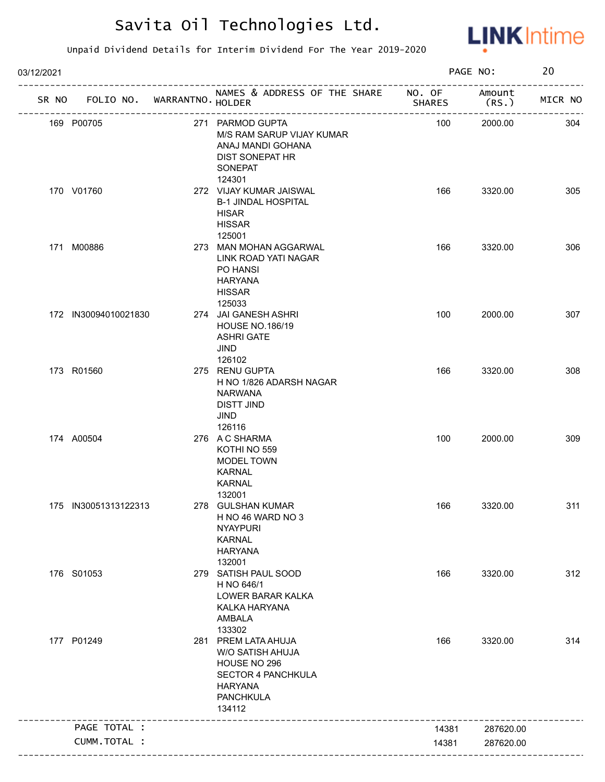

| 03/12/2021 |                             |                                                                                                                                      |               | PAGE NO:        | 20      |
|------------|-----------------------------|--------------------------------------------------------------------------------------------------------------------------------------|---------------|-----------------|---------|
| SR NO      | FOLIO NO. WARRANTNO. HOLDER | NAMES & ADDRESS OF THE SHARE NO. OF                                                                                                  | <b>SHARES</b> | Amount<br>(RS.) | MICR NO |
|            | 169 P00705                  | 271 PARMOD GUPTA<br>M/S RAM SARUP VIJAY KUMAR<br>ANAJ MANDI GOHANA<br>DIST SONEPAT HR<br>SONEPAT                                     | 100           | 2000.00         | 304     |
|            | 170 V01760                  | 124301<br>272 VIJAY KUMAR JAISWAL<br><b>B-1 JINDAL HOSPITAL</b><br><b>HISAR</b><br><b>HISSAR</b><br>125001                           | 166           | 3320.00         | 305     |
|            | 171 M00886                  | 273 MAN MOHAN AGGARWAL<br>LINK ROAD YATI NAGAR<br>PO HANSI<br><b>HARYANA</b><br><b>HISSAR</b><br>125033                              | 166           | 3320.00         | 306     |
|            | 172 IN30094010021830        | 274 JAI GANESH ASHRI<br><b>HOUSE NO.186/19</b><br><b>ASHRI GATE</b><br><b>JIND</b><br>126102                                         | 100           | 2000.00         | 307     |
|            | 173 R01560                  | 275 RENU GUPTA<br>H NO 1/826 ADARSH NAGAR<br><b>NARWANA</b><br>DISTT JIND<br>JIND<br>126116                                          | 166           | 3320.00         | 308     |
|            | 174 A00504                  | 276 A C SHARMA<br>KOTHI NO 559<br><b>MODEL TOWN</b><br><b>KARNAL</b><br><b>KARNAL</b><br>132001                                      | 100           | 2000.00         | 309     |
|            | 175 IN30051313122313        | 278 GULSHAN KUMAR<br>H NO 46 WARD NO 3<br><b>NYAYPURI</b><br><b>KARNAL</b><br><b>HARYANA</b><br>132001                               | 166           | 3320.00         | 311     |
|            | 176 S01053                  | 279 SATISH PAUL SOOD<br>H NO 646/1<br>LOWER BARAR KALKA<br>KALKA HARYANA<br>AMBALA<br>133302                                         | 166           | 3320.00         | 312     |
|            | 177 P01249                  | 281 PREM LATA AHUJA<br>W/O SATISH AHUJA<br>HOUSE NO 296<br><b>SECTOR 4 PANCHKULA</b><br><b>HARYANA</b><br><b>PANCHKULA</b><br>134112 | 166           | 3320.00         | 314     |
|            | PAGE TOTAL :                |                                                                                                                                      | 14381         | 287620.00       |         |
|            | CUMM.TOTAL :                |                                                                                                                                      |               |                 |         |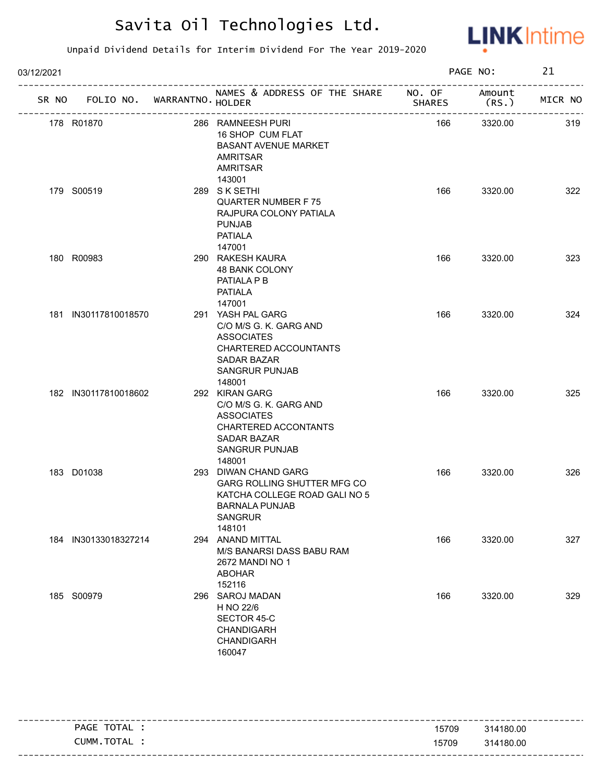

| 03/12/2021 |                                   |                           |                                                                                                                                                            |               | PAGE NO:        | 21      |
|------------|-----------------------------------|---------------------------|------------------------------------------------------------------------------------------------------------------------------------------------------------|---------------|-----------------|---------|
|            | SR NO FOLIO NO. WARRANTNO. HOLDER |                           | NAMES & ADDRESS OF THE SHARE NO. OF                                                                                                                        | <b>SHARES</b> | Amount<br>(RS.) | MICR NO |
|            | 178 R01870                        | ------------------------- | ----------------------------------<br>286 RAMNEESH PURI<br>16 SHOP CUM FLAT<br><b>BASANT AVENUE MARKET</b><br><b>AMRITSAR</b><br><b>AMRITSAR</b><br>143001 | 166           | 3320.00         | 319     |
|            | 179 S00519                        |                           | 289 SK SETHI<br><b>QUARTER NUMBER F75</b><br>RAJPURA COLONY PATIALA<br><b>PUNJAB</b><br><b>PATIALA</b><br>147001                                           | 166           | 3320.00         | 322     |
|            | 180 R00983                        |                           | 290 RAKESH KAURA<br><b>48 BANK COLONY</b><br>PATIALA P B<br><b>PATIALA</b><br>147001                                                                       | 166           | 3320.00         | 323     |
|            | 181 IN30117810018570              |                           | 291 YASH PAL GARG<br>C/O M/S G. K. GARG AND<br><b>ASSOCIATES</b><br>CHARTERED ACCOUNTANTS<br>SADAR BAZAR<br><b>SANGRUR PUNJAB</b><br>148001                | 166           | 3320.00         | 324     |
|            | 182 IN30117810018602              |                           | 292 KIRAN GARG<br>C/O M/S G. K. GARG AND<br><b>ASSOCIATES</b><br>CHARTERED ACCONTANTS<br><b>SADAR BAZAR</b><br><b>SANGRUR PUNJAB</b><br>148001             | 166           | 3320.00         | 325     |
|            | 183 D01038                        |                           | 293 DIWAN CHAND GARG<br>GARG ROLLING SHUTTER MFG CO<br>KATCHA COLLEGE ROAD GALI NO 5<br><b>BARNALA PUNJAB</b><br><b>SANGRUR</b><br>148101                  | 166           | 3320.00         | 326     |
|            | 184 IN30133018327214              |                           | 294 ANAND MITTAL<br>M/S BANARSI DASS BABU RAM<br>2672 MANDI NO 1<br><b>ABOHAR</b><br>152116                                                                | 166           | 3320.00         | 327     |
|            | 185 S00979                        |                           | 296 SAROJ MADAN<br>H NO 22/6<br>SECTOR 45-C<br><b>CHANDIGARH</b><br>CHANDIGARH<br>160047                                                                   | 166           | 3320.00         | 329     |

|                |       | -----------------------           |
|----------------|-------|-----------------------------------|
| TOTAL<br>PAGE  | 15709 | 314180.00                         |
| TOTAL<br>CUMM. | 15709 | 314180.00                         |
|                |       | --------------------------------- |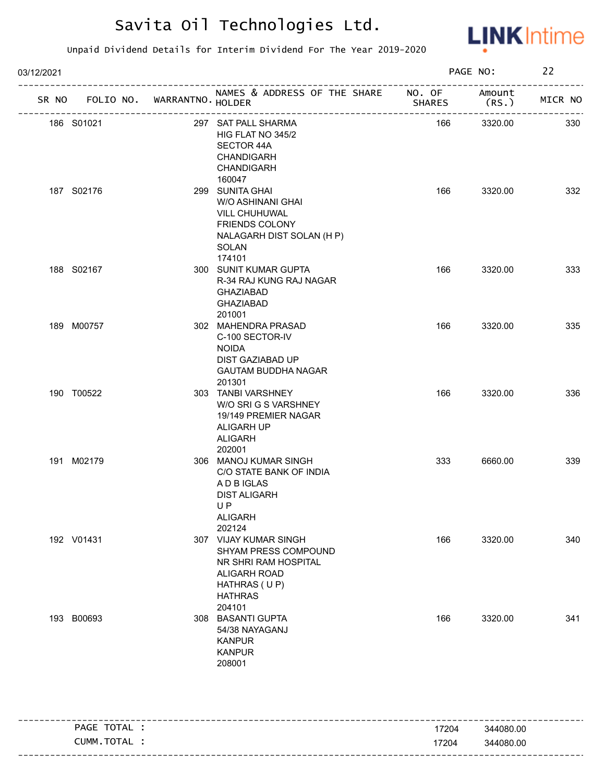

| 03/12/2021                        |                                                                                                                                   |               | PAGE NO:       | 22      |
|-----------------------------------|-----------------------------------------------------------------------------------------------------------------------------------|---------------|----------------|---------|
| SR NO FOLIO NO. WARRANTNO. HOLDER | NAMES & ADDRESS OF THE SHARE NO. OF<br>____________________                                                                       | <b>SHARES</b> | Amount<br>(RS. | MICR NO |
| 186 S01021                        | 297 SAT PALL SHARMA<br>HIG FLAT NO 345/2<br>SECTOR 44A<br><b>CHANDIGARH</b><br><b>CHANDIGARH</b><br>160047                        | 166           | 3320.00        | 330     |
| 187 S02176                        | 299 SUNITA GHAI<br>W/O ASHINANI GHAI<br>VILL CHUHUWAL<br><b>FRIENDS COLONY</b><br>NALAGARH DIST SOLAN (H P)<br>SOLAN<br>174101    | 166           | 3320.00        | 332     |
| 188 S02167                        | 300 SUNIT KUMAR GUPTA<br>R-34 RAJ KUNG RAJ NAGAR<br><b>GHAZIABAD</b><br><b>GHAZIABAD</b><br>201001                                | 166           | 3320.00        | 333     |
| 189 M00757                        | 302 MAHENDRA PRASAD<br>C-100 SECTOR-IV<br><b>NOIDA</b><br>DIST GAZIABAD UP<br><b>GAUTAM BUDDHA NAGAR</b><br>201301                | 166           | 3320.00        | 335     |
| 190 T00522                        | 303 TANBI VARSHNEY<br>W/O SRI G S VARSHNEY<br>19/149 PREMIER NAGAR<br>ALIGARH UP<br><b>ALIGARH</b><br>202001                      | 166           | 3320.00        | 336     |
| 191 M02179                        | 306 MANOJ KUMAR SINGH<br>C/O STATE BANK OF INDIA<br>A D B IGLAS<br><b>DIST ALIGARH</b><br>UP.<br><b>ALIGARH</b><br>202124         | 333           | 6660.00        | 339     |
| 192 V01431                        | 307 VIJAY KUMAR SINGH<br>SHYAM PRESS COMPOUND<br>NR SHRI RAM HOSPITAL<br>ALIGARH ROAD<br>HATHRAS (UP)<br><b>HATHRAS</b><br>204101 | 166           | 3320.00        | 340     |
| 193 B00693                        | 308 BASANTI GUPTA<br>54/38 NAYAGANJ<br><b>KANPUR</b><br><b>KANPUR</b><br>208001                                                   | 166           | 3320.00        | 341     |

| TOTAL<br><b>PAGE</b> | 17204 | 344080.00 |
|----------------------|-------|-----------|
| TOTAL<br>CUMM.       | 17204 | 344080.00 |
|                      |       |           |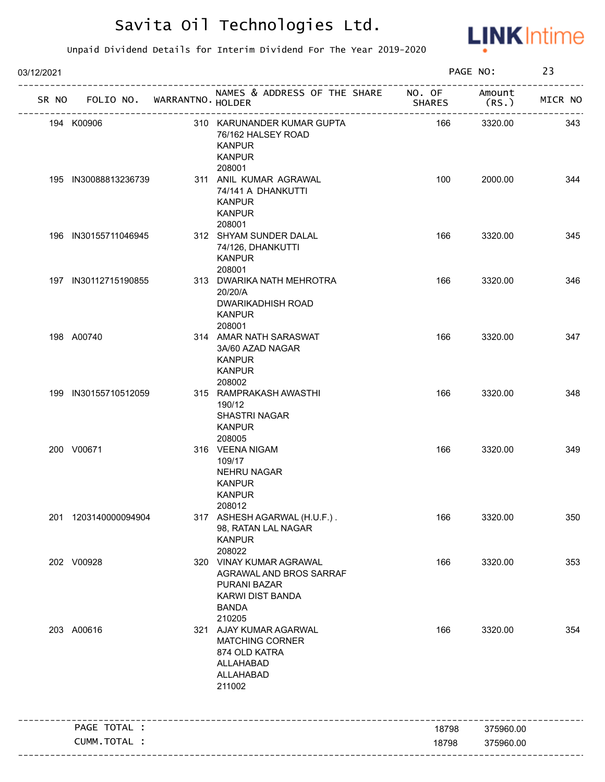

| 03/12/2021 |                                   |                                                                                                                         | PAGE NO:      |                | 23      |
|------------|-----------------------------------|-------------------------------------------------------------------------------------------------------------------------|---------------|----------------|---------|
|            | SR NO FOLIO NO. WARRANTNO. HOLDER | NAMES & ADDRESS OF THE SHARE NO. OF                                                                                     | <b>SHARES</b> | Amount<br>(RS. | MICR NO |
|            | 194 K00906                        | 310 KARUNANDER KUMAR GUPTA<br>76/162 HALSEY ROAD<br><b>KANPUR</b><br><b>KANPUR</b>                                      | 166           | 3320.00        | 343     |
|            | 195 IN30088813236739              | 208001<br>311 ANIL KUMAR AGRAWAL<br>74/141 A DHANKUTTI<br><b>KANPUR</b><br><b>KANPUR</b><br>208001                      | 100           | 2000.00        | 344     |
|            | 196 IN30155711046945              | 312 SHYAM SUNDER DALAL<br>74/126, DHANKUTTI<br><b>KANPUR</b><br>208001                                                  | 166           | 3320.00        | 345     |
|            | 197 IN30112715190855              | 313 DWARIKA NATH MEHROTRA<br>20/20/A<br><b>DWARIKADHISH ROAD</b><br><b>KANPUR</b><br>208001                             | 166           | 3320.00        | 346     |
|            | 198 A00740                        | 314 AMAR NATH SARASWAT<br>3A/60 AZAD NAGAR<br><b>KANPUR</b><br><b>KANPUR</b><br>208002                                  | 166           | 3320.00        | 347     |
|            | 199 IN30155710512059              | 315 RAMPRAKASH AWASTHI<br>190/12<br><b>SHASTRI NAGAR</b><br><b>KANPUR</b><br>208005                                     | 166           | 3320.00        | 348     |
|            | 200 V00671                        | 316 VEENA NIGAM<br>109/17<br><b>NEHRU NAGAR</b><br><b>KANPUR</b><br><b>KANPUR</b><br>208012                             | 166           | 3320.00        | 349     |
|            | 201 1203140000094904              | 317 ASHESH AGARWAL (H.U.F.).<br>98, RATAN LAL NAGAR<br><b>KANPUR</b><br>208022                                          | 166           | 3320.00        | 350     |
|            | 202 V00928                        | 320 VINAY KUMAR AGRAWAL<br>AGRAWAL AND BROS SARRAF<br><b>PURANI BAZAR</b><br>KARWI DIST BANDA<br><b>BANDA</b><br>210205 | 166           | 3320.00        | 353     |
|            | 203 A00616                        | 321 AJAY KUMAR AGARWAL<br><b>MATCHING CORNER</b><br>874 OLD KATRA<br>ALLAHABAD<br>ALLAHABAD<br>211002                   | 166           | 3320.00        | 354     |
|            | PAGE TOTAL :                      |                                                                                                                         | 18798         | 375960.00      |         |
|            | CUMM.TOTAL :                      |                                                                                                                         | 18798         | 375960.00      |         |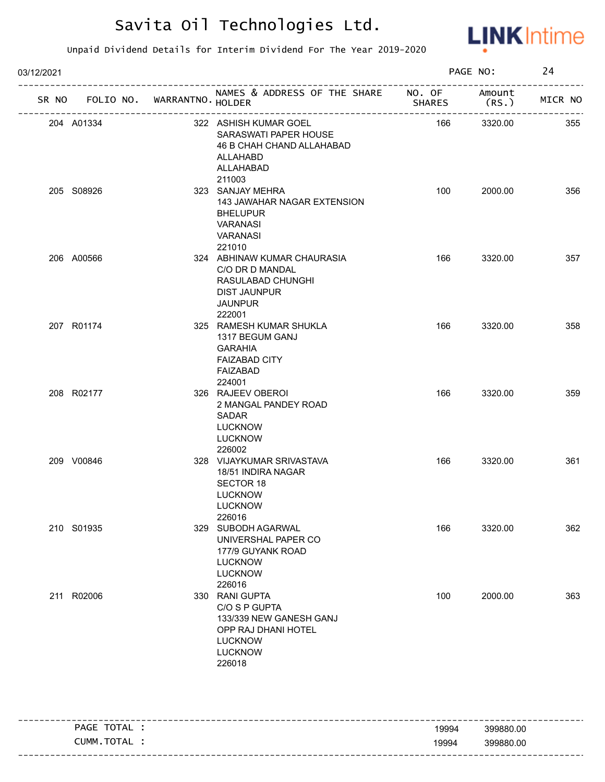

| 03/12/2021 |            |                             |                                                                                                                                 |               | PAGE NO:        | 24      |
|------------|------------|-----------------------------|---------------------------------------------------------------------------------------------------------------------------------|---------------|-----------------|---------|
| SR NO      |            | FOLIO NO. WARRANTNO. HOLDER | NAMES & ADDRESS OF THE SHARE NO. OF                                                                                             | <b>SHARES</b> | Amount<br>(RS.) | MICR NO |
|            | 204 A01334 |                             | 322 ASHISH KUMAR GOEL<br>SARASWATI PAPER HOUSE<br>46 B CHAH CHAND ALLAHABAD<br>ALLAHABD<br>ALLAHABAD<br>211003                  | 166           | 3320.00         | 355     |
|            | 205 S08926 |                             | 323 SANJAY MEHRA<br>143 JAWAHAR NAGAR EXTENSION<br><b>BHELUPUR</b><br><b>VARANASI</b><br><b>VARANASI</b><br>221010              | 100           | 2000.00         | 356     |
|            | 206 A00566 |                             | 324 ABHINAW KUMAR CHAURASIA<br>C/O DR D MANDAL<br>RASULABAD CHUNGHI<br><b>DIST JAUNPUR</b><br><b>JAUNPUR</b><br>222001          | 166           | 3320.00         | 357     |
|            | 207 R01174 |                             | 325 RAMESH KUMAR SHUKLA<br>1317 BEGUM GANJ<br><b>GARAHIA</b><br><b>FAIZABAD CITY</b><br><b>FAIZABAD</b><br>224001               | 166           | 3320.00         | 358     |
|            | 208 R02177 |                             | 326 RAJEEV OBEROI<br>2 MANGAL PANDEY ROAD<br>SADAR<br><b>LUCKNOW</b><br><b>LUCKNOW</b><br>226002                                | 166           | 3320.00         | 359     |
|            | 209 V00846 |                             | 328 VIJAYKUMAR SRIVASTAVA<br>18/51 INDIRA NAGAR<br><b>SECTOR 18</b><br><b>LUCKNOW</b><br><b>LUCKNOW</b><br>226016               | 166           | 3320.00         | 361     |
|            | 210 S01935 |                             | 329 SUBODH AGARWAL<br>UNIVERSHAL PAPER CO<br>177/9 GUYANK ROAD<br><b>LUCKNOW</b><br><b>LUCKNOW</b><br>226016                    | 166           | 3320.00         | 362     |
|            | 211 R02006 |                             | 330 RANI GUPTA<br>C/O S P GUPTA<br>133/339 NEW GANESH GANJ<br>OPP RAJ DHANI HOTEL<br><b>LUCKNOW</b><br><b>LUCKNOW</b><br>226018 | 100           | 2000.00         | 363     |

|      |                  |       | --------------------------------- |
|------|------------------|-------|-----------------------------------|
| PAGE | TOTAL            | 19994 | 399880.00                         |
|      | TOTAL T<br>CUMM. | 19994 | 399880.00                         |
|      |                  |       | -----------------------------     |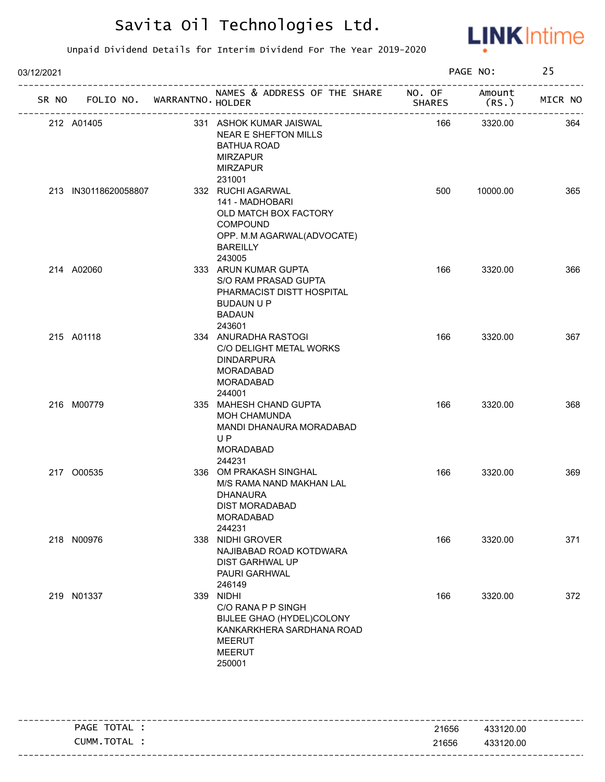

| 03/12/2021 |                                   |                                                                                                                                             |               | PAGE NO:       | 25      |
|------------|-----------------------------------|---------------------------------------------------------------------------------------------------------------------------------------------|---------------|----------------|---------|
|            | SR NO FOLIO NO. WARRANTNO. HOLDER | NAMES & ADDRESS OF THE SHARE NO. OF                                                                                                         | <b>SHARES</b> | Amount<br>(RS. | MICR NO |
|            | 212 A01405                        | 331 ASHOK KUMAR JAISWAL<br>NEAR E SHEFTON MILLS<br><b>BATHUA ROAD</b><br><b>MIRZAPUR</b><br><b>MIRZAPUR</b><br>231001                       | 166           | 3320.00        | 364     |
|            | 213 IN30118620058807              | 332 RUCHI AGARWAL<br>141 - MADHOBARI<br>OLD MATCH BOX FACTORY<br><b>COMPOUND</b><br>OPP. M.M AGARWAL(ADVOCATE)<br><b>BAREILLY</b><br>243005 | 500           | 10000.00       | 365     |
|            | 214 A02060                        | 333 ARUN KUMAR GUPTA<br>S/O RAM PRASAD GUPTA<br>PHARMACIST DISTT HOSPITAL<br><b>BUDAUN U P</b><br><b>BADAUN</b><br>243601                   | 166           | 3320.00        | 366     |
|            | 215 A01118                        | 334 ANURADHA RASTOGI<br>C/O DELIGHT METAL WORKS<br><b>DINDARPURA</b><br>MORADABAD<br><b>MORADABAD</b><br>244001                             | 166           | 3320.00        | 367     |
|            | 216 M00779                        | 335 MAHESH CHAND GUPTA<br><b>MOH CHAMUNDA</b><br>MANDI DHANAURA MORADABAD<br>UP<br><b>MORADABAD</b><br>244231                               | 166           | 3320.00        | 368     |
|            | 217 000535                        | 336 OM PRAKASH SINGHAL<br>M/S RAMA NAND MAKHAN LAL<br><b>DHANAURA</b><br>DIST MORADABAD<br><b>MORADABAD</b><br>244231                       | 166           | 3320.00        | 369     |
|            | 218 N00976                        | 338 NIDHI GROVER<br>NAJIBABAD ROAD KOTDWARA<br>DIST GARHWAL UP<br>PAURI GARHWAL<br>246149                                                   | 166           | 3320.00        | 371     |
|            | 219 N01337                        | 339 NIDHI<br>C/O RANA P P SINGH<br>BIJLEE GHAO (HYDEL)COLONY<br>KANKARKHERA SARDHANA ROAD<br><b>MEERUT</b><br><b>MEERUT</b><br>250001       | 166           | 3320.00        | 372     |

| TOTAL<br>PAGE    | 21656 | 433120.00 |
|------------------|-------|-----------|
| ' TOTAL<br>CUMM. | 21656 | 433120.00 |
|                  |       |           |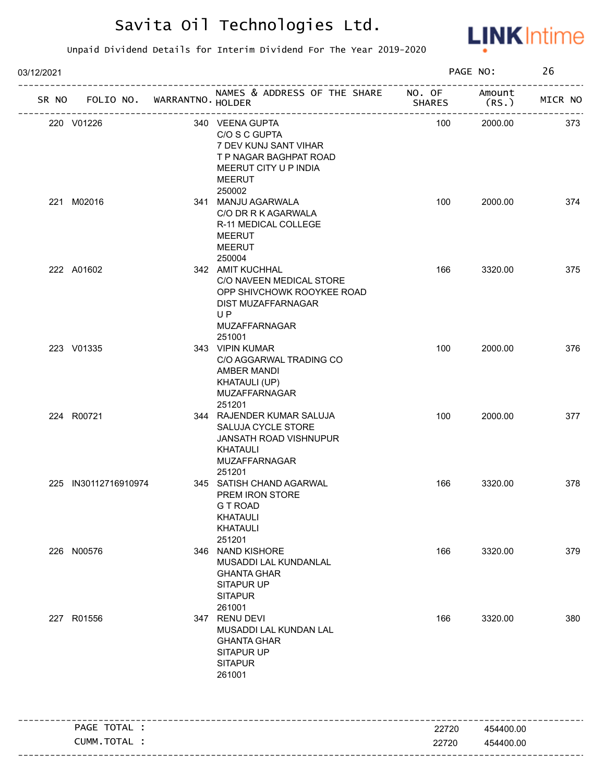

| 03/12/2021 |                      |                       |                                                                                                                                   | PAGE NO:      |                                       | 26      |
|------------|----------------------|-----------------------|-----------------------------------------------------------------------------------------------------------------------------------|---------------|---------------------------------------|---------|
|            | SR NO FOLIO NO.      | WARRANTNO . HOLDER    | NAMES & ADDRESS OF THE SHARE NO. OF                                                                                               | <b>SHARES</b> | Amount<br>(RS.)                       | MICR NO |
|            | 220 V01226           | --------------------- | 340 VEENA GUPTA<br>C/O S C GUPTA<br>7 DEV KUNJ SANT VIHAR<br>T P NAGAR BAGHPAT ROAD<br>MEERUT CITY U P INDIA<br>MEERUT<br>250002  | 100           | --------------------------<br>2000.00 | 373     |
|            | 221 M02016           |                       | 341 MANJU AGARWALA<br>C/O DR R K AGARWALA<br>R-11 MEDICAL COLLEGE<br>MEERUT<br>MEERUT<br>250004                                   | 100           | 2000.00                               | 374     |
|            | 222 A01602           |                       | 342 AMIT KUCHHAL<br>C/O NAVEEN MEDICAL STORE<br>OPP SHIVCHOWK ROOYKEE ROAD<br>DIST MUZAFFARNAGAR<br>UP<br>MUZAFFARNAGAR<br>251001 | 166           | 3320.00                               | 375     |
|            | 223 V01335           |                       | 343 VIPIN KUMAR<br>C/O AGGARWAL TRADING CO<br>AMBER MANDI<br><b>KHATAULI (UP)</b><br>MUZAFFARNAGAR<br>251201                      | 100           | 2000.00                               | 376     |
|            | 224 R00721           |                       | 344 RAJENDER KUMAR SALUJA<br>SALUJA CYCLE STORE<br>JANSATH ROAD VISHNUPUR<br>KHATAULI<br>MUZAFFARNAGAR<br>251201                  | 100           | 2000.00                               | 377     |
|            | 225 IN30112716910974 |                       | 345 SATISH CHAND AGARWAL<br>PREM IRON STORE<br>G T ROAD<br><b>KHATAULI</b><br><b>KHATAULI</b><br>251201                           | 166           | 3320.00                               | 378     |
|            | 226 N00576           |                       | 346 NAND KISHORE<br>MUSADDI LAL KUNDANLAL<br><b>GHANTA GHAR</b><br>SITAPUR UP<br><b>SITAPUR</b><br>261001                         | 166           | 3320.00                               | 379     |
|            | 227 R01556           |                       | 347 RENU DEVI<br>MUSADDI LAL KUNDAN LAL<br><b>GHANTA GHAR</b><br><b>SITAPUR UP</b><br><b>SITAPUR</b><br>261001                    | 166           | 3320.00                               | 380     |
|            | PAGE TOTAL :         |                       |                                                                                                                                   | 22720         | 454400.00                             |         |
|            | CUMM.TOTAL :         |                       |                                                                                                                                   | 22720         | 454400.00                             |         |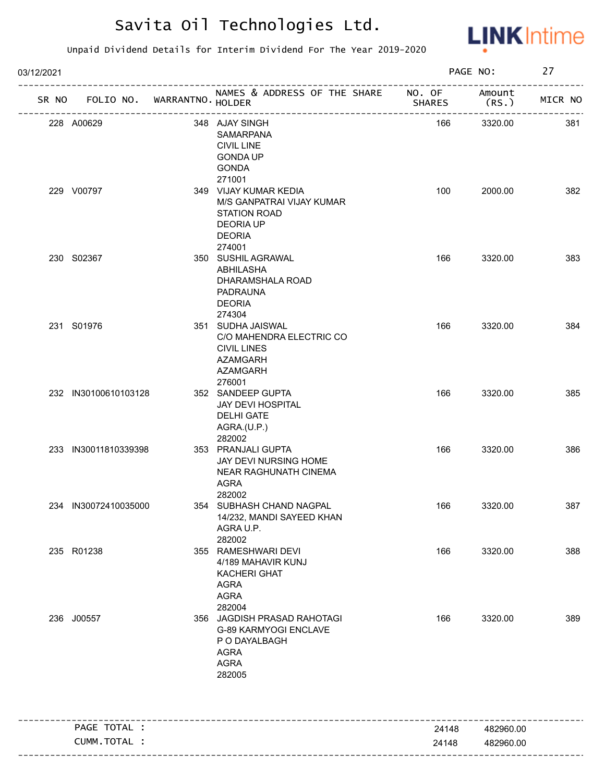

| 03/12/2021 |                      |                                             |                                                                                                                                    |               | PAGE NO:                           | 27                      |
|------------|----------------------|---------------------------------------------|------------------------------------------------------------------------------------------------------------------------------------|---------------|------------------------------------|-------------------------|
| SR NO      | FOLIO NO.            | WARRANTNO. HOLDER<br>---------------------- | NAMES & ADDRESS OF THE SHARE NO. OF                                                                                                | <b>SHARES</b> | Amount<br>(RS.<br>---------------- | ------------<br>MICR NO |
|            | 228 A00629           |                                             | 348 AJAY SINGH<br>SAMARPANA<br><b>CIVIL LINE</b><br><b>GONDA UP</b><br><b>GONDA</b>                                                | 166           | 3320.00                            | 381                     |
|            | 229 V00797           |                                             | 271001<br>349 VIJAY KUMAR KEDIA<br>M/S GANPATRAI VIJAY KUMAR<br><b>STATION ROAD</b><br><b>DEORIA UP</b><br><b>DEORIA</b><br>274001 | 100           | 2000.00                            | 382                     |
|            | 230 S02367           |                                             | 350 SUSHIL AGRAWAL<br>ABHILASHA<br>DHARAMSHALA ROAD<br><b>PADRAUNA</b><br><b>DEORIA</b><br>274304                                  | 166           | 3320.00                            | 383                     |
|            | 231 S01976           |                                             | 351 SUDHA JAISWAL<br>C/O MAHENDRA ELECTRIC CO<br><b>CIVIL LINES</b><br><b>AZAMGARH</b><br><b>AZAMGARH</b><br>276001                | 166           | 3320.00                            | 384                     |
|            | 232 IN30100610103128 |                                             | 352 SANDEEP GUPTA<br>JAY DEVI HOSPITAL<br><b>DELHI GATE</b><br>AGRA.(U.P.)<br>282002                                               | 166           | 3320.00                            | 385                     |
|            | 233 IN30011810339398 |                                             | 353 PRANJALI GUPTA<br>JAY DEVI NURSING HOME<br>NEAR RAGHUNATH CINEMA<br><b>AGRA</b><br>282002                                      | 166           | 3320.00                            | 386                     |
|            | 234 IN30072410035000 |                                             | 354 SUBHASH CHAND NAGPAL<br>14/232, MANDI SAYEED KHAN<br>AGRA U.P.<br>282002                                                       | 166           | 3320.00                            | 387                     |
|            | 235 R01238           |                                             | 355 RAMESHWARI DEVI<br>4/189 MAHAVIR KUNJ<br><b>KACHERI GHAT</b><br><b>AGRA</b><br><b>AGRA</b><br>282004                           | 166           | 3320.00                            | 388                     |
|            | 236 J00557           |                                             | 356 JAGDISH PRASAD RAHOTAGI<br>G-89 KARMYOGI ENCLAVE<br>P O DAYALBAGH<br><b>AGRA</b><br><b>AGRA</b><br>282005                      | 166           | 3320.00                            | 389                     |
|            | PAGE TOTAL :         |                                             |                                                                                                                                    | 24148         | 482960.00                          |                         |
|            | CUMM.TOTAL :         |                                             |                                                                                                                                    | 24148         | 482960.00                          |                         |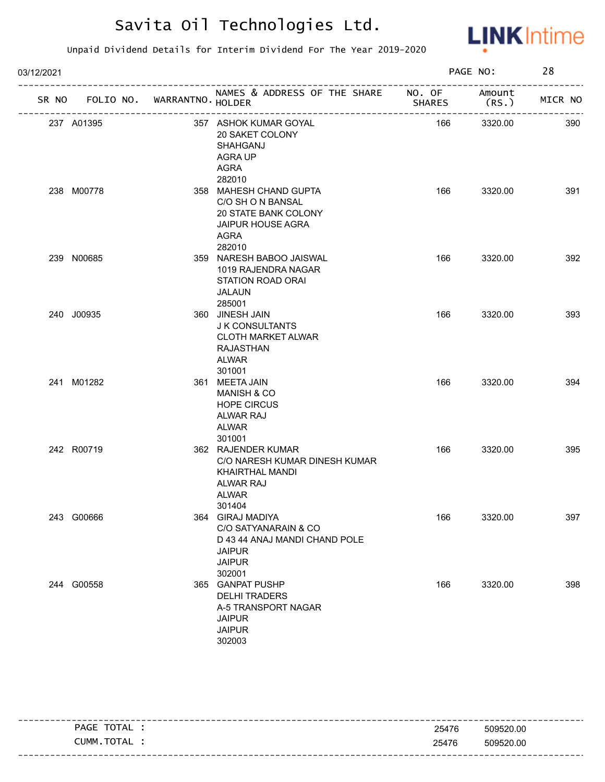

| 03/12/2021 |                                   |                                                                                                                       |               | PAGE NO:       | 28      |
|------------|-----------------------------------|-----------------------------------------------------------------------------------------------------------------------|---------------|----------------|---------|
|            | SR NO FOLIO NO. WARRANTNO. HOLDER | NAMES & ADDRESS OF THE SHARE NO. OF                                                                                   | <b>SHARES</b> | Amount<br>(RS. | MICR NO |
|            | 237 A01395                        | 357 ASHOK KUMAR GOYAL<br>20 SAKET COLONY<br>SHAHGANJ<br>AGRA UP<br>AGRA<br>282010                                     | 166           | 3320.00        | 390     |
|            | 238 M00778                        | 358 MAHESH CHAND GUPTA<br>C/O SH O N BANSAL<br>20 STATE BANK COLONY<br><b>JAIPUR HOUSE AGRA</b><br>AGRA<br>282010     | 166           | 3320.00        | 391     |
|            | 239 N00685                        | 359 NARESH BABOO JAISWAL<br>1019 RAJENDRA NAGAR<br><b>STATION ROAD ORAI</b><br>JALAUN<br>285001                       | 166           | 3320.00        | 392     |
|            | 240 J00935                        | 360 JINESH JAIN<br><b>J K CONSULTANTS</b><br><b>CLOTH MARKET ALWAR</b><br><b>RAJASTHAN</b><br>ALWAR<br>301001         | 166           | 3320.00        | 393     |
|            | 241 M01282                        | 361 MEETA JAIN<br><b>MANISH &amp; CO</b><br><b>HOPE CIRCUS</b><br>ALWAR RAJ<br>ALWAR<br>301001                        | 166           | 3320.00        | 394     |
|            | 242 R00719                        | 362 RAJENDER KUMAR<br>C/O NARESH KUMAR DINESH KUMAR<br>KHAIRTHAL MANDI<br>ALWAR RAJ<br><b>ALWAR</b><br>301404         | 166           | 3320.00        | 395     |
|            | 243 G00666                        | 364 GIRAJ MADIYA<br>C/O SATYANARAIN & CO<br>D 43 44 ANAJ MANDI CHAND POLE<br><b>JAIPUR</b><br><b>JAIPUR</b><br>302001 | 166           | 3320.00        | 397     |
|            | 244 G00558                        | 365 GANPAT PUSHP<br><b>DELHI TRADERS</b><br>A-5 TRANSPORT NAGAR<br><b>JAIPUR</b><br><b>JAIPUR</b><br>302003           | 166           | 3320.00        | 398     |

|                                                         |       | -------------------           |
|---------------------------------------------------------|-------|-------------------------------|
| <b>TOTAL</b><br><b>PAGE</b><br>$\overline{\phantom{a}}$ | 25476 | 509520.00                     |
| TOTAL<br>_UMM                                           | 25476 | 509520.00                     |
|                                                         |       | ----------------------------- |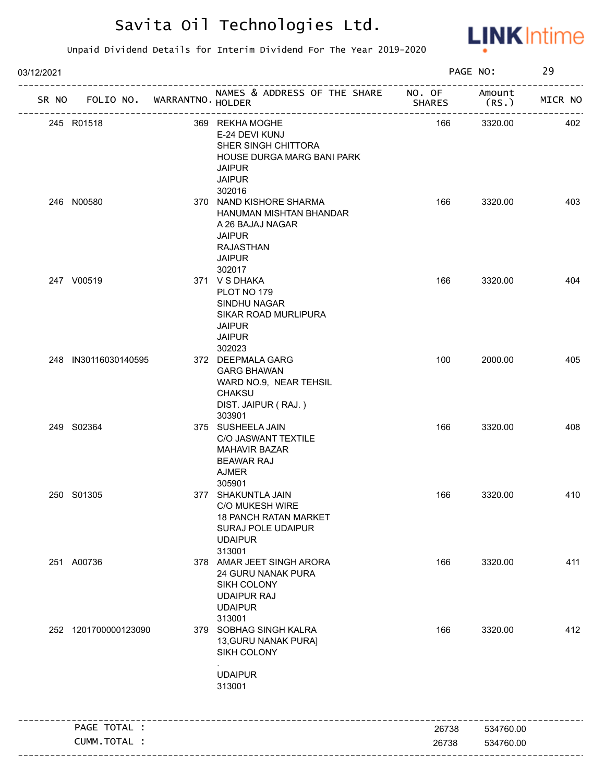

| 03/12/2021 |                                   |                                                                                                                                        |                | PAGE NO:               | 29      |
|------------|-----------------------------------|----------------------------------------------------------------------------------------------------------------------------------------|----------------|------------------------|---------|
|            | SR NO FOLIO NO. WARRANTNO. HOLDER | NAMES & ADDRESS OF THE SHARE NO. OF<br>_______________________                                                                         | <b>SHARES</b>  | Amount<br>(RS.         | MICR NO |
|            | 245 R01518                        | 369 REKHA MOGHE<br>E-24 DEVI KUNJ<br>SHER SINGH CHITTORA<br>HOUSE DURGA MARG BANI PARK<br><b>JAIPUR</b><br><b>JAIPUR</b><br>302016     | 166            | 3320.00                | 402     |
|            | 246 N00580                        | 370 NAND KISHORE SHARMA<br>HANUMAN MISHTAN BHANDAR<br>A 26 BAJAJ NAGAR<br><b>JAIPUR</b><br><b>RAJASTHAN</b><br><b>JAIPUR</b><br>302017 | 166            | 3320.00                | 403     |
|            | 247 V00519                        | 371 VSDHAKA<br>PLOT NO 179<br>SINDHU NAGAR<br>SIKAR ROAD MURLIPURA<br><b>JAIPUR</b><br><b>JAIPUR</b><br>302023                         | 166            | 3320.00                | 404     |
|            | 248 IN30116030140595              | 372 DEEPMALA GARG<br><b>GARG BHAWAN</b><br>WARD NO.9, NEAR TEHSIL<br><b>CHAKSU</b><br>DIST. JAIPUR (RAJ.)<br>303901                    | 100            | 2000.00                | 405     |
|            | 249 S02364                        | 375 SUSHEELA JAIN<br>C/O JASWANT TEXTILE<br><b>MAHAVIR BAZAR</b><br><b>BEAWAR RAJ</b><br><b>AJMER</b><br>305901                        | 166            | 3320.00                | 408     |
|            | 250 S01305                        | 377 SHAKUNTLA JAIN<br>C/O MUKESH WIRE<br><b>18 PANCH RATAN MARKET</b><br><b>SURAJ POLE UDAIPUR</b><br><b>UDAIPUR</b><br>313001         | 166            | 3320.00                | 410     |
|            | 251 A00736                        | 378 AMAR JEET SINGH ARORA<br><b>24 GURU NANAK PURA</b><br>SIKH COLONY<br><b>UDAIPUR RAJ</b><br><b>UDAIPUR</b><br>313001                | 166            | 3320.00                | 411     |
|            | 252 1201700000123090              | 379 SOBHAG SINGH KALRA<br>13, GURU NANAK PURAJ<br>SIKH COLONY<br><b>UDAIPUR</b><br>313001                                              | 166            | 3320.00                | 412     |
|            | PAGE TOTAL :                      |                                                                                                                                        |                |                        |         |
|            | CUMM.TOTAL :                      |                                                                                                                                        | 26738<br>26738 | 534760.00<br>534760.00 |         |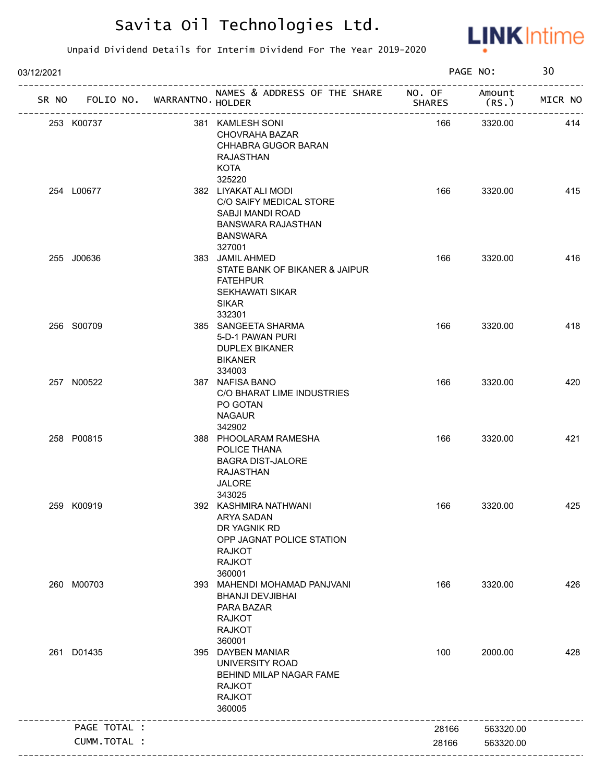

| 03/12/2021 |              |                             |                                                                                                                                         |               | PAGE NO:       | 30      |
|------------|--------------|-----------------------------|-----------------------------------------------------------------------------------------------------------------------------------------|---------------|----------------|---------|
| SR NO      |              | FOLIO NO. WARRANTNO. HOLDER | NAMES & ADDRESS OF THE SHARE NO. OF                                                                                                     | <b>SHARES</b> | Amount<br>(RS. | MICR NO |
|            | 253 K00737   |                             | 381 KAMLESH SONI<br>CHOVRAHA BAZAR<br>CHHABRA GUGOR BARAN<br>RAJASTHAN<br><b>KOTA</b>                                                   | 166           | 3320.00        | 414     |
|            | 254 L00677   |                             | 325220<br>382 LIYAKAT ALI MODI<br>C/O SAIFY MEDICAL STORE<br>SABJI MANDI ROAD<br><b>BANSWARA RAJASTHAN</b><br><b>BANSWARA</b><br>327001 | 166           | 3320.00        | 415     |
|            | 255 J00636   |                             | 383 JAMIL AHMED<br>STATE BANK OF BIKANER & JAIPUR<br><b>FATEHPUR</b><br><b>SEKHAWATI SIKAR</b><br><b>SIKAR</b><br>332301                | 166           | 3320.00        | 416     |
|            | 256 S00709   |                             | 385 SANGEETA SHARMA<br>5-D-1 PAWAN PURI<br><b>DUPLEX BIKANER</b><br>BIKANER<br>334003                                                   | 166           | 3320.00        | 418     |
|            | 257 N00522   |                             | 387 NAFISA BANO<br>C/O BHARAT LIME INDUSTRIES<br>PO GOTAN<br><b>NAGAUR</b><br>342902                                                    | 166           | 3320.00        | 420     |
|            | 258 P00815   |                             | 388 PHOOLARAM RAMESHA<br>POLICE THANA<br><b>BAGRA DIST-JALORE</b><br><b>RAJASTHAN</b><br><b>JALORE</b><br>343025                        | 166           | 3320.00        | 421     |
|            | 259 K00919   |                             | 392 KASHMIRA NATHWANI<br>ARYA SADAN<br>DR YAGNIK RD<br>OPP JAGNAT POLICE STATION<br><b>RAJKOT</b><br><b>RAJKOT</b><br>360001            | 166           | 3320.00        | 425     |
|            | 260 M00703   |                             | 393 MAHENDI MOHAMAD PANJVANI<br><b>BHANJI DEVJIBHAI</b><br>PARA BAZAR<br><b>RAJKOT</b><br><b>RAJKOT</b><br>360001                       | 166           | 3320.00        | 426     |
|            | 261 D01435   |                             | 395 DAYBEN MANIAR<br>UNIVERSITY ROAD<br>BEHIND MILAP NAGAR FAME<br><b>RAJKOT</b><br><b>RAJKOT</b><br>360005                             | 100           | 2000.00        | 428     |
|            | PAGE TOTAL : |                             |                                                                                                                                         | 28166         | 563320.00      |         |
|            | CUMM.TOTAL : |                             |                                                                                                                                         | 28166         | 563320.00      |         |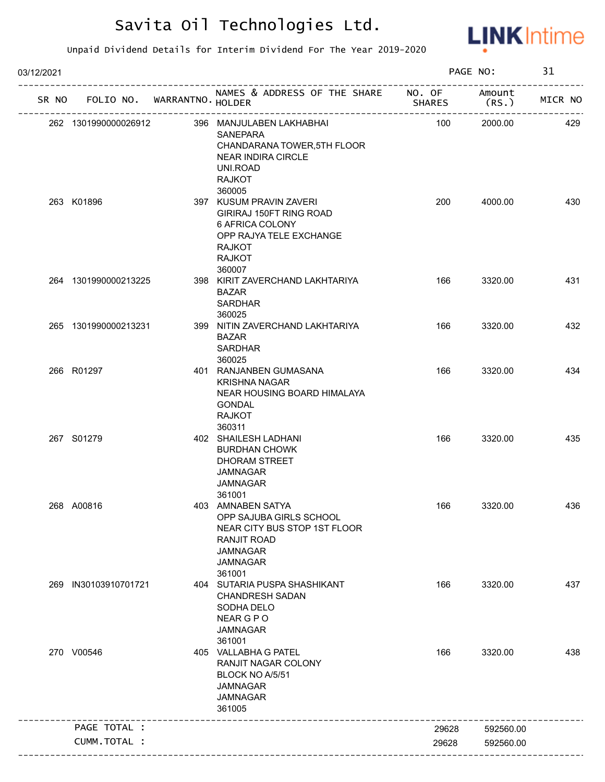

| 03/12/2021 |                             |                                                                                                                                                    |               | PAGE NO:        | 31      |
|------------|-----------------------------|----------------------------------------------------------------------------------------------------------------------------------------------------|---------------|-----------------|---------|
| SR NO      | FOLIO NO. WARRANTNO. HOLDER | NAMES & ADDRESS OF THE SHARE NO. OF<br>---------------------------                                                                                 | <b>SHARES</b> | Amount<br>(RS.) | MICR NO |
|            | 262 1301990000026912        | 396 MANJULABEN LAKHABHAI<br><b>SANEPARA</b><br>CHANDARANA TOWER, 5TH FLOOR<br><b>NEAR INDIRA CIRCLE</b><br>UNI.ROAD<br><b>RAJKOT</b><br>360005     | 100           | 2000.00         | 429     |
|            | 263 K01896                  | 397 KUSUM PRAVIN ZAVERI<br>GIRIRAJ 150FT RING ROAD<br>6 AFRICA COLONY<br>OPP RAJYA TELE EXCHANGE<br><b>RAJKOT</b><br><b>RAJKOT</b><br>360007       | 200           | 4000.00         | 430     |
|            | 264 1301990000213225        | 398 KIRIT ZAVERCHAND LAKHTARIYA<br><b>BAZAR</b><br><b>SARDHAR</b><br>360025                                                                        | 166           | 3320.00         | 431     |
|            | 265 1301990000213231        | 399 NITIN ZAVERCHAND LAKHTARIYA<br><b>BAZAR</b><br><b>SARDHAR</b><br>360025                                                                        | 166           | 3320.00         | 432     |
|            | 266 R01297                  | 401 RANJANBEN GUMASANA<br><b>KRISHNA NAGAR</b><br>NEAR HOUSING BOARD HIMALAYA<br><b>GONDAL</b><br><b>RAJKOT</b><br>360311                          | 166           | 3320.00         | 434     |
|            | 267 S01279                  | 402 SHAILESH LADHANI<br><b>BURDHAN CHOWK</b><br>DHORAM STREET<br><b>JAMNAGAR</b><br>JAMNAGAR<br>361001                                             | 166           | 3320.00         | 435     |
|            | 268 A00816                  | 403 AMNABEN SATYA<br>OPP SAJUBA GIRLS SCHOOL<br>NEAR CITY BUS STOP 1ST FLOOR<br><b>RANJIT ROAD</b><br><b>JAMNAGAR</b><br><b>JAMNAGAR</b><br>361001 | 166           | 3320.00         | 436     |
| 269        | IN30103910701721            | 404 SUTARIA PUSPA SHASHIKANT<br><b>CHANDRESH SADAN</b><br>SODHA DELO<br>NEAR G P O<br><b>JAMNAGAR</b><br>361001                                    | 166           | 3320.00         | 437     |
|            | 270 V00546                  | 405 VALLABHA G PATEL<br>RANJIT NAGAR COLONY<br>BLOCK NO A/5/51<br><b>JAMNAGAR</b><br><b>JAMNAGAR</b><br>361005                                     | 166           | 3320.00         | 438     |
|            | PAGE TOTAL :                |                                                                                                                                                    | 29628         | 592560.00       |         |
|            | CUMM.TOTAL :                |                                                                                                                                                    | 29628         | 592560.00       |         |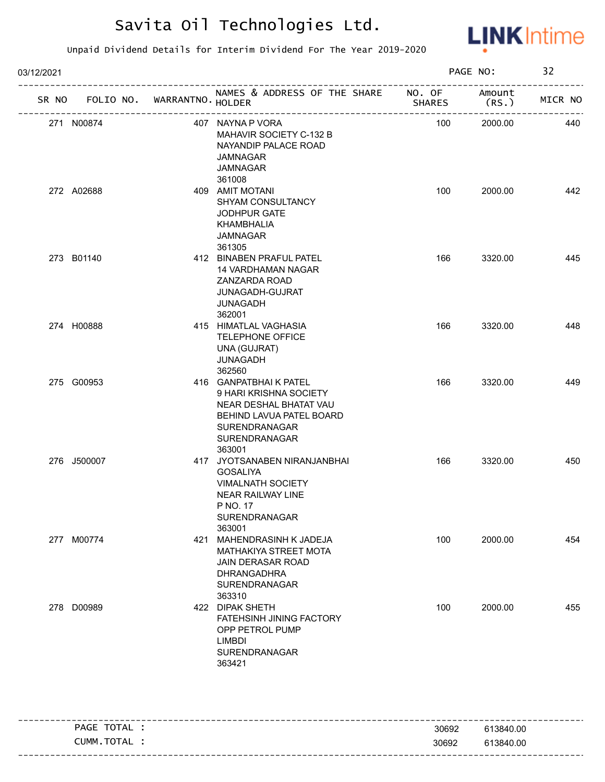

| 03/12/2021  |                             |                                                                                                                                                   |               | PAGE NO:                    | 32      |
|-------------|-----------------------------|---------------------------------------------------------------------------------------------------------------------------------------------------|---------------|-----------------------------|---------|
| SR NO       | FOLIO NO. WARRANTNO. HOLDER | NAMES & ADDRESS OF THE SHARE NO. OF                                                                                                               | <b>SHARES</b> | Amount<br>(RS.              | MICR NO |
| 271 N00874  | ------------------------    | 407 NAYNA P VORA<br>MAHAVIR SOCIETY C-132 B<br>NAYANDIP PALACE ROAD<br>JAMNAGAR<br>JAMNAGAR<br>361008                                             | 100           | ----------------<br>2000.00 | 440     |
| 272 A02688  |                             | 409 AMIT MOTANI<br>SHYAM CONSULTANCY<br>JODHPUR GATE<br>KHAMBHALIA<br>JAMNAGAR<br>361305                                                          | 100           | 2000.00                     | 442     |
| 273 B01140  |                             | 412 BINABEN PRAFUL PATEL<br><b>14 VARDHAMAN NAGAR</b><br>ZANZARDA ROAD<br>JUNAGADH-GUJRAT<br><b>JUNAGADH</b><br>362001                            | 166           | 3320.00                     | 445     |
| 274 H00888  |                             | 415 HIMATLAL VAGHASIA<br>TELEPHONE OFFICE<br>UNA (GUJRAT)<br>JUNAGADH<br>362560                                                                   | 166           | 3320.00                     | 448     |
| 275 G00953  |                             | 416 GANPATBHAIK PATEL<br>9 HARI KRISHNA SOCIETY<br>NEAR DESHAL BHATAT VAU<br>BEHIND LAVUA PATEL BOARD<br>SURENDRANAGAR<br>SURENDRANAGAR<br>363001 | 166           | 3320.00                     | 449     |
| 276 J500007 |                             | 417 JYOTSANABEN NIRANJANBHAI<br><b>GOSALIYA</b><br><b>VIMALNATH SOCIETY</b><br><b>NEAR RAILWAY LINE</b><br>P NO. 17<br>SURENDRANAGAR<br>363001    | 166           | 3320.00                     | 450     |
| 277 M00774  |                             | 421 MAHENDRASINH K JADEJA<br>MATHAKIYA STREET MOTA<br>JAIN DERASAR ROAD<br><b>DHRANGADHRA</b><br>SURENDRANAGAR<br>363310                          | 100           | 2000.00                     | 454     |
| 278 D00989  |                             | 422 DIPAK SHETH<br>FATEHSINH JINING FACTORY<br>OPP PETROL PUMP<br><b>LIMBDI</b><br><b>SURENDRANAGAR</b><br>363421                                 | 100           | 2000.00                     | 455     |

|          | <b>PAGE</b><br>.     | 30692 | 3840.00<br>61         |
|----------|----------------------|-------|-----------------------|
| -------- | тот<br>CUMM.<br>TAL. | 30692 | 3840.00<br>C 4<br>n I |
|          |                      |       |                       |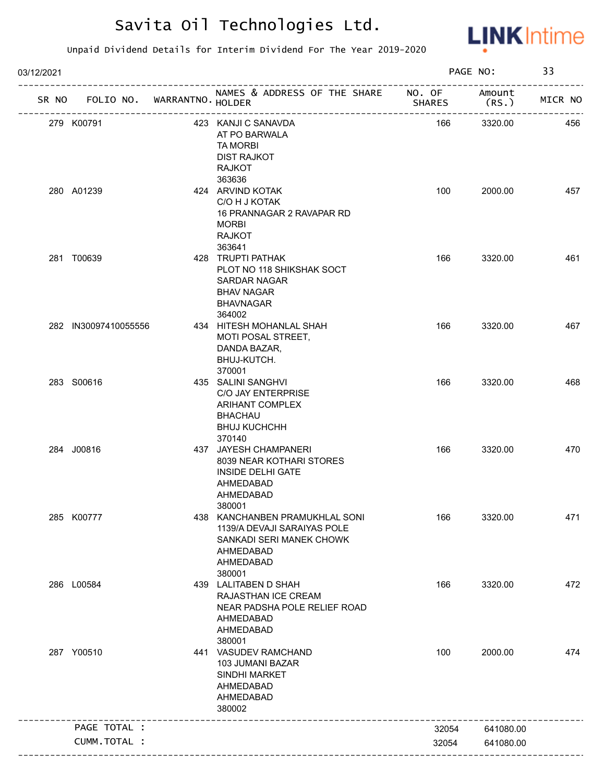

| 03/12/2021 |                             |                                                                                                                               |        | PAGE NO:        | 33      |
|------------|-----------------------------|-------------------------------------------------------------------------------------------------------------------------------|--------|-----------------|---------|
| SR NO      | FOLIO NO. WARRANTNO. HOLDER | NAMES & ADDRESS OF THE SHARE NO. OF                                                                                           | SHARES | Amount<br>(RS.) | MICR NO |
|            | 279 K00791                  | 423 KANJI C SANAVDA<br>AT PO BARWALA<br><b>TA MORBI</b><br><b>DIST RAJKOT</b><br><b>RAJKOT</b>                                | 166    | 3320.00         | 456     |
|            | 280 A01239                  | 363636<br>424 ARVIND KOTAK<br>C/O H J KOTAK<br>16 PRANNAGAR 2 RAVAPAR RD<br><b>MORBI</b><br><b>RAJKOT</b><br>363641           | 100    | 2000.00         | 457     |
|            | 281 T00639                  | 428 TRUPTI PATHAK<br>PLOT NO 118 SHIKSHAK SOCT<br><b>SARDAR NAGAR</b><br><b>BHAV NAGAR</b><br><b>BHAVNAGAR</b><br>364002      | 166    | 3320.00         | 461     |
|            | 282 IN30097410055556        | 434 HITESH MOHANLAL SHAH<br>MOTI POSAL STREET,<br>DANDA BAZAR,<br>BHUJ-KUTCH.<br>370001                                       | 166    | 3320.00         | 467     |
|            | 283 S00616                  | 435 SALINI SANGHVI<br>C/O JAY ENTERPRISE<br>ARIHANT COMPLEX<br><b>BHACHAU</b><br><b>BHUJ KUCHCHH</b><br>370140                | 166    | 3320.00         | 468     |
|            | 284 J00816                  | 437 JAYESH CHAMPANERI<br>8039 NEAR KOTHARI STORES<br><b>INSIDE DELHI GATE</b><br>AHMEDABAD<br>AHMEDABAD<br>380001             | 166    | 3320.00         | 470     |
|            | 285 K00777                  | 438 KANCHANBEN PRAMUKHLAL SONI<br>1139/A DEVAJI SARAIYAS POLE<br>SANKADI SERI MANEK CHOWK<br>AHMEDABAD<br>AHMEDABAD<br>380001 | 166    | 3320.00         | 471     |
|            | 286 L00584                  | 439 LALITABEN D SHAH<br>RAJASTHAN ICE CREAM<br>NEAR PADSHA POLE RELIEF ROAD<br>AHMEDABAD<br>AHMEDABAD<br>380001               | 166    | 3320.00         | 472     |
|            | 287 Y00510                  | 441 VASUDEV RAMCHAND<br>103 JUMANI BAZAR<br>SINDHI MARKET<br>AHMEDABAD<br>AHMEDABAD<br>380002                                 | 100    | 2000.00         | 474     |
|            | PAGE TOTAL :                |                                                                                                                               | 32054  | 641080.00       |         |
|            |                             |                                                                                                                               |        |                 |         |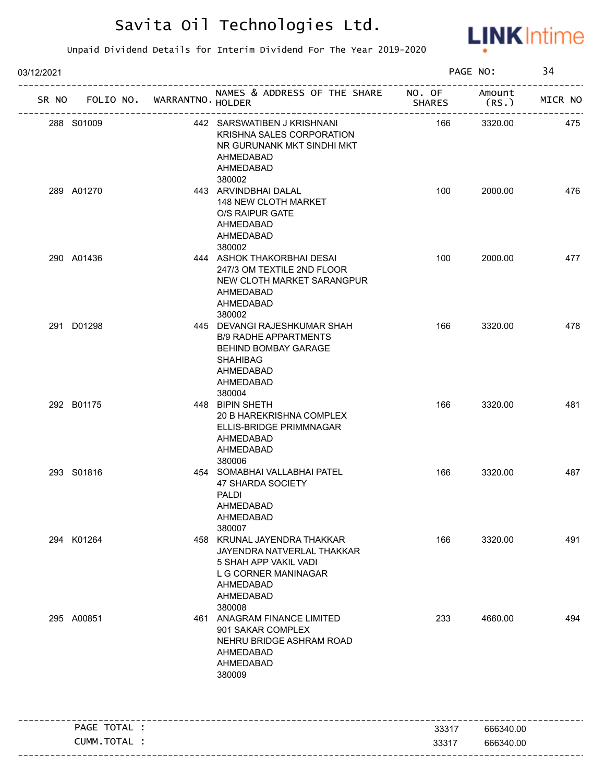

| 03/12/2021 |              |                                   |                                                                                                                                                |               | PAGE NO:        | 34      |
|------------|--------------|-----------------------------------|------------------------------------------------------------------------------------------------------------------------------------------------|---------------|-----------------|---------|
|            |              | SR NO FOLIO NO. WARRANTNO. HOLDER | NAMES & ADDRESS OF THE SHARE NO. OF                                                                                                            | <b>SHARES</b> | Amount<br>(RS.) | MICR NO |
| 288 S01009 |              |                                   | 442 SARSWATIBEN J KRISHNANI<br>KRISHNA SALES CORPORATION<br>NR GURUNANK MKT SINDHI MKT<br>AHMEDABAD<br>AHMEDABAD<br>380002                     | 166           | 3320.00         | 475     |
| 289 A01270 |              |                                   | 443 ARVINDBHAI DALAL<br><b>148 NEW CLOTH MARKET</b><br>O/S RAIPUR GATE<br>AHMEDABAD<br>AHMEDABAD<br>380002                                     | 100           | 2000.00         | 476     |
| 290 A01436 |              |                                   | 444 ASHOK THAKORBHAI DESAI<br>247/3 OM TEXTILE 2ND FLOOR<br>NEW CLOTH MARKET SARANGPUR<br>AHMEDABAD<br>AHMEDABAD<br>380002                     | 100           | 2000.00         | 477     |
| 291 D01298 |              |                                   | 445 DEVANGI RAJESHKUMAR SHAH<br><b>B/9 RADHE APPARTMENTS</b><br>BEHIND BOMBAY GARAGE<br><b>SHAHIBAG</b><br>AHMEDABAD<br>AHMEDABAD<br>380004    | 166           | 3320.00         | 478     |
| 292 B01175 |              |                                   | 448 BIPIN SHETH<br>20 B HAREKRISHNA COMPLEX<br>ELLIS-BRIDGE PRIMMNAGAR<br>AHMEDABAD<br>AHMEDABAD<br>380006                                     | 166           | 3320.00         | 481     |
| 293 S01816 |              |                                   | 454 SOMABHAI VALLABHAI PATEL<br><b>47 SHARDA SOCIETY</b><br><b>PALDI</b><br>AHMEDABAD<br>AHMEDABAD<br>380007                                   | 166           | 3320.00         | 487     |
| 294 K01264 |              |                                   | 458 KRUNAL JAYENDRA THAKKAR<br>JAYENDRA NATVERLAL THAKKAR<br>5 SHAH APP VAKIL VADI<br>L G CORNER MANINAGAR<br>AHMEDABAD<br>AHMEDABAD<br>380008 | 166           | 3320.00         | 491     |
| 295 A00851 |              |                                   | 461 ANAGRAM FINANCE LIMITED<br>901 SAKAR COMPLEX<br>NEHRU BRIDGE ASHRAM ROAD<br>AHMEDABAD<br>AHMEDABAD<br>380009                               | 233           | 4660.00         | 494     |
|            | PAGE TOTAL : |                                   |                                                                                                                                                | 33317         | 666340.00       |         |
|            | CUMM.TOTAL : |                                   |                                                                                                                                                | 33317         | 666340.00       |         |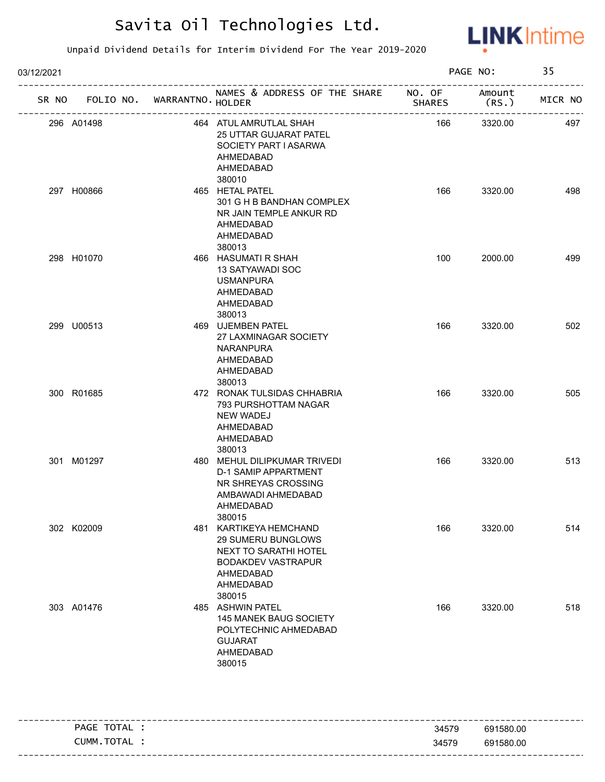

| 03/12/2021 |                             |  | PAGE NO:                                                                                                                               |               | 35             |         |
|------------|-----------------------------|--|----------------------------------------------------------------------------------------------------------------------------------------|---------------|----------------|---------|
| SR NO      | FOLIO NO. WARRANTNO. HOLDER |  | NAMES & ADDRESS OF THE SHARE NO. OF                                                                                                    | <b>SHARES</b> | Amount<br>(RS. | MICR NO |
|            | 296 A01498                  |  | 464 ATUL AMRUTLAL SHAH<br><b>25 UTTAR GUJARAT PATEL</b><br>SOCIETY PART I ASARWA<br>AHMEDABAD<br>AHMEDABAD<br>380010                   | 166           | 3320.00        | 497     |
|            | 297 H00866                  |  | 465 HETAL PATEL<br>301 G H B BANDHAN COMPLEX<br>NR JAIN TEMPLE ANKUR RD<br>AHMEDABAD<br>AHMEDABAD<br>380013                            | 166           | 3320.00        | 498     |
|            | 298 H01070                  |  | 466 HASUMATI R SHAH<br>13 SATYAWADI SOC<br><b>USMANPURA</b><br>AHMEDABAD<br>AHMEDABAD<br>380013                                        | 100           | 2000.00        | 499     |
|            | 299 U00513                  |  | 469 UJEMBEN PATEL<br>27 LAXMINAGAR SOCIETY<br><b>NARANPURA</b><br>AHMEDABAD<br>AHMEDABAD<br>380013                                     | 166           | 3320.00        | 502     |
|            | 300 R01685                  |  | 472 RONAK TULSIDAS CHHABRIA<br>793 PURSHOTTAM NAGAR<br><b>NEW WADEJ</b><br>AHMEDABAD<br>AHMEDABAD<br>380013                            | 166           | 3320.00        | 505     |
|            | 301 M01297                  |  | 480 MEHUL DILIPKUMAR TRIVEDI<br><b>D-1 SAMIP APPARTMENT</b><br>NR SHREYAS CROSSING<br>AMBAWADI AHMEDABAD<br>AHMEDABAD<br>380015        | 166           | 3320.00        | 513     |
|            | 302 K02009                  |  | 481 KARTIKEYA HEMCHAND<br>29 SUMERU BUNGLOWS<br>NEXT TO SARATHI HOTEL<br><b>BODAKDEV VASTRAPUR</b><br>AHMEDABAD<br>AHMEDABAD<br>380015 | 166           | 3320.00        | 514     |
|            | 303 A01476                  |  | 485 ASHWIN PATEL<br>145 MANEK BAUG SOCIETY<br>POLYTECHNIC AHMEDABAD<br><b>GUJARAT</b><br>AHMEDABAD<br>380015                           | 166           | 3320.00        | 518     |

| PAGE TOTAL | 34579 | 691580.00 |
|------------|-------|-----------|
| CUMM.TOTAL | 34579 | 691580.00 |
|            |       |           |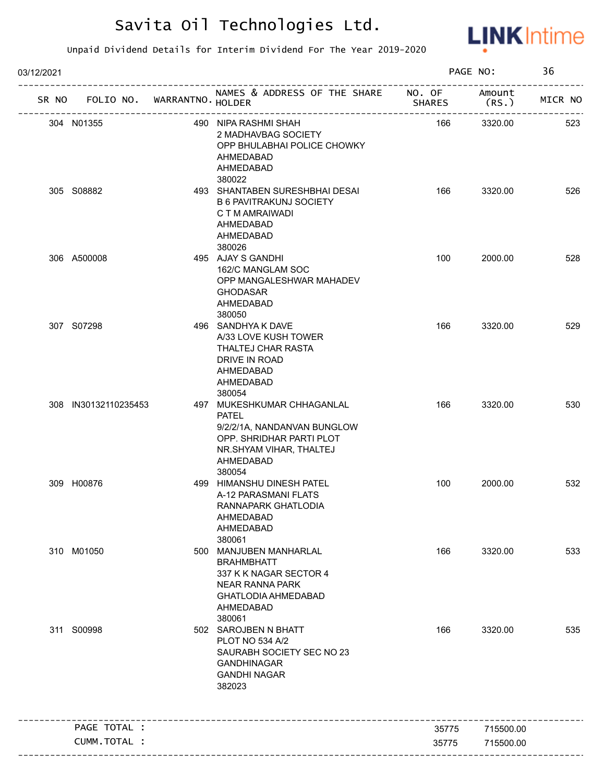

| 03/12/2021 |                                   |                                                                                                                                                         |               | PAGE NO:       | 36      |
|------------|-----------------------------------|---------------------------------------------------------------------------------------------------------------------------------------------------------|---------------|----------------|---------|
|            | SR NO FOLIO NO. WARRANTNO. HOLDER | NAMES & ADDRESS OF THE SHARE NO. OF<br>-<br>- <mark>----------------------</mark>                                                                       | <b>SHARES</b> | Amount<br>(RS. | MICR NO |
|            | 304 N01355                        | 490 NIPA RASHMI SHAH<br>2 MADHAVBAG SOCIETY<br>OPP BHULABHAI POLICE CHOWKY<br>AHMEDABAD<br>AHMEDABAD                                                    | 166           | 3320.00        | 523     |
|            | 305 S08882                        | 380022<br>493 SHANTABEN SURESHBHAI DESAI<br><b>B 6 PAVITRAKUNJ SOCIETY</b><br>C T M AMRAIWADI<br>AHMEDABAD<br>AHMEDABAD<br>380026                       | 166           | 3320.00        | 526     |
|            | 306 A500008                       | 495 AJAY S GANDHI<br>162/C MANGLAM SOC<br>OPP MANGALESHWAR MAHADEV<br><b>GHODASAR</b><br>AHMEDABAD<br>380050                                            | 100           | 2000.00        | 528     |
|            | 307 S07298                        | 496 SANDHYA K DAVE<br>A/33 LOVE KUSH TOWER<br>THALTEJ CHAR RASTA<br>DRIVE IN ROAD<br>AHMEDABAD<br>AHMEDABAD<br>380054                                   | 166           | 3320.00        | 529     |
|            | 308 IN30132110235453              | 497 MUKESHKUMAR CHHAGANLAL<br><b>PATEL</b><br>9/2/2/1A, NANDANVAN BUNGLOW<br>OPP. SHRIDHAR PARTI PLOT<br>NR.SHYAM VIHAR, THALTEJ<br>AHMEDABAD<br>380054 | 166           | 3320.00        | 530     |
|            | 309 H00876                        | 499 HIMANSHU DINESH PATEL<br>A-12 PARASMANI FLATS<br>RANNAPARK GHATLODIA<br>AHMEDABAD<br>AHMEDABAD<br>380061                                            | 100           | 2000.00        | 532     |
|            | 310 M01050                        | 500 MANJUBEN MANHARLAL<br><b>BRAHMBHATT</b><br>337 K K NAGAR SECTOR 4<br><b>NEAR RANNA PARK</b><br><b>GHATLODIA AHMEDABAD</b><br>AHMEDABAD<br>380061    | 166           | 3320.00        | 533     |
|            | 311 S00998                        | 502 SAROJBEN N BHATT<br>PLOT NO 534 A/2<br>SAURABH SOCIETY SEC NO 23<br><b>GANDHINAGAR</b><br><b>GANDHI NAGAR</b><br>382023                             | 166           | 3320.00        | 535     |
|            | PAGE TOTAL :                      |                                                                                                                                                         | 35775         | 715500.00      |         |
|            | CUMM.TOTAL :                      |                                                                                                                                                         |               |                |         |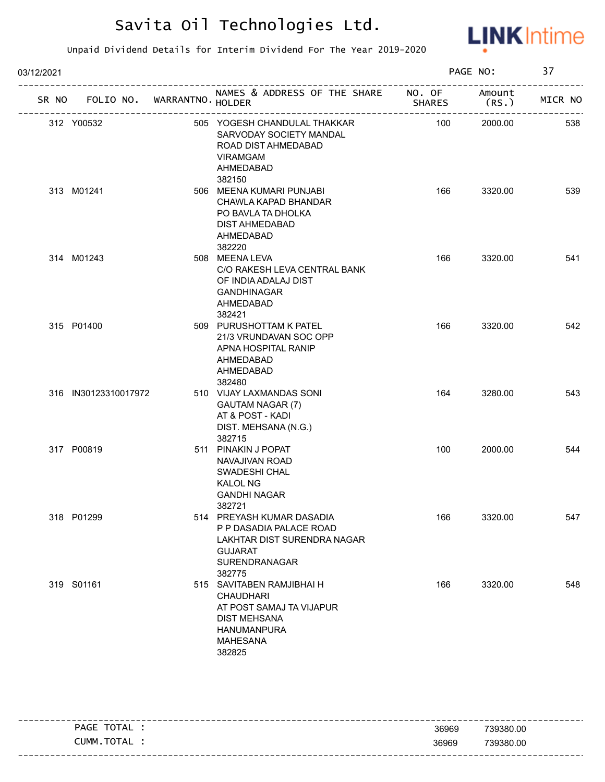

| 03/12/2021 |                      |                             |                                                                                                                                              |               | PAGE NO:        | 37      |
|------------|----------------------|-----------------------------|----------------------------------------------------------------------------------------------------------------------------------------------|---------------|-----------------|---------|
| SR NO      |                      | FOLIO NO. WARRANTNO. HOLDER | NAMES & ADDRESS OF THE SHARE NO. OF                                                                                                          | <b>SHARES</b> | Amount<br>(RS.) | MICR NO |
|            | 312 Y00532           |                             | 505 YOGESH CHANDULAL THAKKAR<br>SARVODAY SOCIETY MANDAL<br>ROAD DIST AHMEDABAD<br><b>VIRAMGAM</b><br>AHMEDABAD<br>382150                     | 100           | 2000.00         | 538     |
|            | 313 M01241           |                             | 506 MEENA KUMARI PUNJABI<br>CHAWLA KAPAD BHANDAR<br>PO BAVLA TA DHOLKA<br><b>DIST AHMEDABAD</b><br>AHMEDABAD<br>382220                       | 166           | 3320.00         | 539     |
|            | 314 M01243           |                             | 508 MEENA LEVA<br>C/O RAKESH LEVA CENTRAL BANK<br>OF INDIA ADALAJ DIST<br><b>GANDHINAGAR</b><br>AHMEDABAD<br>382421                          | 166           | 3320.00         | 541     |
|            | 315 P01400           |                             | 509 PURUSHOTTAM K PATEL<br>21/3 VRUNDAVAN SOC OPP<br>APNA HOSPITAL RANIP<br>AHMEDABAD<br>AHMEDABAD<br>382480                                 | 166           | 3320.00         | 542     |
|            | 316 IN30123310017972 |                             | 510 VIJAY LAXMANDAS SONI<br>GAUTAM NAGAR (7)<br>AT & POST - KADI<br>DIST. MEHSANA (N.G.)<br>382715                                           | 164           | 3280.00         | 543     |
|            | 317 P00819           |                             | 511 PINAKIN J POPAT<br>NAVAJIVAN ROAD<br>SWADESHI CHAL<br><b>KALOL NG</b><br><b>GANDHI NAGAR</b><br>382721                                   | 100           | 2000.00         | 544     |
|            | 318 P01299           |                             | 514 PREYASH KUMAR DASADIA<br>P P DASADIA PALACE ROAD<br>LAKHTAR DIST SURENDRA NAGAR<br><b>GUJARAT</b><br>SURENDRANAGAR<br>382775             | 166           | 3320.00         | 547     |
|            | 319 S01161           |                             | 515 SAVITABEN RAMJIBHAI H<br><b>CHAUDHARI</b><br>AT POST SAMAJ TA VIJAPUR<br><b>DIST MEHSANA</b><br>HANUMANPURA<br><b>MAHESANA</b><br>382825 | 166           | 3320.00         | 548     |

| TOTAL<br><b>PAGE</b> | 36969 | 739380.00 |
|----------------------|-------|-----------|
| CUMM.TOTAL           | 36969 | 739380.00 |
|                      |       |           |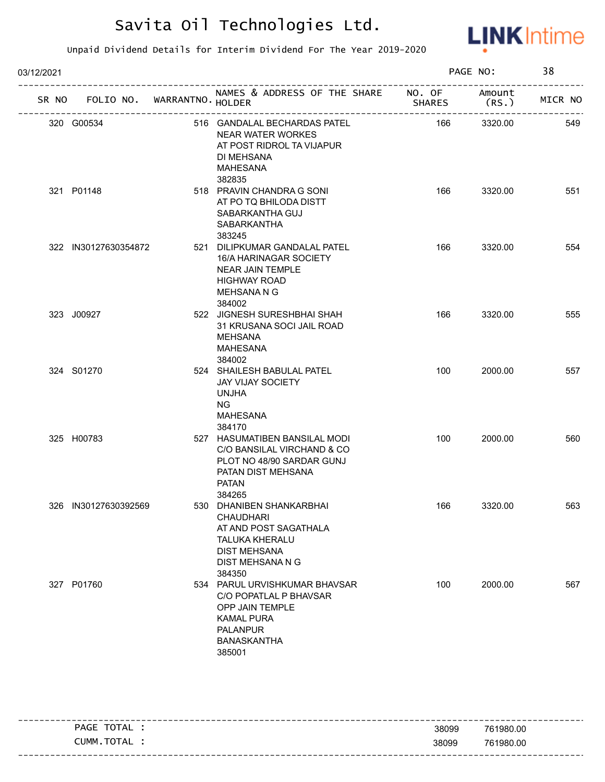

| 03/12/2021 |                             |  |                                                                                                                                                           | PAGE NO:                |                 |         |
|------------|-----------------------------|--|-----------------------------------------------------------------------------------------------------------------------------------------------------------|-------------------------|-----------------|---------|
| SR NO      | FOLIO NO. WARRANTNO. HOLDER |  | NAMES & ADDRESS OF THE SHARE                                                                                                                              | NO. OF<br><b>SHARES</b> | Amount<br>(RS.) | MICR NO |
|            | 320 G00534                  |  | 516 GANDALAL BECHARDAS PATEL<br><b>NEAR WATER WORKES</b><br>AT POST RIDROL TA VIJAPUR<br>DI MEHSANA<br>MAHESANA<br>382835                                 | 166                     | 3320.00         | 549     |
|            | 321 P01148                  |  | 518 PRAVIN CHANDRA G SONI<br>AT PO TQ BHILODA DISTT<br>SABARKANTHA GUJ<br>SABARKANTHA<br>383245                                                           | 166                     | 3320.00         | 551     |
|            | 322 IN30127630354872        |  | 521 DILIPKUMAR GANDALAL PATEL<br>16/A HARINAGAR SOCIETY<br>NEAR JAIN TEMPLE<br><b>HIGHWAY ROAD</b><br>MEHSANA N G<br>384002                               | 166                     | 3320.00         | 554     |
|            | 323 J00927                  |  | 522 JIGNESH SURESHBHAI SHAH<br>31 KRUSANA SOCI JAIL ROAD<br>MEHSANA<br>MAHESANA<br>384002                                                                 | 166                     | 3320.00         | 555     |
|            | 324 S01270                  |  | 524 SHAILESH BABULAL PATEL<br><b>JAY VIJAY SOCIETY</b><br><b>UNJHA</b><br>NG.<br><b>MAHESANA</b><br>384170                                                | 100                     | 2000.00         | 557     |
|            | 325 H00783                  |  | 527 HASUMATIBEN BANSILAL MODI<br>C/O BANSILAL VIRCHAND & CO<br>PLOT NO 48/90 SARDAR GUNJ<br>PATAN DIST MEHSANA<br><b>PATAN</b><br>384265                  | 100                     | 2000.00         | 560     |
|            | 326 IN30127630392569        |  | 530 DHANIBEN SHANKARBHAI<br><b>CHAUDHARI</b><br>AT AND POST SAGATHALA<br><b>TALUKA KHERALU</b><br><b>DIST MEHSANA</b><br>DIST MEHSANA N G<br>384350       | 166                     | 3320.00         | 563     |
|            | 327 P01760                  |  | 534 PARUL URVISHKUMAR BHAVSAR<br>C/O POPATLAL P BHAVSAR<br><b>OPP JAIN TEMPLE</b><br><b>KAMAL PURA</b><br><b>PALANPUR</b><br><b>BANASKANTHA</b><br>385001 | 100                     | 2000.00         | 567     |

| TOTAL<br>PAGE | 38099 | 761980.00 |
|---------------|-------|-----------|
| CUMM.TOTAL    | 38099 | 761980.00 |
|               |       |           |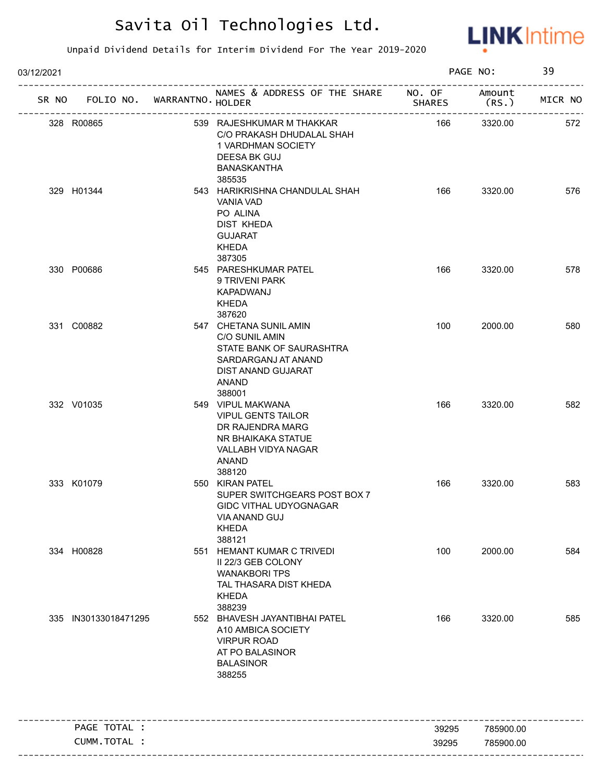

| 03/12/2021 |                                   |                                                                                                                                      |               | PAGE NO:        | 39      |
|------------|-----------------------------------|--------------------------------------------------------------------------------------------------------------------------------------|---------------|-----------------|---------|
|            | SR NO FOLIO NO. WARRANTNO. HOLDER | NAMES & ADDRESS OF THE SHARE NO. OF                                                                                                  | <b>SHARES</b> | Amount<br>(RS.) | MICR NO |
| 328 R00865 |                                   | 539 RAJESHKUMAR M THAKKAR<br>C/O PRAKASH DHUDALAL SHAH<br>1 VARDHMAN SOCIETY<br>DEESA BK GUJ<br>BANASKANTHA                          | 166           | 3320.00         | 572     |
| 329 H01344 |                                   | 385535<br>543 HARIKRISHNA CHANDULAL SHAH<br>VANIA VAD<br>PO ALINA<br>DIST KHEDA<br><b>GUJARAT</b><br>KHEDA<br>387305                 | 166           | 3320.00         | 576     |
| 330 P00686 |                                   | 545 PARESHKUMAR PATEL<br>9 TRIVENI PARK<br>KAPADWANJ<br>KHEDA<br>387620                                                              | 166           | 3320.00         | 578     |
| 331 C00882 |                                   | 547 CHETANA SUNIL AMIN<br>C/O SUNIL AMIN<br>STATE BANK OF SAURASHTRA<br>SARDARGANJ AT ANAND<br>DIST ANAND GUJARAT<br>ANAND<br>388001 | 100           | 2000.00         | 580     |
| 332 V01035 |                                   | 549 VIPUL MAKWANA<br><b>VIPUL GENTS TAILOR</b><br>DR RAJENDRA MARG<br>NR BHAIKAKA STATUE<br>VALLABH VIDYA NAGAR<br>ANAND<br>388120   | 166           | 3320.00         | 582     |
| 333 K01079 |                                   | 550 KIRAN PATEL<br>SUPER SWITCHGEARS POST BOX 7<br>GIDC VITHAL UDYOGNAGAR<br>VIA ANAND GUJ<br><b>KHEDA</b><br>388121                 | 166           | 3320.00         | 583     |
| 334 H00828 |                                   | 551 HEMANT KUMAR C TRIVEDI<br>II 22/3 GEB COLONY<br><b>WANAKBORI TPS</b><br>TAL THASARA DIST KHEDA<br><b>KHEDA</b><br>388239         | 100           | 2000.00         | 584     |
|            | 335 IN30133018471295              | 552 BHAVESH JAYANTIBHAI PATEL<br>A10 AMBICA SOCIETY<br><b>VIRPUR ROAD</b><br>AT PO BALASINOR<br><b>BALASINOR</b><br>388255           | 166           | 3320.00         | 585     |
|            | PAGE TOTAL :                      | ____________________________________                                                                                                 | 39295         | 785900.00       |         |
|            | CUMM. TOTAL :                     |                                                                                                                                      | 39295         | 785900.00       |         |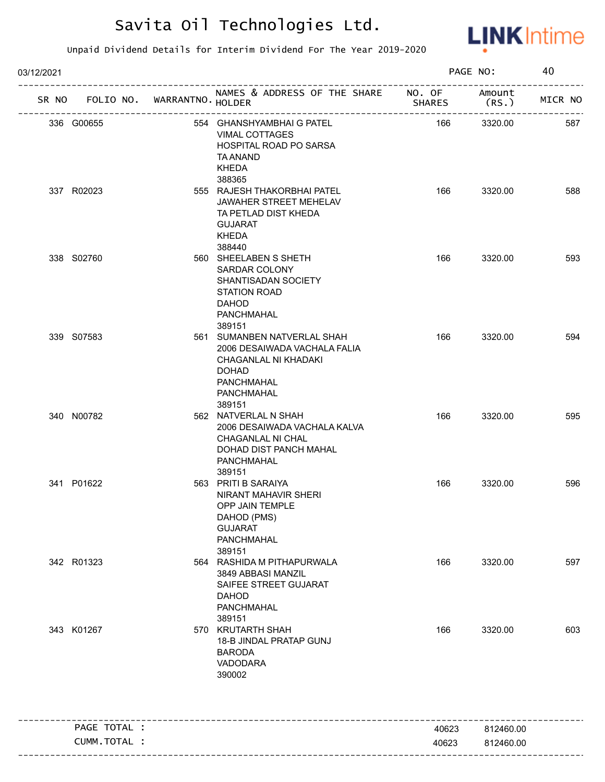

| 03/12/2021   |                             |                                                                                                                                           |                | PAGE NO:               | 40      |
|--------------|-----------------------------|-------------------------------------------------------------------------------------------------------------------------------------------|----------------|------------------------|---------|
| SR NO        | FOLIO NO. WARRANTNO. HOLDER | NAMES & ADDRESS OF THE SHARE NO. OF                                                                                                       | <b>SHARES</b>  | Amount<br>(RS.         | MICR NO |
| 336 G00655   |                             | 554 GHANSHYAMBHAI G PATEL<br><b>VIMAL COTTAGES</b><br>HOSPITAL ROAD PO SARSA<br>TA ANAND<br><b>KHEDA</b>                                  | 166            | 3320.00                | 587     |
| 337 R02023   |                             | 388365<br>555 RAJESH THAKORBHAI PATEL<br>JAWAHER STREET MEHELAV<br>TA PETLAD DIST KHEDA<br><b>GUJARAT</b><br>KHEDA<br>388440              | 166            | 3320.00                | 588     |
| 338 S02760   |                             | 560 SHEELABEN S SHETH<br>SARDAR COLONY<br>SHANTISADAN SOCIETY<br>STATION ROAD<br><b>DAHOD</b><br>PANCHMAHAL<br>389151                     | 166            | 3320.00                | 593     |
| 339 S07583   |                             | 561 SUMANBEN NATVERLAL SHAH<br>2006 DESAIWADA VACHALA FALIA<br>CHAGANLAL NI KHADAKI<br><b>DOHAD</b><br>PANCHMAHAL<br>PANCHMAHAL<br>389151 | 166            | 3320.00                | 594     |
| 340 N00782   |                             | 562 NATVERLAL N SHAH<br>2006 DESAIWADA VACHALA KALVA<br>CHAGANLAL NI CHAL<br>DOHAD DIST PANCH MAHAL<br>PANCHMAHAL<br>389151               | 166            | 3320.00                | 595     |
| 341 P01622   |                             | 563 PRITI B SARAIYA<br>NIRANT MAHAVIR SHERI<br><b>OPP JAIN TEMPLE</b><br>DAHOD (PMS)<br><b>GUJARAT</b><br>PANCHMAHAL<br>389151            | 166            | 3320.00                | 596     |
| 342 R01323   |                             | 564 RASHIDA M PITHAPURWALA<br>3849 ABBASI MANZIL<br>SAIFEE STREET GUJARAT<br><b>DAHOD</b><br>PANCHMAHAL<br>389151                         | 166            | 3320.00                | 597     |
| 343 K01267   |                             | 570 KRUTARTH SHAH<br>18-B JINDAL PRATAP GUNJ<br><b>BARODA</b><br>VADODARA<br>390002                                                       | 166            | 3320.00                | 603     |
| PAGE TOTAL : |                             |                                                                                                                                           |                |                        |         |
| CUMM.TOTAL : |                             |                                                                                                                                           | 40623<br>40623 | 812460.00<br>812460.00 |         |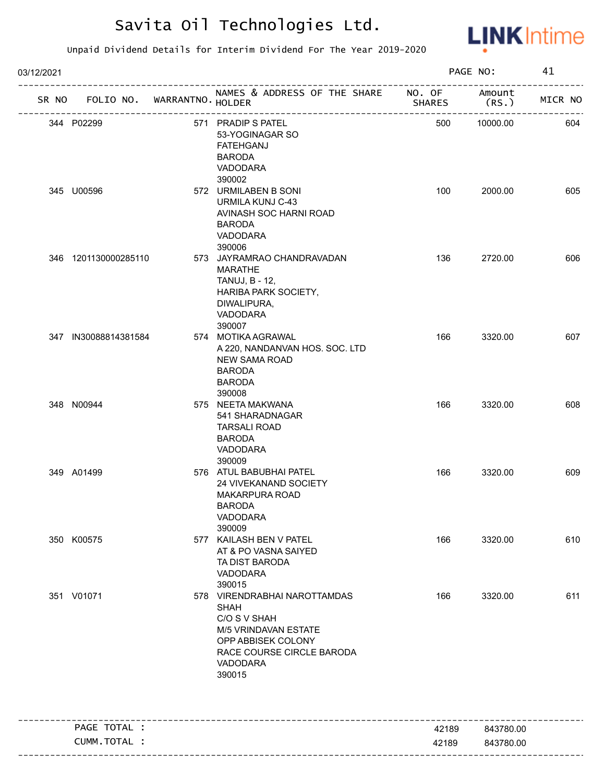

| 03/12/2021 |                      |                       |                                                                                                                                                              |                            | PAGE NO:              | 41      |
|------------|----------------------|-----------------------|--------------------------------------------------------------------------------------------------------------------------------------------------------------|----------------------------|-----------------------|---------|
| SR NO      | FOLIO NO.            | WARRANTNO. HOLDER     | NAMES & ADDRESS OF THE SHARE NO. OF                                                                                                                          | <b>SHARES</b><br>--------- | Amount<br>(RS.)       | MICR NO |
|            | 344 P02299           | --------------------- | 571 PRADIP S PATEL<br>53-YOGINAGAR SO<br><b>FATEHGANJ</b><br><b>BARODA</b><br>VADODARA                                                                       | 500                        | ---------<br>10000.00 | 604     |
|            | 345 U00596           |                       | 390002<br>572 URMILABEN B SONI<br>URMILA KUNJ C-43<br>AVINASH SOC HARNI ROAD<br><b>BARODA</b><br>VADODARA<br>390006                                          | 100                        | 2000.00               | 605     |
|            | 346 1201130000285110 |                       | 573 JAYRAMRAO CHANDRAVADAN<br><b>MARATHE</b><br>TANUJ, B - 12,<br><b>HARIBA PARK SOCIETY,</b><br>DIWALIPURA,<br>VADODARA<br>390007                           | 136                        | 2720.00               | 606     |
|            | 347 IN30088814381584 |                       | 574 MOTIKA AGRAWAL<br>A 220, NANDANVAN HOS. SOC. LTD<br><b>NEW SAMA ROAD</b><br><b>BARODA</b><br><b>BARODA</b><br>390008                                     | 166                        | 3320.00               | 607     |
|            | 348 N00944           |                       | 575 NEETA MAKWANA<br>541 SHARADNAGAR<br><b>TARSALI ROAD</b><br><b>BARODA</b><br>VADODARA<br>390009                                                           | 166                        | 3320.00               | 608     |
|            | 349 A01499           |                       | 576 ATUL BABUBHAI PATEL<br>24 VIVEKANAND SOCIETY<br>MAKARPURA ROAD<br>BARODA<br>VADODARA<br>390009                                                           | 166                        | 3320.00               | 609     |
|            | 350 K00575           |                       | 577 KAILASH BEN V PATEL<br>AT & PO VASNA SAIYED<br>TA DIST BARODA<br>VADODARA<br>390015                                                                      | 166                        | 3320.00               | 610     |
|            | 351 V01071           |                       | 578 VIRENDRABHAI NAROTTAMDAS<br><b>SHAH</b><br>C/O S V SHAH<br>M/5 VRINDAVAN ESTATE<br>OPP ABBISEK COLONY<br>RACE COURSE CIRCLE BARODA<br>VADODARA<br>390015 | 166                        | 3320.00               | 611     |
|            | PAGE TOTAL :         |                       |                                                                                                                                                              | 42189                      | 843780.00             |         |
|            | CUMM. TOTAL :        |                       |                                                                                                                                                              | 42189                      | 843780.00             |         |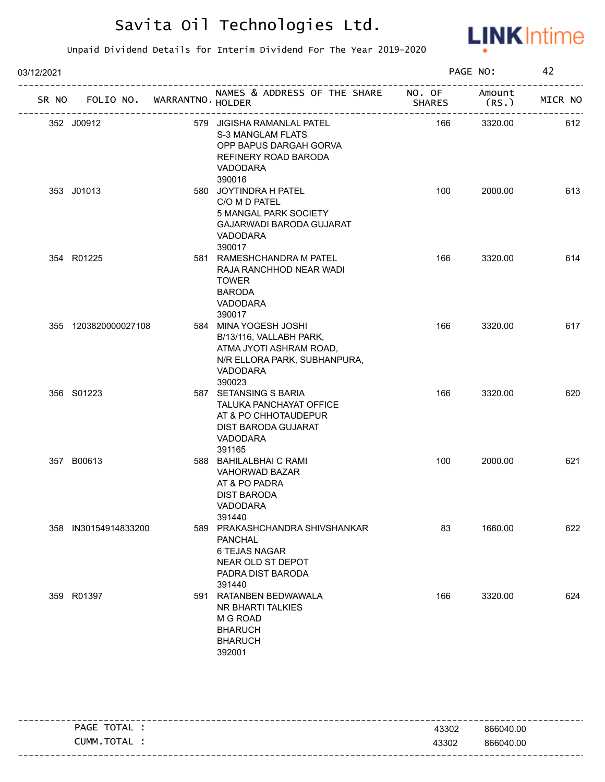

| 03/12/2021 |                                   |                                                                                                                                       |               | PAGE NO:        | 42      |
|------------|-----------------------------------|---------------------------------------------------------------------------------------------------------------------------------------|---------------|-----------------|---------|
|            | SR NO FOLIO NO. WARRANTNO. HOLDER | NAMES & ADDRESS OF THE SHARE NO. OF                                                                                                   | <b>SHARES</b> | Amount<br>(RS.) | MICR NO |
|            | 352 J00912                        | 579 JIGISHA RAMANLAL PATEL<br><b>S-3 MANGLAM FLATS</b><br>OPP BAPUS DARGAH GORVA<br>REFINERY ROAD BARODA<br><b>VADODARA</b><br>390016 | 166           | 3320.00         | 612     |
|            | 353 J01013                        | 580 JOYTINDRA H PATEL<br>C/O M D PATEL<br>5 MANGAL PARK SOCIETY<br><b>GAJARWADI BARODA GUJARAT</b><br>VADODARA<br>390017              | 100           | 2000.00         | 613     |
|            | 354 R01225                        | 581 RAMESHCHANDRA M PATEL<br>RAJA RANCHHOD NEAR WADI<br><b>TOWER</b><br><b>BARODA</b><br>VADODARA<br>390017                           | 166           | 3320.00         | 614     |
|            | 355 1203820000027108              | 584 MINA YOGESH JOSHI<br>B/13/116, VALLABH PARK,<br>ATMA JYOTI ASHRAM ROAD,<br>N/R ELLORA PARK, SUBHANPURA,<br>VADODARA<br>390023     | 166           | 3320.00         | 617     |
|            | 356 S01223                        | 587 SETANSING S BARIA<br>TALUKA PANCHAYAT OFFICE<br>AT & PO CHHOTAUDEPUR<br>DIST BARODA GUJARAT<br>VADODARA<br>391165                 | 166           | 3320.00         | 620     |
|            | 357 B00613                        | 588 BAHILALBHAI C RAMI<br>VAHORWAD BAZAR<br>AT & PO PADRA<br><b>DIST BARODA</b><br>VADODARA<br>391440                                 | 100           | 2000.00         | 621     |
|            | 358 IN30154914833200              | 589 PRAKASHCHANDRA SHIVSHANKAR<br><b>PANCHAL</b><br>6 TEJAS NAGAR<br>NEAR OLD ST DEPOT<br>PADRA DIST BARODA<br>391440                 | 83            | 1660.00         | 622     |
|            | 359 R01397                        | 591 RATANBEN BEDWAWALA<br>NR BHARTI TALKIES<br>M G ROAD<br><b>BHARUCH</b><br><b>BHARUCH</b><br>392001                                 | 166           | 3320.00         | 624     |

| ------- |               |       |           |
|---------|---------------|-------|-----------|
|         | TOTAL<br>PAGE | 43302 | 866040.00 |
|         | CUMM.TOTAL    | 43302 | 866040.00 |
|         |               |       |           |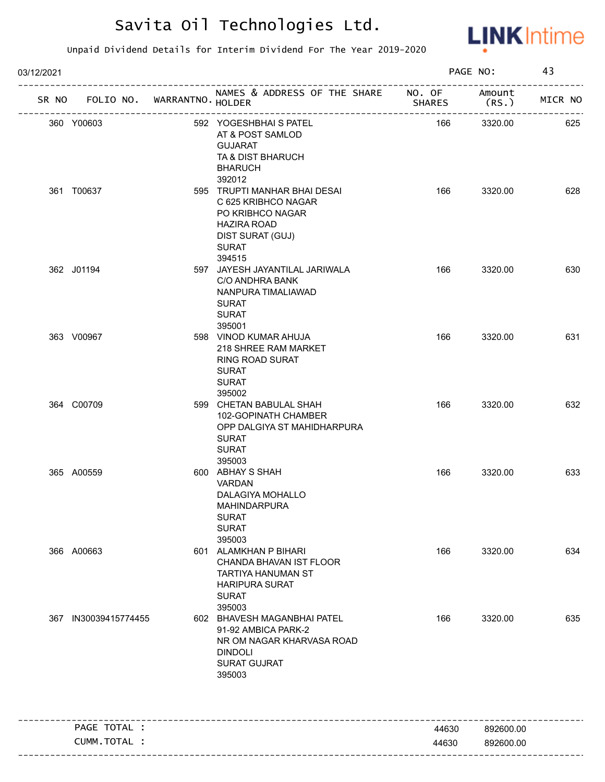

| 03/12/2021 |                              |                             |                                                                                                                                                       |               | PAGE NO:        | 43      |
|------------|------------------------------|-----------------------------|-------------------------------------------------------------------------------------------------------------------------------------------------------|---------------|-----------------|---------|
| SR NO      |                              | FOLIO NO. WARRANTNO. HOLDER | NAMES & ADDRESS OF THE SHARE NO. OF                                                                                                                   | <b>SHARES</b> | Amount<br>(RS.) | MICR NO |
|            | 360 Y00603                   |                             | 592 YOGESHBHAI S PATEL<br>AT & POST SAMLOD<br><b>GUJARAT</b><br>TA & DIST BHARUCH<br><b>BHARUCH</b>                                                   | 166           | 3320.00         | 625     |
|            | 361 T00637                   |                             | 392012<br>595 TRUPTI MANHAR BHAI DESAI<br>C 625 KRIBHCO NAGAR<br>PO KRIBHCO NAGAR<br><b>HAZIRA ROAD</b><br>DIST SURAT (GUJ)<br><b>SURAT</b><br>394515 | 166           | 3320.00         | 628     |
|            | 362 J01194                   |                             | 597 JAYESH JAYANTILAL JARIWALA<br>C/O ANDHRA BANK<br>NANPURA TIMALIAWAD<br><b>SURAT</b><br><b>SURAT</b><br>395001                                     | 166           | 3320.00         | 630     |
|            | 363 V00967                   |                             | 598 VINOD KUMAR AHUJA<br>218 SHREE RAM MARKET<br>RING ROAD SURAT<br><b>SURAT</b><br><b>SURAT</b><br>395002                                            | 166           | 3320.00         | 631     |
|            | 364 C00709                   |                             | 599 CHETAN BABULAL SHAH<br>102-GOPINATH CHAMBER<br>OPP DALGIYA ST MAHIDHARPURA<br><b>SURAT</b><br><b>SURAT</b><br>395003                              | 166           | 3320.00         | 632     |
|            | 365 A00559                   |                             | 600 ABHAY S SHAH<br>VARDAN<br>DALAGIYA MOHALLO<br><b>MAHINDARPURA</b><br><b>SURAT</b><br><b>SURAT</b><br>395003                                       | 166           | 3320.00         | 633     |
|            | 366 A00663                   |                             | 601 ALAMKHAN P BIHARI<br>CHANDA BHAVAN IST FLOOR<br>TARTIYA HANUMAN ST<br><b>HARIPURA SURAT</b><br><b>SURAT</b><br>395003                             | 166           | 3320.00         | 634     |
|            | 367 IN30039415774455         |                             | 602 BHAVESH MAGANBHAI PATEL<br>91-92 AMBICA PARK-2<br>NR OM NAGAR KHARVASA ROAD<br><b>DINDOLI</b><br><b>SURAT GUJRAT</b><br>395003                    | 166           | 3320.00         | 635     |
|            |                              |                             |                                                                                                                                                       |               |                 |         |
|            | PAGE TOTAL :<br>CUMM.TOTAL : |                             |                                                                                                                                                       | 44630         | 892600.00       |         |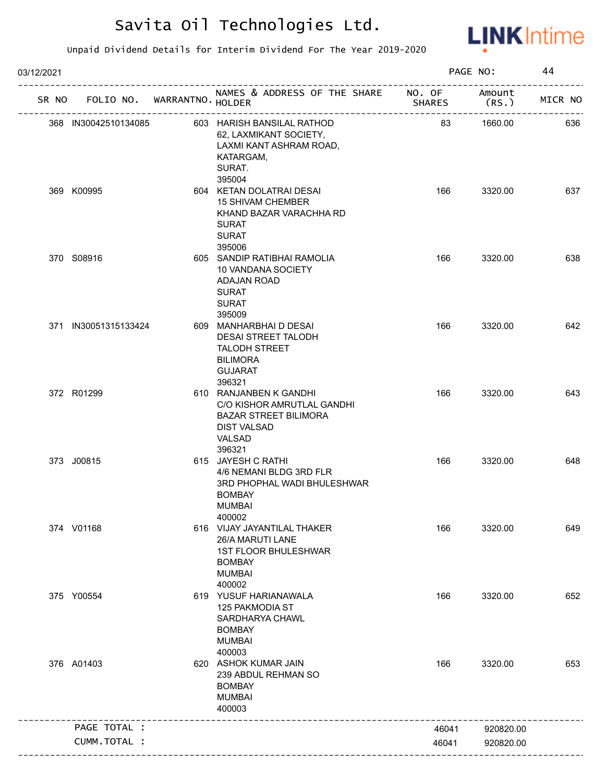

| 03/12/2021 |                             |                                                                                                                                |               | PAGE NO:        | 44      |
|------------|-----------------------------|--------------------------------------------------------------------------------------------------------------------------------|---------------|-----------------|---------|
| SR NO      | FOLIO NO. WARRANTNO. HOLDER | NAMES & ADDRESS OF THE SHARE NO. OF                                                                                            | <b>SHARES</b> | Amount<br>(RS.) | MICR NO |
|            | 368 IN30042510134085        | 603 HARISH BANSILAL RATHOD<br>62, LAXMIKANT SOCIETY,<br>LAXMI KANT ASHRAM ROAD,<br>KATARGAM,<br>SURAT.                         | 83            | 1660.00         | 636     |
|            | 369 K00995                  | 395004<br>604 KETAN DOLATRAI DESAI<br><b>15 SHIVAM CHEMBER</b><br>KHAND BAZAR VARACHHA RD<br><b>SURAT</b><br><b>SURAT</b>      | 166           | 3320.00         | 637     |
|            | 370 S08916                  | 395006<br>605 SANDIP RATIBHAI RAMOLIA<br>10 VANDANA SOCIETY<br>ADAJAN ROAD<br><b>SURAT</b><br><b>SURAT</b><br>395009           | 166           | 3320.00         | 638     |
|            | 371 IN30051315133424        | 609 MANHARBHAI D DESAI<br>DESAI STREET TALODH<br><b>TALODH STREET</b><br><b>BILIMORA</b><br><b>GUJARAT</b><br>396321           | 166           | 3320.00         | 642     |
|            | 372 R01299                  | 610 RANJANBEN K GANDHI<br>C/O KISHOR AMRUTLAL GANDHI<br><b>BAZAR STREET BILIMORA</b><br><b>DIST VALSAD</b><br>VALSAD<br>396321 | 166           | 3320.00         | 643     |
|            | 373 J00815                  | 615 JAYESH C RATHI<br>4/6 NEMANI BLDG 3RD FLR<br>3RD PHOPHAL WADI BHULESHWAR<br><b>BOMBAY</b><br><b>MUMBAI</b><br>400002       | 166           | 3320.00         | 648     |
|            | 374 V01168                  | 616 VIJAY JAYANTILAL THAKER<br>26/A MARUTI LANE<br><b>1ST FLOOR BHULESHWAR</b><br><b>BOMBAY</b><br><b>MUMBAI</b><br>400002     | 166           | 3320.00         | 649     |
|            | 375 Y00554                  | 619 YUSUF HARIANAWALA<br>125 PAKMODIA ST<br>SARDHARYA CHAWL<br><b>BOMBAY</b><br><b>MUMBAI</b><br>400003                        | 166           | 3320.00         | 652     |
|            | 376 A01403                  | 620 ASHOK KUMAR JAIN<br>239 ABDUL REHMAN SO<br><b>BOMBAY</b><br><b>MUMBAI</b><br>400003                                        | 166           | 3320.00         | 653     |
|            | PAGE TOTAL :                |                                                                                                                                | 46041         | 920820.00       |         |
|            | CUMM.TOTAL :                |                                                                                                                                | 46041         | 920820.00       |         |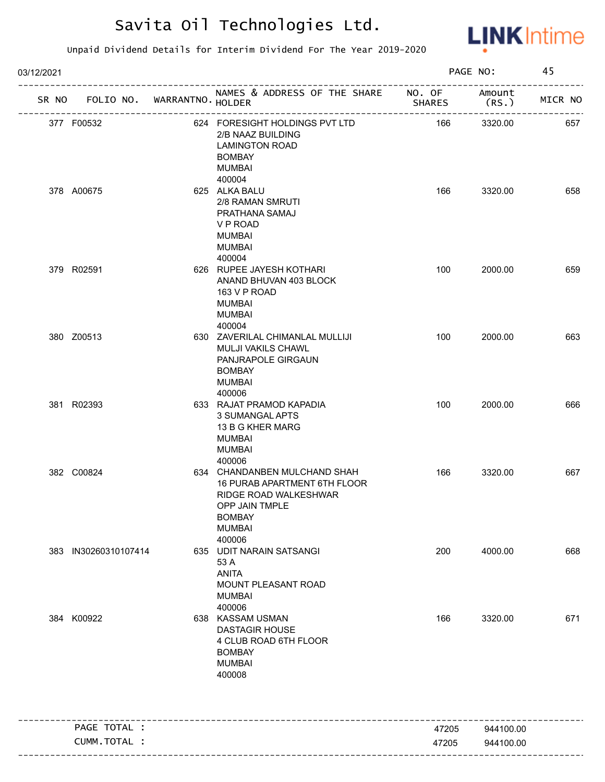

| 03/12/2021 |                      |                                   |                                                                                                                                                     |               | PAGE NO:       | 45      |
|------------|----------------------|-----------------------------------|-----------------------------------------------------------------------------------------------------------------------------------------------------|---------------|----------------|---------|
|            |                      | SR NO FOLIO NO. WARRANTNO. HOLDER | NAMES & ADDRESS OF THE SHARE NO. OF                                                                                                                 | <b>SHARES</b> | Amount<br>(RS. | MICR NO |
|            | 377 F00532           |                                   | 624 FORESIGHT HOLDINGS PVT LTD<br>2/B NAAZ BUILDING<br><b>LAMINGTON ROAD</b><br><b>BOMBAY</b><br>MUMBAI                                             | 166           | 3320.00        | 657     |
|            | 378 A00675           |                                   | 400004<br>625 ALKA BALU<br>2/8 RAMAN SMRUTI<br>PRATHANA SAMAJ<br>V P ROAD<br><b>MUMBAI</b><br><b>MUMBAI</b><br>400004                               | 166           | 3320.00        | 658     |
|            | 379 R02591           |                                   | 626 RUPEE JAYESH KOTHARI<br>ANAND BHUVAN 403 BLOCK<br>163 V P ROAD<br><b>MUMBAI</b><br>MUMBAI<br>400004                                             | 100           | 2000.00        | 659     |
|            | 380 Z00513           |                                   | 630 ZAVERILAL CHIMANLAL MULLIJI<br>MULJI VAKILS CHAWL<br>PANJRAPOLE GIRGAUN<br><b>BOMBAY</b><br><b>MUMBAI</b><br>400006                             | 100           | 2000.00        | 663     |
|            | 381 R02393           |                                   | 633 RAJAT PRAMOD KAPADIA<br>3 SUMANGAL APTS<br>13 B G KHER MARG<br><b>MUMBAI</b><br><b>MUMBAI</b><br>400006                                         | 100           | 2000.00        | 666     |
|            | 382 C00824           |                                   | 634 CHANDANBEN MULCHAND SHAH<br>16 PURAB APARTMENT 6TH FLOOR<br>RIDGE ROAD WALKESHWAR<br>OPP JAIN TMPLE<br><b>BOMBAY</b><br><b>MUMBAI</b><br>400006 | 166           | 3320.00        | 667     |
|            | 383 IN30260310107414 |                                   | 635 UDIT NARAIN SATSANGI<br>53 A<br><b>ANITA</b><br>MOUNT PLEASANT ROAD<br><b>MUMBAI</b><br>400006                                                  | 200           | 4000.00        | 668     |
|            | 384 K00922           |                                   | 638 KASSAM USMAN<br><b>DASTAGIR HOUSE</b><br>4 CLUB ROAD 6TH FLOOR<br><b>BOMBAY</b><br><b>MUMBAI</b><br>400008                                      | 166           | 3320.00        | 671     |
|            | PAGE TOTAL :         |                                   |                                                                                                                                                     | 47205         | 944100.00      |         |
|            | CUMM.TOTAL :         |                                   |                                                                                                                                                     | 47205         | 944100.00      |         |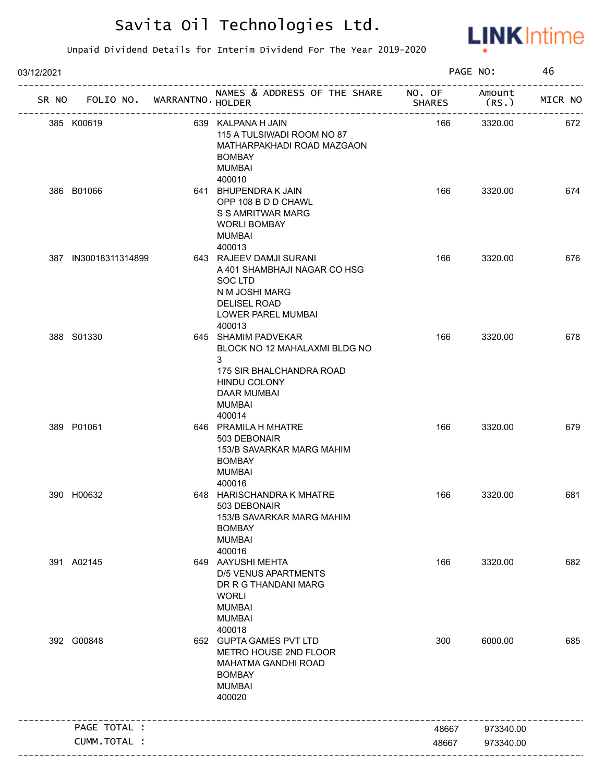

| 03/12/2021 |                             |                                                                                                                                                 |               | PAGE NO:        | 46      |
|------------|-----------------------------|-------------------------------------------------------------------------------------------------------------------------------------------------|---------------|-----------------|---------|
| SR NO      | FOLIO NO. WARRANTNO. HOLDER | NAMES & ADDRESS OF THE SHARE NO. OF<br>---------------------                                                                                    | <b>SHARES</b> | Amount<br>(RS.) | MICR NO |
|            | 385 K00619                  | 639 KALPANA H JAIN<br>115 A TULSIWADI ROOM NO 87<br>MATHARPAKHADI ROAD MAZGAON<br><b>BOMBAY</b><br><b>MUMBAI</b>                                | 166           | 3320.00         | 672     |
|            | 386 B01066                  | 400010<br>641 BHUPENDRAK JAIN<br>OPP 108 B D D CHAWL<br>S S AMRITWAR MARG<br><b>WORLI BOMBAY</b><br><b>MUMBAI</b><br>400013                     | 166           | 3320.00         | 674     |
|            | 387 IN30018311314899        | 643 RAJEEV DAMJI SURANI<br>A 401 SHAMBHAJI NAGAR CO HSG<br>SOC LTD<br>N M JOSHI MARG<br>DELISEL ROAD<br>LOWER PAREL MUMBAI<br>400013            | 166           | 3320.00         | 676     |
|            | 388 S01330                  | 645 SHAMIM PADVEKAR<br>BLOCK NO 12 MAHALAXMI BLDG NO<br>3<br>175 SIR BHALCHANDRA ROAD<br>HINDU COLONY<br><b>DAAR MUMBAI</b><br>MUMBAI<br>400014 | 166           | 3320.00         | 678     |
|            | 389 P01061                  | 646 PRAMILA H MHATRE<br>503 DEBONAIR<br>153/B SAVARKAR MARG MAHIM<br><b>BOMBAY</b><br><b>MUMBAI</b><br>400016                                   | 166           | 3320.00         | 679     |
|            | 390 H00632                  | 648 HARISCHANDRA K MHATRE<br>503 DEBONAIR<br>153/B SAVARKAR MARG MAHIM<br><b>BOMBAY</b><br><b>MUMBAI</b><br>400016                              | 166           | 3320.00         | 681     |
|            | 391 A02145                  | 649 AAYUSHI MEHTA<br><b>D/5 VENUS APARTMENTS</b><br>DR R G THANDANI MARG<br><b>WORLI</b><br><b>MUMBAI</b><br><b>MUMBAI</b><br>400018            | 166           | 3320.00         | 682     |
|            | 392 G00848                  | 652 GUPTA GAMES PVT LTD<br>METRO HOUSE 2ND FLOOR<br>MAHATMA GANDHI ROAD<br><b>BOMBAY</b><br><b>MUMBAI</b><br>400020                             | 300           | 6000.00         | 685     |
|            | PAGE TOTAL :                |                                                                                                                                                 | 48667         | 973340.00       |         |
|            | CUMM.TOTAL :                |                                                                                                                                                 | 48667         | 973340.00       |         |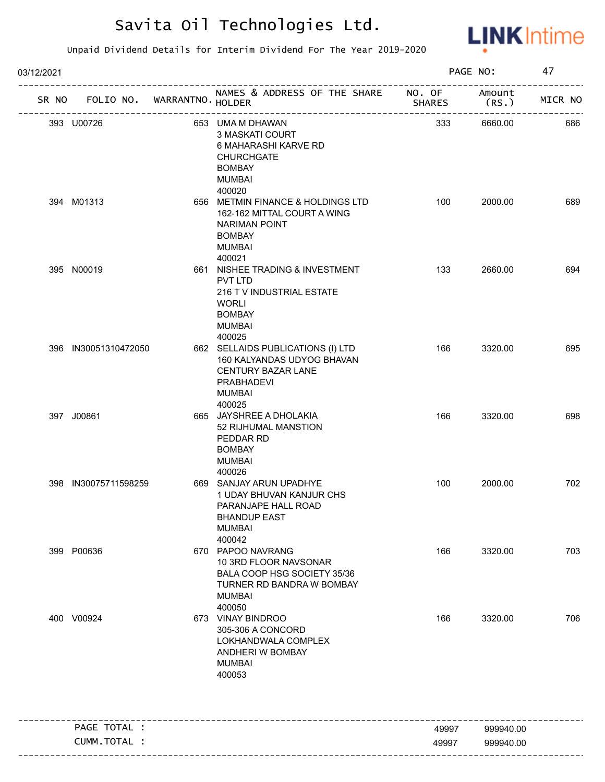

| 03/12/2021 |                      |                                   |                                                                                                                                       | PAGE NO:      |                 | 47      |
|------------|----------------------|-----------------------------------|---------------------------------------------------------------------------------------------------------------------------------------|---------------|-----------------|---------|
|            |                      | SR NO FOLIO NO. WARRANTNO. HOLDER | NAMES & ADDRESS OF THE SHARE NO. OF                                                                                                   | <b>SHARES</b> | Amount<br>(RS.) | MICR NO |
|            | 393 U00726           |                                   | 653 UMA M DHAWAN<br>3 MASKATI COURT<br>6 MAHARASHI KARVE RD<br><b>CHURCHGATE</b><br><b>BOMBAY</b><br><b>MUMBAI</b><br>400020          | 333           | 6660.00         | 686     |
|            | 394 M01313           |                                   | 656 METMIN FINANCE & HOLDINGS LTD<br>162-162 MITTAL COURT A WING<br>NARIMAN POINT<br><b>BOMBAY</b><br><b>MUMBAI</b><br>400021         | 100           | 2000.00         | 689     |
|            | 395 N00019           |                                   | 661 NISHEE TRADING & INVESTMENT<br>PVT LTD<br>216 T V INDUSTRIAL ESTATE<br><b>WORLI</b><br><b>BOMBAY</b><br><b>MUMBAI</b><br>400025   | 133           | 2660.00         | 694     |
|            | 396 IN30051310472050 |                                   | 662 SELLAIDS PUBLICATIONS (I) LTD<br>160 KALYANDAS UDYOG BHAVAN<br>CENTURY BAZAR LANE<br><b>PRABHADEVI</b><br><b>MUMBAI</b><br>400025 | 166           | 3320.00         | 695     |
|            | 397 J00861           |                                   | 665 JAYSHREE A DHOLAKIA<br>52 RIJHUMAL MANSTION<br>PEDDAR RD<br><b>BOMBAY</b><br><b>MUMBAI</b><br>400026                              | 166           | 3320.00         | 698     |
|            | 398 IN30075711598259 |                                   | 669 SANJAY ARUN UPADHYE<br>1 UDAY BHUVAN KANJUR CHS<br>PARANJAPE HALL ROAD<br><b>BHANDUP EAST</b><br><b>MUMBAI</b><br>400042          | 100           | 2000.00         | 702     |
|            | 399 P00636           |                                   | 670 PAPOO NAVRANG<br>10 3RD FLOOR NAVSONAR<br>BALA COOP HSG SOCIETY 35/36<br>TURNER RD BANDRA W BOMBAY<br><b>MUMBAI</b><br>400050     | 166           | 3320.00         | 703     |
|            | 400 V00924           |                                   | 673 VINAY BINDROO<br>305-306 A CONCORD<br>LOKHANDWALA COMPLEX<br>ANDHERI W BOMBAY<br><b>MUMBAI</b><br>400053                          | 166           | 3320.00         | 706     |
|            | PAGE TOTAL :         |                                   |                                                                                                                                       | 49997         | 999940.00       |         |
|            | CUMM.TOTAL :         |                                   |                                                                                                                                       | 49997         | 999940.00       |         |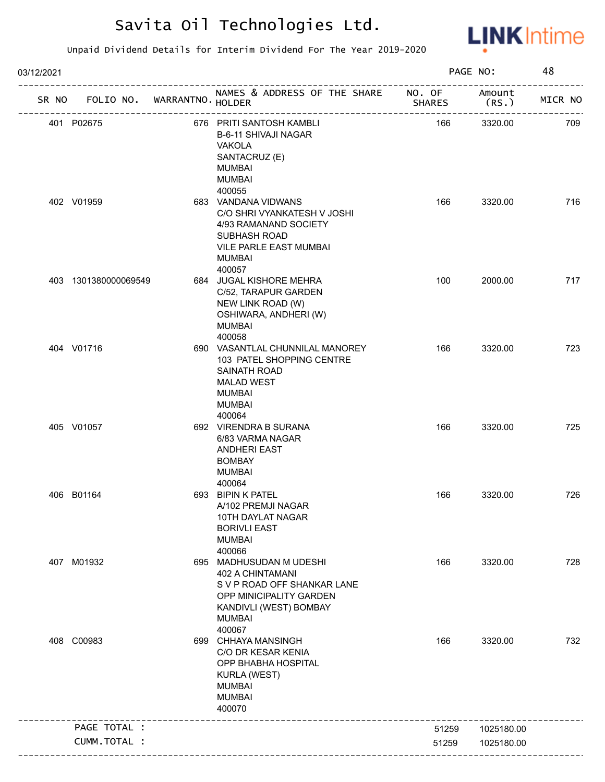

| 03/12/2021 |                      |                   |                                                                                                                                                            |                         | PAGE NO:        | 48      |
|------------|----------------------|-------------------|------------------------------------------------------------------------------------------------------------------------------------------------------------|-------------------------|-----------------|---------|
| SR NO      | FOLIO NO.            | WARRANTNO. HOLDER | NAMES & ADDRESS OF THE SHARE<br>-----------------                                                                                                          | NO. OF<br><b>SHARES</b> | Amount<br>(RS.) | MICR NO |
|            | 401 P02675           |                   | 676 PRITI SANTOSH KAMBLI<br>B-6-11 SHIVAJI NAGAR<br><b>VAKOLA</b><br>SANTACRUZ (E)<br><b>MUMBAI</b><br><b>MUMBAI</b><br>400055                             | 166                     | 3320.00         | 709     |
|            | 402 V01959           |                   | 683 VANDANA VIDWANS<br>C/O SHRI VYANKATESH V JOSHI<br>4/93 RAMANAND SOCIETY<br>SUBHASH ROAD<br>VILE PARLE EAST MUMBAI<br><b>MUMBAI</b><br>400057           | 166                     | 3320.00         | 716     |
|            | 403 1301380000069549 |                   | 684 JUGAL KISHORE MEHRA<br>C/52, TARAPUR GARDEN<br>NEW LINK ROAD (W)<br>OSHIWARA, ANDHERI (W)<br><b>MUMBAI</b><br>400058                                   | 100                     | 2000.00         | 717     |
|            | 404 V01716           |                   | 690 VASANTLAL CHUNNILAL MANOREY<br>103 PATEL SHOPPING CENTRE<br>SAINATH ROAD<br><b>MALAD WEST</b><br><b>MUMBAI</b><br><b>MUMBAI</b><br>400064              | 166                     | 3320.00         | 723     |
|            | 405 V01057           |                   | 692 VIRENDRA B SURANA<br>6/83 VARMA NAGAR<br><b>ANDHERI EAST</b><br><b>BOMBAY</b><br><b>MUMBAI</b><br>400064                                               | 166                     | 3320.00         | 725     |
|            | 406 B01164           |                   | 693 BIPIN K PATEL<br>A/102 PREMJI NAGAR<br>10TH DAYLAT NAGAR<br><b>BORIVLI EAST</b><br><b>MUMBAI</b><br>400066                                             | 166                     | 3320.00         | 726     |
|            | 407 M01932           |                   | 695 MADHUSUDAN M UDESHI<br>402 A CHINTAMANI<br>S V P ROAD OFF SHANKAR LANE<br>OPP MINICIPALITY GARDEN<br>KANDIVLI (WEST) BOMBAY<br><b>MUMBAI</b><br>400067 | 166                     | 3320.00         | 728     |
|            | 408 C00983           |                   | 699 CHHAYA MANSINGH<br>C/O DR KESAR KENIA<br>OPP BHABHA HOSPITAL<br><b>KURLA (WEST)</b><br><b>MUMBAI</b><br><b>MUMBAI</b><br>400070                        | 166                     | 3320.00         | 732     |
|            | PAGE TOTAL :         |                   |                                                                                                                                                            | 51259                   | 1025180.00      |         |
|            | CUMM.TOTAL :         |                   |                                                                                                                                                            | 51259                   | 1025180.00      |         |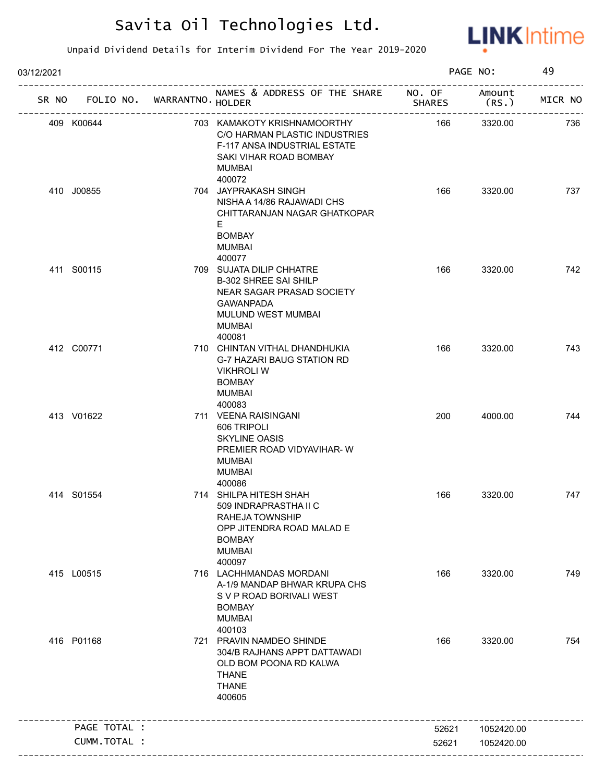

| 03/12/2021 |              |                             |                                                                                                                                                            |               | PAGE NO:        | 49      |
|------------|--------------|-----------------------------|------------------------------------------------------------------------------------------------------------------------------------------------------------|---------------|-----------------|---------|
| SR NO      |              | FOLIO NO. WARRANTNO. HOLDER | NAMES & ADDRESS OF THE SHARE NO. OF<br>------------                                                                                                        | <b>SHARES</b> | Amount<br>(RS.) | MICR NO |
|            | 409 K00644   |                             | 703 KAMAKOTY KRISHNAMOORTHY<br>C/O HARMAN PLASTIC INDUSTRIES<br>F-117 ANSA INDUSTRIAL ESTATE<br>SAKI VIHAR ROAD BOMBAY<br>MUMBAI                           | 166           | 3320.00         | 736     |
|            | 410 J00855   |                             | 400072<br>704 JAYPRAKASH SINGH<br>NISHA A 14/86 RAJAWADI CHS<br>CHITTARANJAN NAGAR GHATKOPAR<br>E.<br><b>BOMBAY</b><br><b>MUMBAI</b><br>400077             | 166           | 3320.00         | 737     |
|            | 411 S00115   |                             | 709 SUJATA DILIP CHHATRE<br><b>B-302 SHREE SAI SHILP</b><br>NEAR SAGAR PRASAD SOCIETY<br><b>GAWANPADA</b><br>MULUND WEST MUMBAI<br><b>MUMBAI</b><br>400081 | 166           | 3320.00         | 742     |
|            | 412 C00771   |                             | 710 CHINTAN VITHAL DHANDHUKIA<br>G-7 HAZARI BAUG STATION RD<br><b>VIKHROLI W</b><br><b>BOMBAY</b><br>MUMBAI<br>400083                                      | 166           | 3320.00         | 743     |
|            | 413 V01622   |                             | 711 VEENA RAISINGANI<br>606 TRIPOLI<br><b>SKYLINE OASIS</b><br>PREMIER ROAD VIDYAVIHAR-W<br><b>MUMBAI</b><br><b>MUMBAI</b><br>400086                       | 200           | 4000.00         | 744     |
|            | 414 S01554   |                             | 714 SHILPA HITESH SHAH<br>509 INDRAPRASTHA II C<br>RAHEJA TOWNSHIP<br>OPP JITENDRA ROAD MALAD E<br><b>BOMBAY</b><br><b>MUMBAI</b><br>400097                | 166           | 3320.00         | 747     |
|            | 415 L00515   |                             | 716 LACHHMANDAS MORDANI<br>A-1/9 MANDAP BHWAR KRUPA CHS<br>S V P ROAD BORIVALI WEST<br><b>BOMBAY</b><br><b>MUMBAI</b><br>400103                            | 166           | 3320.00         | 749     |
|            | 416 P01168   |                             | 721 PRAVIN NAMDEO SHINDE<br>304/B RAJHANS APPT DATTAWADI<br>OLD BOM POONA RD KALWA<br><b>THANE</b><br><b>THANE</b><br>400605                               | 166           | 3320.00         | 754     |
|            | PAGE TOTAL : |                             |                                                                                                                                                            | 52621         | 1052420.00      |         |
|            | CUMM.TOTAL : |                             |                                                                                                                                                            | 52621         | 1052420.00      |         |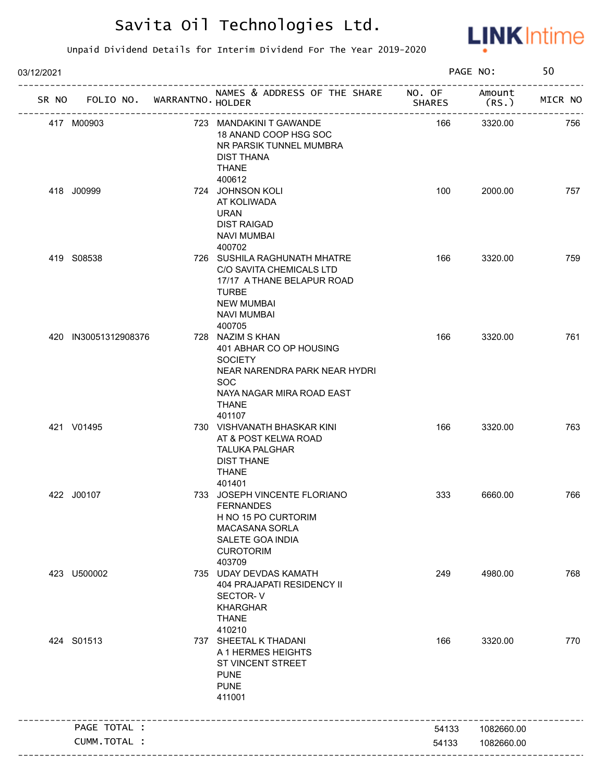

| 03/12/2021 |                             |                                                                                                                                                                     |               | PAGE NO:        | 50      |
|------------|-----------------------------|---------------------------------------------------------------------------------------------------------------------------------------------------------------------|---------------|-----------------|---------|
| SR NO      | FOLIO NO. WARRANTNO. HOLDER | NAMES & ADDRESS OF THE SHARE NO. OF                                                                                                                                 | <b>SHARES</b> | Amount<br>(RS.) | MICR NO |
|            | 417 M00903                  | 723 MANDAKINI T GAWANDE<br>18 ANAND COOP HSG SOC<br>NR PARSIK TUNNEL MUMBRA<br><b>DIST THANA</b><br><b>THANE</b>                                                    | 166           | 3320.00         | 756     |
|            | 418 J00999                  | 400612<br>724 JOHNSON KOLI<br>AT KOLIWADA<br><b>URAN</b><br><b>DIST RAIGAD</b><br><b>NAVI MUMBAI</b><br>400702                                                      | 100           | 2000.00         | 757     |
|            | 419 S08538                  | 726 SUSHILA RAGHUNATH MHATRE<br>C/O SAVITA CHEMICALS LTD<br>17/17 A THANE BELAPUR ROAD<br><b>TURBE</b><br><b>NEW MUMBAI</b><br><b>NAVI MUMBAI</b><br>400705         | 166           | 3320.00         | 759     |
|            | 420 IN30051312908376        | 728 NAZIM S KHAN<br>401 ABHAR CO OP HOUSING<br><b>SOCIETY</b><br>NEAR NARENDRA PARK NEAR HYDRI<br><b>SOC</b><br>NAYA NAGAR MIRA ROAD EAST<br><b>THANE</b><br>401107 | 166           | 3320.00         | 761     |
|            | 421 V01495                  | 730 VISHVANATH BHASKAR KINI<br>AT & POST KELWA ROAD<br><b>TALUKA PALGHAR</b><br><b>DIST THANE</b><br><b>THANE</b><br>401401                                         | 166           | 3320.00         | 763     |
|            | 422 J00107                  | 733 JOSEPH VINCENTE FLORIANO<br><b>FERNANDES</b><br>H NO 15 PO CURTORIM<br><b>MACASANA SORLA</b><br>SALETE GOA INDIA<br><b>CUROTORIM</b><br>403709                  | 333           | 6660.00         | 766     |
|            | 423 U500002                 | 735 UDAY DEVDAS KAMATH<br><b>404 PRAJAPATI RESIDENCY II</b><br>SECTOR-V<br><b>KHARGHAR</b><br><b>THANE</b><br>410210                                                | 249           | 4980.00         | 768     |
|            | 424 S01513                  | 737 SHEETAL K THADANI<br>A 1 HERMES HEIGHTS<br>ST VINCENT STREET<br><b>PUNE</b><br><b>PUNE</b><br>411001                                                            | 166           | 3320.00         | 770     |
|            | PAGE TOTAL :                |                                                                                                                                                                     | 54133         | 1082660.00      |         |
|            | CUMM.TOTAL :                |                                                                                                                                                                     | 54133         | 1082660.00      |         |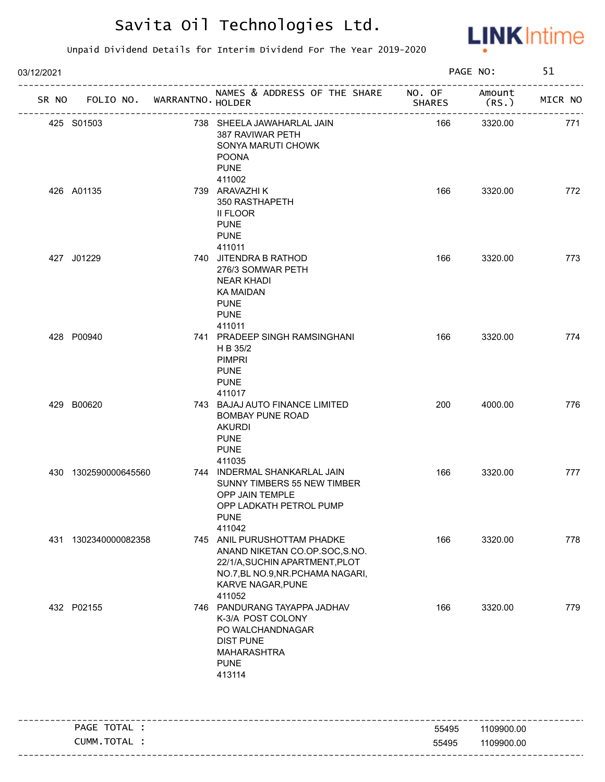

| 03/12/2021 |                                   |                                                                                                                                                                    |               | PAGE NO:       | 51      |
|------------|-----------------------------------|--------------------------------------------------------------------------------------------------------------------------------------------------------------------|---------------|----------------|---------|
|            | SR NO FOLIO NO. WARRANTNO. HOLDER | NAMES & ADDRESS OF THE SHARE NO. OF                                                                                                                                | <b>SHARES</b> | Amount<br>(RS. | MICR NO |
|            | 425 S01503                        | 738 SHEELA JAWAHARLAL JAIN<br>387 RAVIWAR PETH<br>SONYA MARUTI CHOWK<br><b>POONA</b><br><b>PUNE</b>                                                                | 166           | 3320.00        | 771     |
|            | 426 A01135                        | 411002<br>739 ARAVAZHI K<br>350 RASTHAPETH<br>II FLOOR<br><b>PUNE</b><br><b>PUNE</b><br>411011                                                                     | 166           | 3320.00        | 772     |
|            | 427 J01229                        | 740 JITENDRA B RATHOD<br>276/3 SOMWAR PETH<br><b>NEAR KHADI</b><br><b>KA MAIDAN</b><br><b>PUNE</b><br><b>PUNE</b><br>411011                                        | 166           | 3320.00        | 773     |
|            | 428 P00940                        | 741 PRADEEP SINGH RAMSINGHANI<br>H B 35/2<br><b>PIMPRI</b><br><b>PUNE</b><br><b>PUNE</b><br>411017                                                                 | 166           | 3320.00        | 774     |
|            | 429 B00620                        | 743 BAJAJ AUTO FINANCE LIMITED<br><b>BOMBAY PUNE ROAD</b><br><b>AKURDI</b><br><b>PUNE</b><br><b>PUNE</b><br>411035                                                 | 200           | 4000.00        | 776     |
|            | 430 1302590000645560              | 744 INDERMAL SHANKARLAL JAIN<br>SUNNY TIMBERS 55 NEW TIMBER<br>OPP JAIN TEMPLE<br>OPP LADKATH PETROL PUMP<br><b>PUNE</b><br>411042                                 | 166           | 3320.00        | 777     |
|            | 431 1302340000082358              | 745 ANIL PURUSHOTTAM PHADKE<br>ANAND NIKETAN CO.OP.SOC,S.NO.<br>22/1/A, SUCHIN APARTMENT, PLOT<br>NO.7, BL NO.9, NR. PCHAMA NAGARI,<br>KARVE NAGAR, PUNE<br>411052 | 166           | 3320.00        | 778     |
|            | 432 P02155                        | 746 PANDURANG TAYAPPA JADHAV<br>K-3/A POST COLONY<br>PO WALCHANDNAGAR<br><b>DIST PUNE</b><br>MAHARASHTRA<br><b>PUNE</b><br>413114                                  | 166           | 3320.00        | 779     |
|            | PAGE TOTAL :                      |                                                                                                                                                                    | 55495         | 1109900.00     |         |
|            | CUMM.TOTAL :                      |                                                                                                                                                                    | 55495         | 1109900.00     |         |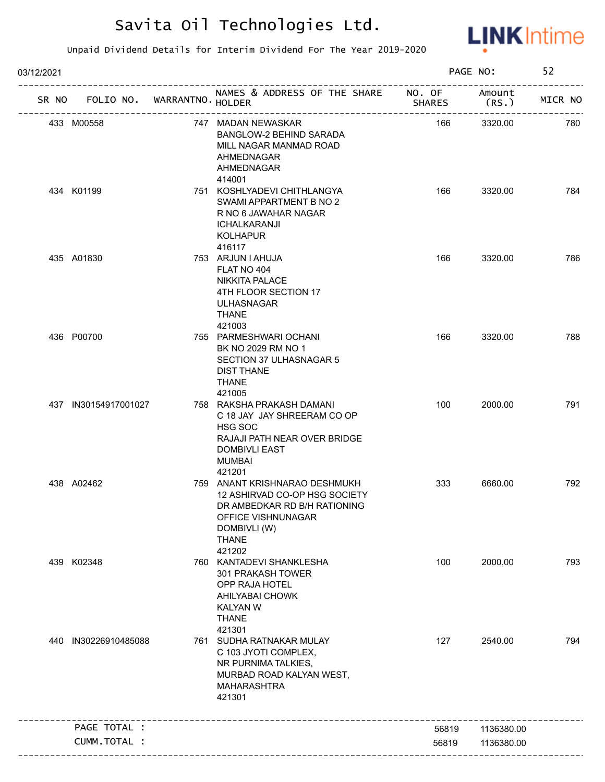

| 03/12/2021 |                             |                                                                                                                                                                |               | PAGE NO:        | 52      |
|------------|-----------------------------|----------------------------------------------------------------------------------------------------------------------------------------------------------------|---------------|-----------------|---------|
| SR NO      | FOLIO NO. WARRANTNO. HOLDER | NAMES & ADDRESS OF THE SHARE NO. OF                                                                                                                            | <b>SHARES</b> | Amount<br>(RS.) | MICR NO |
|            | 433 M00558                  | 747 MADAN NEWASKAR<br>BANGLOW-2 BEHIND SARADA<br>MILL NAGAR MANMAD ROAD<br>AHMEDNAGAR<br>AHMEDNAGAR                                                            | 166           | 3320.00         | 780     |
|            | 434 K01199                  | 414001<br>751 KOSHLYADEVI CHITHLANGYA<br>SWAMI APPARTMENT B NO 2<br>R NO 6 JAWAHAR NAGAR<br><b>ICHALKARANJI</b><br><b>KOLHAPUR</b><br>416117                   | 166           | 3320.00         | 784     |
|            | 435 A01830                  | 753 ARJUN I AHUJA<br>FLAT NO 404<br><b>NIKKITA PALACE</b><br>4TH FLOOR SECTION 17<br><b>ULHASNAGAR</b><br>THANE                                                | 166           | 3320.00         | 786     |
|            | 436 P00700                  | 421003<br>755 PARMESHWARI OCHANI<br>BK NO 2029 RM NO 1<br>SECTION 37 ULHASNAGAR 5<br><b>DIST THANE</b><br><b>THANE</b><br>421005                               | 166           | 3320.00         | 788     |
|            | 437 IN30154917001027        | 758 RAKSHA PRAKASH DAMANI<br>C 18 JAY JAY SHREERAM CO OP<br>HSG SOC<br>RAJAJI PATH NEAR OVER BRIDGE<br><b>DOMBIVLI EAST</b><br><b>MUMBAI</b><br>421201         | 100           | 2000.00         | 791     |
|            | 438 A02462                  | 759 ANANT KRISHNARAO DESHMUKH<br>12 ASHIRVAD CO-OP HSG SOCIETY<br>DR AMBEDKAR RD B/H RATIONING<br>OFFICE VISHNUNAGAR<br>DOMBIVLI (W)<br><b>THANE</b><br>421202 | 333           | 6660.00         | 792     |
|            | 439 K02348                  | 760 KANTADEVI SHANKLESHA<br>301 PRAKASH TOWER<br>OPP RAJA HOTEL<br>AHILYABAI CHOWK<br><b>KALYAN W</b><br><b>THANE</b><br>421301                                | 100           | 2000.00         | 793     |
| 440        | IN30226910485088            | 761 SUDHA RATNAKAR MULAY<br>C 103 JYOTI COMPLEX,<br>NR PURNIMA TALKIES,<br>MURBAD ROAD KALYAN WEST,<br><b>MAHARASHTRA</b><br>421301                            | 127           | 2540.00         | 794     |
|            | PAGE TOTAL :                |                                                                                                                                                                | 56819         | 1136380.00      |         |
|            | CUMM.TOTAL :                |                                                                                                                                                                | 56819         | 1136380.00      |         |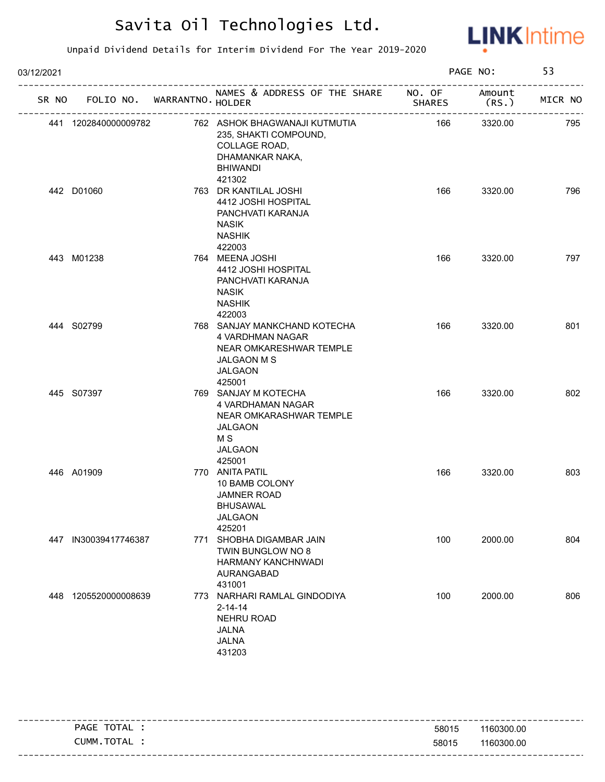

| 03/12/2021 |                      |                                   |                                                                                                                                      |               | PAGE NO:       | 53      |
|------------|----------------------|-----------------------------------|--------------------------------------------------------------------------------------------------------------------------------------|---------------|----------------|---------|
|            |                      | SR NO FOLIO NO. WARRANTNO. HOLDER | NAMES & ADDRESS OF THE SHARE NO. OF                                                                                                  | <b>SHARES</b> | Amount<br>(RS. | MICR NO |
|            | 441 1202840000009782 |                                   | 762 ASHOK BHAGWANAJI KUTMUTIA<br>235, SHAKTI COMPOUND,<br>COLLAGE ROAD,<br>DHAMANKAR NAKA,<br><b>BHIWANDI</b><br>421302              | 166           | 3320.00        | 795     |
|            | 442 D01060           |                                   | 763 DR KANTILAL JOSHI<br>4412 JOSHI HOSPITAL<br>PANCHVATI KARANJA<br><b>NASIK</b><br><b>NASHIK</b><br>422003                         | 166           | 3320.00        | 796     |
|            | 443 M01238           |                                   | 764 MEENA JOSHI<br>4412 JOSHI HOSPITAL<br>PANCHVATI KARANJA<br><b>NASIK</b><br><b>NASHIK</b><br>422003                               | 166           | 3320.00        | 797     |
|            | 444 S02799           |                                   | 768 SANJAY MANKCHAND KOTECHA<br><b>4 VARDHMAN NAGAR</b><br>NEAR OMKARESHWAR TEMPLE<br><b>JALGAON M S</b><br><b>JALGAON</b><br>425001 | 166           | 3320.00        | 801     |
|            | 445 S07397           |                                   | 769 SANJAY M KOTECHA<br>4 VARDHAMAN NAGAR<br>NEAR OMKARASHWAR TEMPLE<br><b>JALGAON</b><br>M <sub>S</sub><br><b>JALGAON</b><br>425001 | 166           | 3320.00        | 802     |
|            | 446 A01909           |                                   | 770 ANITA PATIL<br>10 BAMB COLONY<br><b>JAMNER ROAD</b><br><b>BHUSAWAL</b><br><b>JALGAON</b><br>425201                               | 166           | 3320.00        | 803     |
|            | 447 IN30039417746387 | 771                               | SHOBHA DIGAMBAR JAIN<br>TWIN BUNGLOW NO 8<br>HARMANY KANCHNWADI<br>AURANGABAD<br>431001                                              | 100           | 2000.00        | 804     |
|            | 448 1205520000008639 |                                   | 773 NARHARI RAMLAL GINDODIYA<br>$2 - 14 - 14$<br><b>NEHRU ROAD</b><br><b>JALNA</b><br><b>JALNA</b><br>431203                         | 100           | 2000.00        | 806     |

|                |       | -----------------------           |
|----------------|-------|-----------------------------------|
| TOTAL<br>PAGE  | 58015 | 1160300.00                        |
| TOTAL<br>CUMM. | 58015 | 1160300.00                        |
|                |       | --------------------------------- |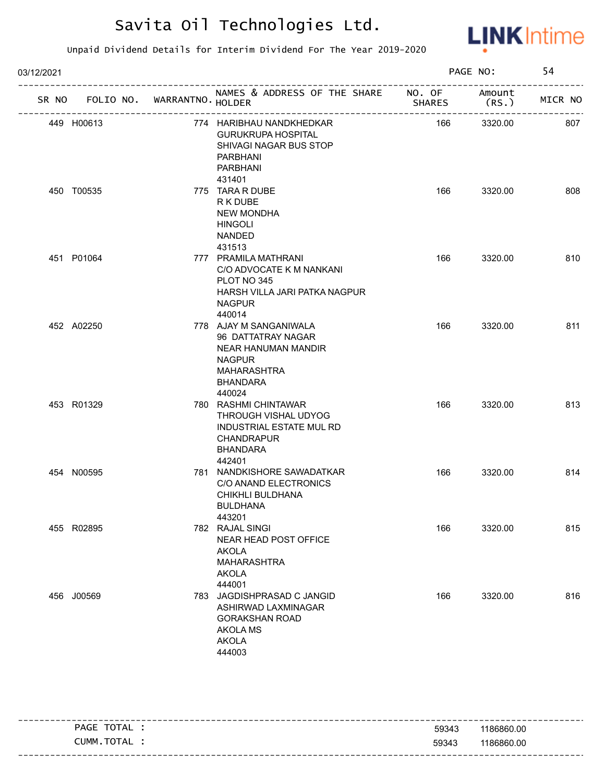

| 03/12/2021 |            |                  |                                                                                                                                                |                         | PAGE NO:        | 54      |
|------------|------------|------------------|------------------------------------------------------------------------------------------------------------------------------------------------|-------------------------|-----------------|---------|
| SR NO      | FOLIO NO.  | WARRANTNO HOLDER | NAMES & ADDRESS OF THE SHARE                                                                                                                   | NO. OF<br><b>SHARES</b> | Amount<br>(RS.) | MICR NO |
|            | 449 H00613 |                  | 774 HARIBHAU NANDKHEDKAR<br><b>GURUKRUPA HOSPITAL</b><br>SHIVAGI NAGAR BUS STOP<br><b>PARBHANI</b><br>PARBHANI<br>431401                       | 166                     | 3320.00         | 807     |
|            | 450 T00535 |                  | 775 TARA R DUBE<br>R K DUBE<br><b>NEW MONDHA</b><br><b>HINGOLI</b><br><b>NANDED</b><br>431513                                                  | 166                     | 3320.00         | 808     |
|            | 451 P01064 |                  | 777 PRAMILA MATHRANI<br>C/O ADVOCATE K M NANKANI<br>PLOT NO 345<br>HARSH VILLA JARI PATKA NAGPUR<br><b>NAGPUR</b><br>440014                    | 166                     | 3320.00         | 810     |
|            | 452 A02250 |                  | 778 AJAY M SANGANIWALA<br>96 DATTATRAY NAGAR<br><b>NEAR HANUMAN MANDIR</b><br><b>NAGPUR</b><br><b>MAHARASHTRA</b><br><b>BHANDARA</b><br>440024 | 166                     | 3320.00         | 811     |
|            | 453 R01329 |                  | 780 RASHMI CHINTAWAR<br>THROUGH VISHAL UDYOG<br><b>INDUSTRIAL ESTATE MUL RD</b><br><b>CHANDRAPUR</b><br><b>BHANDARA</b><br>442401              | 166                     | 3320.00         | 813     |
|            | 454 N00595 |                  | 781 NANDKISHORE SAWADATKAR<br>C/O ANAND ELECTRONICS<br>CHIKHLI BULDHANA<br><b>BULDHANA</b><br>443201                                           | 166                     | 3320.00         | 814     |
|            | 455 R02895 |                  | 782 RAJAL SINGI<br>NEAR HEAD POST OFFICE<br><b>AKOLA</b><br><b>MAHARASHTRA</b><br><b>AKOLA</b><br>444001                                       | 166                     | 3320.00         | 815     |
|            | 456 J00569 |                  | 783 JAGDISHPRASAD C JANGID<br>ASHIRWAD LAXMINAGAR<br><b>GORAKSHAN ROAD</b><br><b>AKOLA MS</b><br><b>AKOLA</b><br>444003                        | 166                     | 3320.00         | 816     |

| TOTAL<br>PAGE | 59343 | 1186860.00 |
|---------------|-------|------------|
| CUMM.TOTAL    | 59343 | 1186860.00 |
|               |       |            |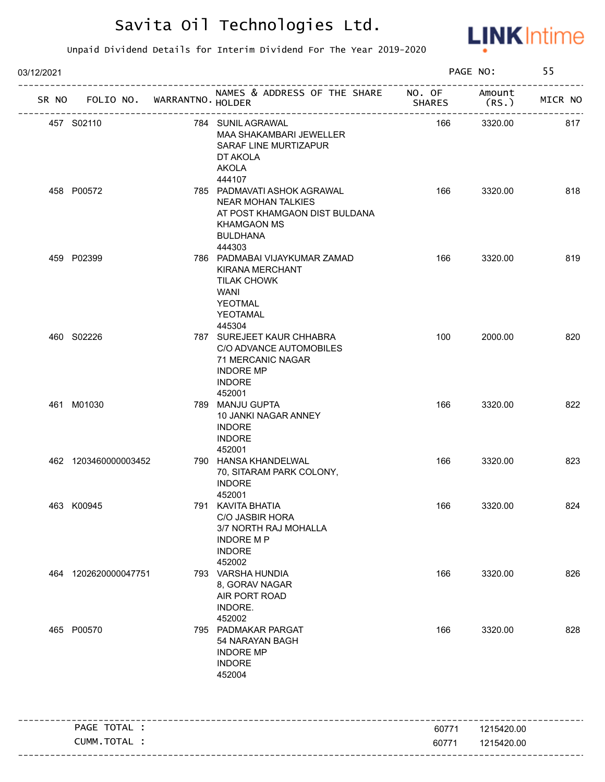

| 03/12/2021 |                                   |                                                                                                                                                        |               | PAGE NO:        | 55      |
|------------|-----------------------------------|--------------------------------------------------------------------------------------------------------------------------------------------------------|---------------|-----------------|---------|
|            | SR NO FOLIO NO. WARRANTNO. HOLDER | NAMES & ADDRESS OF THE SHARE NO. OF<br>_____________________                                                                                           | <b>SHARES</b> | Amount<br>(RS.) | MICR NO |
|            | 457 S02110                        | 784 SUNIL AGRAWAL<br>MAA SHAKAMBARI JEWELLER<br>SARAF LINE MURTIZAPUR<br>DT AKOLA<br><b>AKOLA</b>                                                      | 166           | 3320.00         | 817     |
|            | 458 P00572                        | 444107<br>785 PADMAVATI ASHOK AGRAWAL<br><b>NEAR MOHAN TALKIES</b><br>AT POST KHAMGAON DIST BULDANA<br><b>KHAMGAON MS</b><br><b>BULDHANA</b><br>444303 | 166           | 3320.00         | 818     |
|            | 459 P02399                        | 786 PADMABAI VIJAYKUMAR ZAMAD<br><b>KIRANA MERCHANT</b><br><b>TILAK CHOWK</b><br><b>WANI</b><br><b>YEOTMAL</b><br>YEOTAMAL                             | 166           | 3320.00         | 819     |
|            | 460 S02226                        | 445304<br>787 SUREJEET KAUR CHHABRA<br>C/O ADVANCE AUTOMOBILES<br>71 MERCANIC NAGAR<br><b>INDORE MP</b><br><b>INDORE</b><br>452001                     | 100           | 2000.00         | 820     |
|            | 461 M01030                        | 789 MANJU GUPTA<br>10 JANKI NAGAR ANNEY<br><b>INDORE</b><br><b>INDORE</b><br>452001                                                                    | 166           | 3320.00         | 822     |
|            | 462 1203460000003452              | 790 HANSA KHANDELWAL<br>70, SITARAM PARK COLONY,<br><b>INDORE</b><br>452001                                                                            | 166           | 3320.00         | 823     |
|            | 463 K00945                        | 791 KAVITA BHATIA<br>C/O JASBIR HORA<br>3/7 NORTH RAJ MOHALLA<br><b>INDORE MP</b><br><b>INDORE</b><br>452002                                           | 166           | 3320.00         | 824     |
|            | 464 1202620000047751              | 793 VARSHA HUNDIA<br>8, GORAV NAGAR<br>AIR PORT ROAD<br>INDORE.<br>452002                                                                              | 166           | 3320.00         | 826     |
|            | 465 P00570                        | 795 PADMAKAR PARGAT<br>54 NARAYAN BAGH<br><b>INDORE MP</b><br><b>INDORE</b><br>452004                                                                  | 166           | 3320.00         | 828     |
|            | PAGE TOTAL :                      |                                                                                                                                                        | 60771         | 1215420.00      |         |
|            | CUMM.TOTAL :                      |                                                                                                                                                        | 60771         | 1215420.00      |         |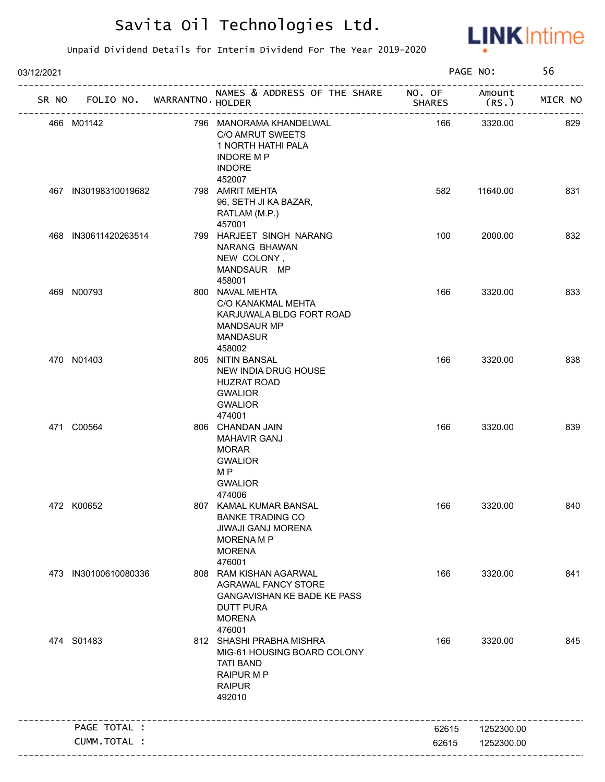

| 03/12/2021 |                             |                                                                                                                                    |               | PAGE NO:        | 56      |
|------------|-----------------------------|------------------------------------------------------------------------------------------------------------------------------------|---------------|-----------------|---------|
| SR NO      | FOLIO NO. WARRANTNO. HOLDER | NAMES & ADDRESS OF THE SHARE NO. OF<br>--------------------                                                                        | <b>SHARES</b> | Amount<br>(RS.) | MICR NO |
|            | 466 M01142                  | 796 MANORAMA KHANDELWAL<br><b>C/O AMRUT SWEETS</b><br>1 NORTH HATHI PALA<br><b>INDORE MP</b><br><b>INDORE</b>                      | 166           | 3320.00         | 829     |
|            | 467 IN30198310019682        | 452007<br>798 AMRIT MEHTA<br>96, SETH JI KA BAZAR,<br>RATLAM (M.P.)<br>457001                                                      | 582           | 11640.00        | 831     |
|            | 468 IN30611420263514        | 799 HARJEET SINGH NARANG<br>NARANG BHAWAN<br>NEW COLONY,<br>MANDSAUR MP<br>458001                                                  | 100           | 2000.00         | 832     |
|            | 469 N00793                  | 800 NAVAL MEHTA<br>C/O KANAKMAL MEHTA<br>KARJUWALA BLDG FORT ROAD<br><b>MANDSAUR MP</b><br><b>MANDASUR</b><br>458002               | 166           | 3320.00         | 833     |
|            | 470 N01403                  | 805 NITIN BANSAL<br>NEW INDIA DRUG HOUSE<br><b>HUZRAT ROAD</b><br><b>GWALIOR</b><br><b>GWALIOR</b><br>474001                       | 166           | 3320.00         | 838     |
|            | 471 C00564                  | 806 CHANDAN JAIN<br><b>MAHAVIR GANJ</b><br><b>MORAR</b><br><b>GWALIOR</b><br>M <sub>P</sub><br><b>GWALIOR</b><br>474006            | 166           | 3320.00         | 839     |
|            | 472 K00652                  | 807 KAMAL KUMAR BANSAL<br><b>BANKE TRADING CO</b><br><b>JIWAJI GANJ MORENA</b><br><b>MORENA M P</b><br><b>MORENA</b><br>476001     | 166           | 3320.00         | 840     |
|            | 473 IN30100610080336        | 808 RAM KISHAN AGARWAL<br><b>AGRAWAL FANCY STORE</b><br>GANGAVISHAN KE BADE KE PASS<br><b>DUTT PURA</b><br><b>MORENA</b><br>476001 | 166           | 3320.00         | 841     |
|            | 474 S01483                  | 812 SHASHI PRABHA MISHRA<br>MIG-61 HOUSING BOARD COLONY<br><b>TATI BAND</b><br><b>RAIPUR M P</b><br><b>RAIPUR</b><br>492010        | 166           | 3320.00         | 845     |
|            | PAGE TOTAL :                |                                                                                                                                    | 62615         | 1252300.00      |         |
|            | CUMM.TOTAL :                |                                                                                                                                    | 62615         | 1252300.00      |         |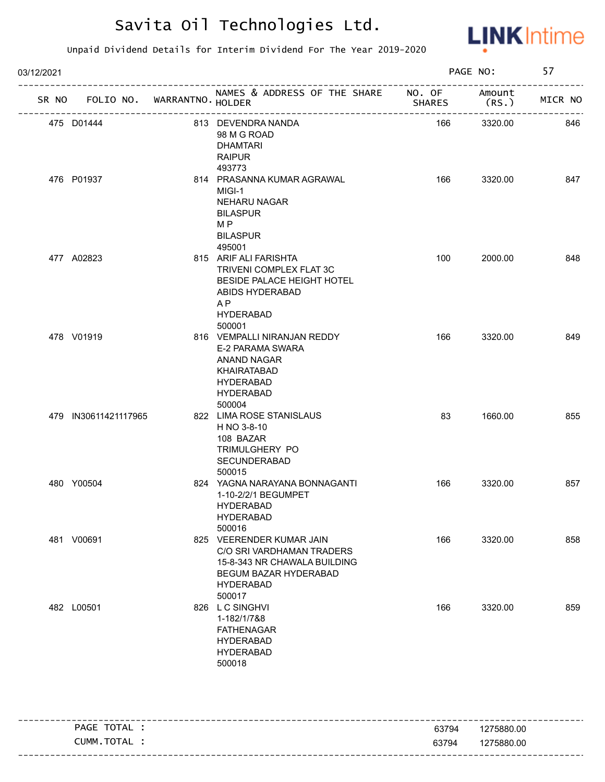

| 03/12/2021 |                                   |                                                                                                                                                  |               | PAGE NO:       | 57      |
|------------|-----------------------------------|--------------------------------------------------------------------------------------------------------------------------------------------------|---------------|----------------|---------|
|            | SR NO FOLIO NO. WARRANTNO. HOLDER | NAMES & ADDRESS OF THE SHARE NO. OF<br>____________________                                                                                      | <b>SHARES</b> | Amount<br>(RS. | MICR NO |
|            | 475 D01444                        | 813 DEVENDRA NANDA<br>98 M G ROAD<br><b>DHAMTARI</b><br><b>RAIPUR</b>                                                                            | 166           | 3320.00        | 846     |
|            | 476 P01937                        | 493773<br>814 PRASANNA KUMAR AGRAWAL<br>MIGI-1<br>NEHARU NAGAR<br><b>BILASPUR</b><br>M <sub>P</sub><br><b>BILASPUR</b>                           | 166           | 3320.00        | 847     |
|            | 477 A02823                        | 495001<br>815 ARIF ALI FARISHTA<br>TRIVENI COMPLEX FLAT 3C<br>BESIDE PALACE HEIGHT HOTEL<br>ABIDS HYDERABAD<br>A P<br><b>HYDERABAD</b>           | 100           | 2000.00        | 848     |
|            | 478 V01919                        | 500001<br>816 VEMPALLI NIRANJAN REDDY<br>E-2 PARAMA SWARA<br>ANAND NAGAR<br><b>KHAIRATABAD</b><br><b>HYDERABAD</b><br><b>HYDERABAD</b><br>500004 | 166           | 3320.00        | 849     |
|            | 479 IN30611421117965              | 822 LIMA ROSE STANISLAUS<br>H NO 3-8-10<br>108 BAZAR<br>TRIMULGHERY PO<br>SECUNDERABAD<br>500015                                                 | 83            | 1660.00        | 855     |
|            | 480 Y00504                        | 824 YAGNA NARAYANA BONNAGANTI<br>1-10-2/2/1 BEGUMPET<br>HYDERABAD<br><b>HYDERABAD</b><br>500016                                                  | 166           | 3320.00        | 857     |
|            | 481 V00691                        | 825 VEERENDER KUMAR JAIN<br>C/O SRI VARDHAMAN TRADERS<br>15-8-343 NR CHAWALA BUILDING<br>BEGUM BAZAR HYDERABAD<br><b>HYDERABAD</b><br>500017     | 166           | 3320.00        | 858     |
|            | 482 L00501                        | 826 L C SINGHVI<br>1-182/1/7&8<br><b>FATHENAGAR</b><br><b>HYDERABAD</b><br><b>HYDERABAD</b><br>500018                                            | 166           | 3320.00        | 859     |
|            | PAGE TOTAL :                      |                                                                                                                                                  | 63794         | 1275880.00     |         |
|            | CUMM.TOTAL :                      |                                                                                                                                                  | 63794         | 1275880.00     |         |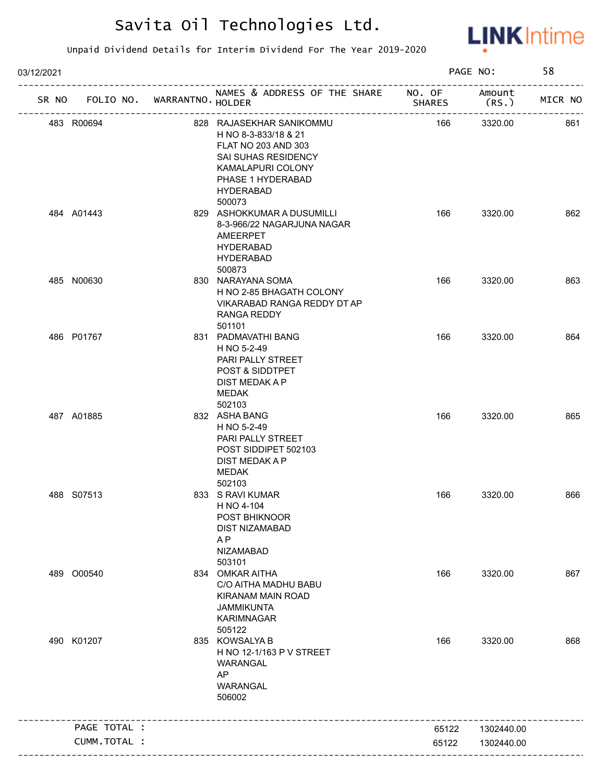

| 03/12/2021 |              |                            |                                                                                                                                                                        | PAGE NO:      |                 | 58      |
|------------|--------------|----------------------------|------------------------------------------------------------------------------------------------------------------------------------------------------------------------|---------------|-----------------|---------|
| SR NO      |              | FOLIO NO. WARRANTNO HOLDER | NAMES & ADDRESS OF THE SHARE NO. OF                                                                                                                                    | <b>SHARES</b> | Amount<br>(RS.) | MICR NO |
| 483 R00694 |              |                            | 828 RAJASEKHAR SANIKOMMU<br>H NO 8-3-833/18 & 21<br>FLAT NO 203 AND 303<br>SAI SUHAS RESIDENCY<br>KAMALAPURI COLONY<br>PHASE 1 HYDERABAD<br><b>HYDERABAD</b><br>500073 | 166           | 3320.00         | 861     |
| 484 A01443 |              |                            | 829 ASHOKKUMAR A DUSUMILLI<br>8-3-966/22 NAGARJUNA NAGAR<br>AMEERPET<br><b>HYDERABAD</b><br><b>HYDERABAD</b><br>500873                                                 | 166           | 3320.00         | 862     |
| 485 N00630 |              |                            | 830 NARAYANA SOMA<br>H NO 2-85 BHAGATH COLONY<br>VIKARABAD RANGA REDDY DT AP<br>RANGA REDDY<br>501101                                                                  | 166           | 3320.00         | 863     |
| 486 P01767 |              |                            | 831 PADMAVATHI BANG<br>H NO 5-2-49<br>PARI PALLY STREET<br>POST & SIDDTPET<br>DIST MEDAK A P<br>MEDAK<br>502103                                                        | 166           | 3320.00         | 864     |
| 487 A01885 |              |                            | 832 ASHA BANG<br>H NO 5-2-49<br>PARI PALLY STREET<br>POST SIDDIPET 502103<br>DIST MEDAK A P<br><b>MEDAK</b><br>502103                                                  | 166           | 3320.00         | 865     |
| 488 S07513 |              |                            | 833 S RAVI KUMAR<br>H NO 4-104<br>POST BHIKNOOR<br><b>DIST NIZAMABAD</b><br>A <sub>P</sub><br><b>NIZAMABAD</b><br>503101                                               | 166           | 3320.00         | 866     |
| 489 O00540 |              |                            | 834 OMKAR AITHA<br>C/O AITHA MADHU BABU<br><b>KIRANAM MAIN ROAD</b><br><b>JAMMIKUNTA</b><br><b>KARIMNAGAR</b><br>505122                                                | 166           | 3320.00         | 867     |
| 490 K01207 |              |                            | 835 KOWSALYA B<br>H NO 12-1/163 P V STREET<br>WARANGAL<br>AP<br>WARANGAL<br>506002                                                                                     | 166           | 3320.00         | 868     |
|            | PAGE TOTAL : |                            |                                                                                                                                                                        | 65122         | 1302440.00      |         |
|            |              |                            |                                                                                                                                                                        |               |                 |         |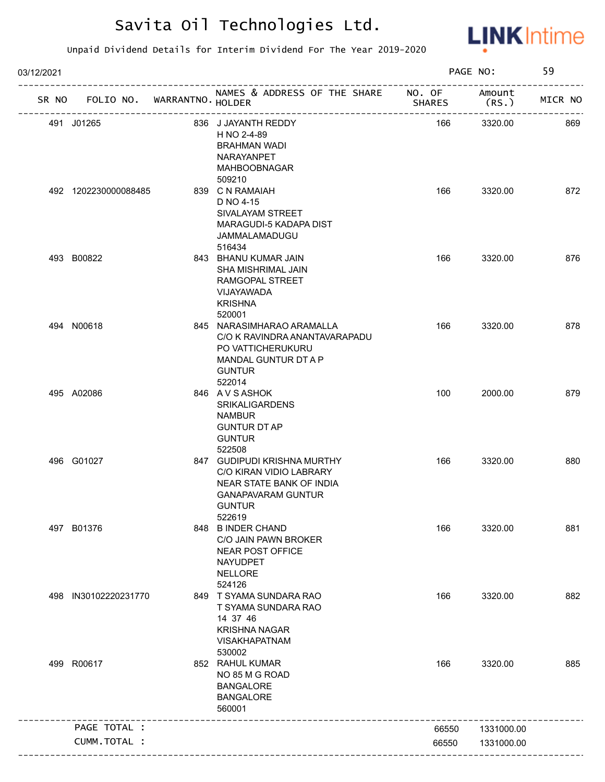

| 03/12/2021 |                                   |                                                                                                                                            |               | PAGE NO:       | 59      |
|------------|-----------------------------------|--------------------------------------------------------------------------------------------------------------------------------------------|---------------|----------------|---------|
|            | SR NO FOLIO NO. WARRANTNO. HOLDER | NAMES & ADDRESS OF THE SHARE NO. OF                                                                                                        | <b>SHARES</b> | Amount<br>(RS. | MICR NO |
|            | 491 J01265                        | 836 J JAYANTH REDDY<br>H NO 2-4-89<br><b>BRAHMAN WADI</b><br><b>NARAYANPET</b><br><b>MAHBOOBNAGAR</b>                                      | 166           | 3320.00        | 869     |
|            | 492 1202230000088485              | 509210<br>839 C N RAMAIAH<br>D NO 4-15<br>SIVALAYAM STREET<br>MARAGUDI-5 KADAPA DIST<br>JAMMALAMADUGU<br>516434                            | 166           | 3320.00        | 872     |
|            | 493 B00822                        | 843 BHANU KUMAR JAIN<br>SHA MISHRIMAL JAIN<br>RAMGOPAL STREET<br>VIJAYAWADA<br><b>KRISHNA</b><br>520001                                    | 166           | 3320.00        | 876     |
|            | 494 N00618                        | 845 NARASIMHARAO ARAMALLA<br>C/O K RAVINDRA ANANTAVARAPADU<br>PO VATTICHERUKURU<br>MANDAL GUNTUR DT A P<br><b>GUNTUR</b><br>522014         | 166           | 3320.00        | 878     |
|            | 495 A02086                        | 846 AVSASHOK<br><b>SRIKALIGARDENS</b><br><b>NAMBUR</b><br><b>GUNTUR DT AP</b><br><b>GUNTUR</b><br>522508                                   | 100           | 2000.00        | 879     |
|            | 496 G01027                        | 847 GUDIPUDI KRISHNA MURTHY<br>C/O KIRAN VIDIO LABRARY<br>NEAR STATE BANK OF INDIA<br><b>GANAPAVARAM GUNTUR</b><br><b>GUNTUR</b><br>522619 | 166           | 3320.00        | 880     |
|            | 497 B01376                        | 848 B INDER CHAND<br>C/O JAIN PAWN BROKER<br><b>NEAR POST OFFICE</b><br><b>NAYUDPET</b><br><b>NELLORE</b><br>524126                        | 166           | 3320.00        | 881     |
| 498        | IN30102220231770                  | 849 T SYAMA SUNDARA RAO<br>T SYAMA SUNDARA RAO<br>14 37 46<br><b>KRISHNA NAGAR</b><br><b>VISAKHAPATNAM</b><br>530002                       | 166           | 3320.00        | 882     |
|            | 499 R00617                        | 852 RAHUL KUMAR<br>NO 85 M G ROAD<br><b>BANGALORE</b><br><b>BANGALORE</b><br>560001                                                        | 166           | 3320.00        | 885     |
|            | PAGE TOTAL :                      |                                                                                                                                            | 66550         | 1331000.00     |         |
|            | CUMM.TOTAL :                      |                                                                                                                                            | 66550         | 1331000.00     |         |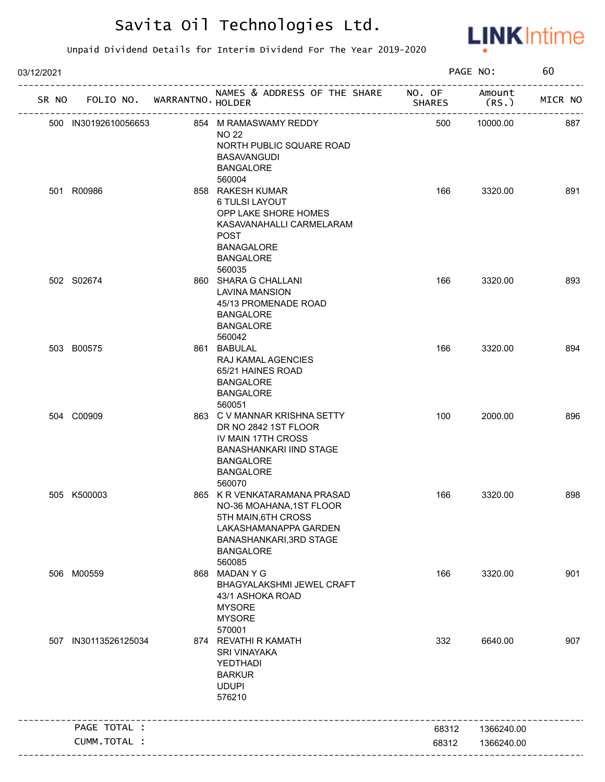

| 03/12/2021 |                             |                                                                                                                                                                   |               | PAGE NO:        | 60      |
|------------|-----------------------------|-------------------------------------------------------------------------------------------------------------------------------------------------------------------|---------------|-----------------|---------|
| SR NO      | FOLIO NO. WARRANTNO. HOLDER | NAMES & ADDRESS OF THE SHARE NO. OF                                                                                                                               | <b>SHARES</b> | Amount<br>(RS.) | MICR NO |
|            | 500 IN30192610056653        | 854 M RAMASWAMY REDDY<br><b>NO 22</b><br>NORTH PUBLIC SQUARE ROAD<br><b>BASAVANGUDI</b><br><b>BANGALORE</b>                                                       | 500           | 10000.00        | 887     |
|            | 501 R00986                  | 560004<br>858 RAKESH KUMAR<br>6 TULSI LAYOUT<br>OPP LAKE SHORE HOMES<br>KASAVANAHALLI CARMELARAM<br><b>POST</b><br><b>BANAGALORE</b><br><b>BANGALORE</b>          | 166           | 3320.00         | 891     |
|            | 502 S02674                  | 560035<br>860 SHARA G CHALLANI<br><b>LAVINA MANSION</b><br>45/13 PROMENADE ROAD<br><b>BANGALORE</b><br><b>BANGALORE</b><br>560042                                 | 166           | 3320.00         | 893     |
|            | 503 B00575                  | 861 BABULAL<br>RAJ KAMAL AGENCIES<br>65/21 HAINES ROAD<br><b>BANGALORE</b><br><b>BANGALORE</b><br>560051                                                          | 166           | 3320.00         | 894     |
|            | 504 C00909                  | 863 C V MANNAR KRISHNA SETTY<br>DR NO 2842 1ST FLOOR<br>IV MAIN 17TH CROSS<br><b>BANASHANKARI IIND STAGE</b><br><b>BANGALORE</b><br><b>BANGALORE</b><br>560070    | 100           | 2000.00         | 896     |
|            | 505 K500003                 | 865 K R VENKATARAMANA PRASAD<br>NO-36 MOAHANA, 1ST FLOOR<br>5TH MAIN, 6TH CROSS<br>LAKASHAMANAPPA GARDEN<br>BANASHANKARI, 3RD STAGE<br><b>BANGALORE</b><br>560085 | 166           | 3320.00         | 898     |
|            | 506 M00559                  | 868 MADAN Y G<br>BHAGYALAKSHMI JEWEL CRAFT<br>43/1 ASHOKA ROAD<br><b>MYSORE</b><br><b>MYSORE</b><br>570001                                                        | 166           | 3320.00         | 901     |
| 507        | IN30113526125034            | 874 REVATHI R KAMATH<br><b>SRI VINAYAKA</b><br>YEDTHADI<br><b>BARKUR</b><br><b>UDUPI</b><br>576210                                                                | 332           | 6640.00         | 907     |
|            | PAGE TOTAL :                |                                                                                                                                                                   | 68312         | 1366240.00      |         |
|            | CUMM.TOTAL :                |                                                                                                                                                                   | 68312         | 1366240.00      |         |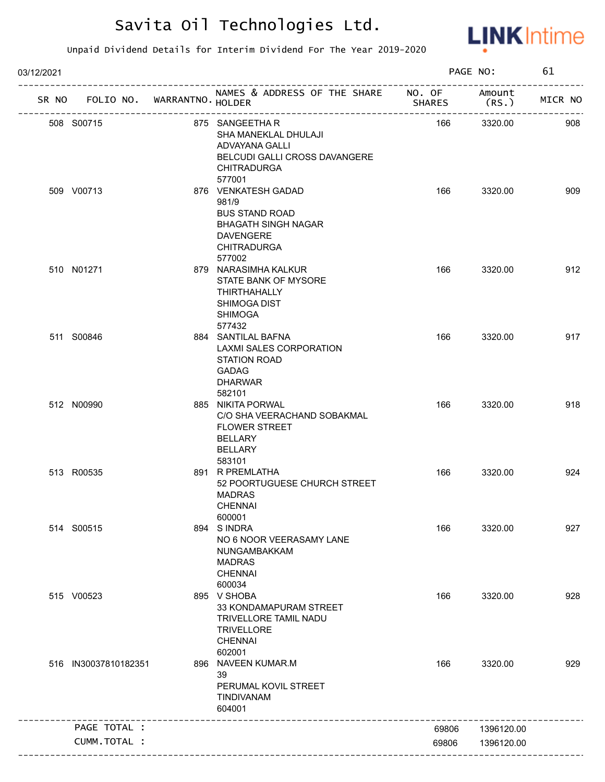

| 03/12/2021 |                      |                             |                                                                                                                                         |               | PAGE NO:        | 61      |
|------------|----------------------|-----------------------------|-----------------------------------------------------------------------------------------------------------------------------------------|---------------|-----------------|---------|
| SR NO      |                      | FOLIO NO. WARRANTNO. HOLDER | NAMES & ADDRESS OF THE SHARE NO. OF<br>-------------------------                                                                        | <b>SHARES</b> | Amount<br>(RS.) | MICR NO |
|            | 508 S00715           |                             | 875 SANGEETHA R<br>SHA MANEKLAL DHULAJI<br>ADVAYANA GALLI<br>BELCUDI GALLI CROSS DAVANGERE<br><b>CHITRADURGA</b>                        | 166           | 3320.00         | 908     |
|            | 509 V00713           |                             | 577001<br>876 VENKATESH GADAD<br>981/9<br><b>BUS STAND ROAD</b><br><b>BHAGATH SINGH NAGAR</b><br><b>DAVENGERE</b><br><b>CHITRADURGA</b> | 166           | 3320.00         | 909     |
|            | 510 N01271           |                             | 577002<br>879 NARASIMHA KALKUR<br>STATE BANK OF MYSORE<br>THIRTHAHALLY<br><b>SHIMOGA DIST</b><br><b>SHIMOGA</b><br>577432               | 166           | 3320.00         | 912     |
|            | 511 S00846           |                             | 884 SANTILAL BAFNA<br>LAXMI SALES CORPORATION<br><b>STATION ROAD</b><br><b>GADAG</b><br><b>DHARWAR</b><br>582101                        | 166           | 3320.00         | 917     |
|            | 512 N00990           |                             | 885 NIKITA PORWAL<br>C/O SHA VEERACHAND SOBAKMAL<br><b>FLOWER STREET</b><br><b>BELLARY</b><br>BELLARY                                   | 166           | 3320.00         | 918     |
|            | 513 R00535           |                             | 583101<br>891 R PREMLATHA<br>52 POORTUGUESE CHURCH STREET<br><b>MADRAS</b><br><b>CHENNAI</b><br>600001                                  | 166           | 3320.00         | 924     |
|            | 514 S00515           |                             | 894 SINDRA<br>NO 6 NOOR VEERASAMY LANE<br>NUNGAMBAKKAM<br><b>MADRAS</b><br><b>CHENNAI</b><br>600034                                     | 166           | 3320.00         | 927     |
|            | 515 V00523           |                             | 895 V SHOBA<br>33 KONDAMAPURAM STREET<br>TRIVELLORE TAMIL NADU<br><b>TRIVELLORE</b><br><b>CHENNAI</b><br>602001                         | 166           | 3320.00         | 928     |
|            | 516 IN30037810182351 |                             | 896 NAVEEN KUMAR.M<br>39<br>PERUMAL KOVIL STREET<br>TINDIVANAM<br>604001                                                                | 166           | 3320.00         | 929     |
|            | PAGE TOTAL :         |                             |                                                                                                                                         | 69806         | 1396120.00      |         |
|            | CUMM.TOTAL :         |                             |                                                                                                                                         | 69806         | 1396120.00      |         |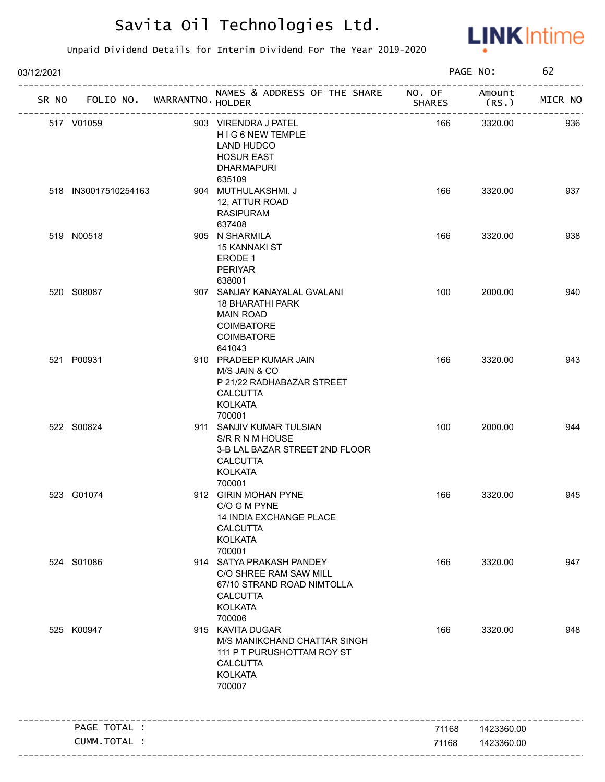

| 03/12/2021 |                               |                                                                                                                                 |                | PAGE NO:                 | 62      |
|------------|-------------------------------|---------------------------------------------------------------------------------------------------------------------------------|----------------|--------------------------|---------|
| SR NO      | FOLIO NO. WARRANTNO. HOLDER   | NAMES & ADDRESS OF THE SHARE NO. OF<br>_____________________                                                                    | <b>SHARES</b>  | Amount<br>(RS.           | MICR NO |
|            | 517 V01059                    | 903 VIRENDRA J PATEL<br>HIG6NEW TEMPLE<br>LAND HUDCO<br><b>HOSUR EAST</b><br><b>DHARMAPURI</b><br>635109                        | 166            | 3320.00                  | 936     |
|            | 518 IN30017510254163          | 904 MUTHULAKSHMI. J<br>12, ATTUR ROAD<br><b>RASIPURAM</b><br>637408                                                             | 166            | 3320.00                  | 937     |
|            | 519 N00518                    | 905 N SHARMILA<br><b>15 KANNAKI ST</b><br>ERODE 1<br><b>PERIYAR</b><br>638001                                                   | 166            | 3320.00                  | 938     |
|            | 520 S08087                    | 907 SANJAY KANAYALAL GVALANI<br>18 BHARATHI PARK<br><b>MAIN ROAD</b><br><b>COIMBATORE</b><br><b>COIMBATORE</b><br>641043        | 100            | 2000.00                  | 940     |
|            | 521 P00931                    | 910 PRADEEP KUMAR JAIN<br>M/S JAIN & CO<br>P 21/22 RADHABAZAR STREET<br><b>CALCUTTA</b><br><b>KOLKATA</b><br>700001             | 166            | 3320.00                  | 943     |
|            | 522 S00824                    | 911 SANJIV KUMAR TULSIAN<br>S/R R N M HOUSE<br>3-B LAL BAZAR STREET 2ND FLOOR<br><b>CALCUTTA</b><br><b>KOLKATA</b><br>700001    | 100            | 2000.00                  | 944     |
|            | 523 G01074                    | 912 GIRIN MOHAN PYNE<br>C/O G M PYNE<br>14 INDIA EXCHANGE PLACE<br><b>CALCUTTA</b><br><b>KOLKATA</b><br>700001                  | 166            | 3320.00                  | 945     |
|            | 524 S01086                    | 914 SATYA PRAKASH PANDEY<br>C/O SHREE RAM SAW MILL<br>67/10 STRAND ROAD NIMTOLLA<br><b>CALCUTTA</b><br><b>KOLKATA</b><br>700006 | 166            | 3320.00                  | 947     |
|            | 525 K00947                    | 915 KAVITA DUGAR<br>M/S MANIKCHAND CHATTAR SINGH<br>111 P T PURUSHOTTAM ROY ST<br><b>CALCUTTA</b><br><b>KOLKATA</b><br>700007   | 166            | 3320.00                  | 948     |
|            |                               |                                                                                                                                 |                |                          |         |
|            | PAGE TOTAL :<br>CUMM. TOTAL : |                                                                                                                                 | 71168<br>71168 | 1423360.00<br>1423360.00 |         |
|            |                               |                                                                                                                                 |                |                          |         |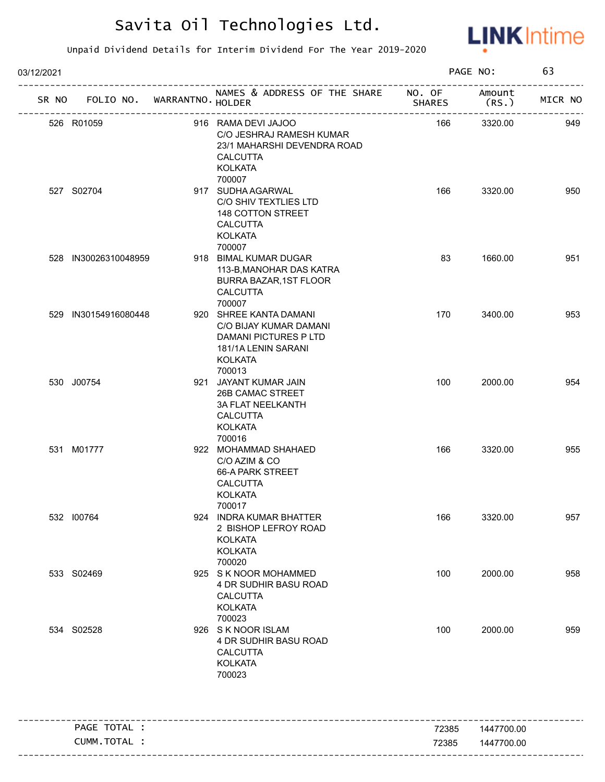

| 03/12/2021 |                             |                                                                                                                          |               | PAGE NO:       | 63      |
|------------|-----------------------------|--------------------------------------------------------------------------------------------------------------------------|---------------|----------------|---------|
| SR NO      | FOLIO NO. WARRANTNO. HOLDER | NAMES & ADDRESS OF THE SHARE NO. OF                                                                                      | <b>SHARES</b> | Amount<br>(RS. | MICR NO |
|            | 526 R01059                  | 916 RAMA DEVI JAJOO<br>C/O JESHRAJ RAMESH KUMAR<br>23/1 MAHARSHI DEVENDRA ROAD<br><b>CALCUTTA</b><br><b>KOLKATA</b>      | 166           | 3320.00        | 949     |
|            | 527 S02704                  | 700007<br>917 SUDHA AGARWAL<br>C/O SHIV TEXTLIES LTD<br>148 COTTON STREET<br><b>CALCUTTA</b><br><b>KOLKATA</b><br>700007 | 166           | 3320.00        | 950     |
|            | 528 IN30026310048959        | 918 BIMAL KUMAR DUGAR<br>113-B, MANOHAR DAS KATRA<br><b>BURRA BAZAR, 1ST FLOOR</b><br><b>CALCUTTA</b><br>700007          | 83            | 1660.00        | 951     |
|            | 529 IN30154916080448        | 920 SHREE KANTA DAMANI<br>C/O BIJAY KUMAR DAMANI<br>DAMANI PICTURES P LTD<br>181/1A LENIN SARANI<br>KOLKATA<br>700013    | 170           | 3400.00        | 953     |
|            | 530 J00754                  | 921 JAYANT KUMAR JAIN<br>26B CAMAC STREET<br><b>3A FLAT NEELKANTH</b><br><b>CALCUTTA</b><br><b>KOLKATA</b><br>700016     | 100           | 2000.00        | 954     |
|            | 531 M01777                  | 922 MOHAMMAD SHAHAED<br>C/O AZIM & CO<br>66-A PARK STREET<br><b>CALCUTTA</b><br><b>KOLKATA</b><br>700017                 | 166           | 3320.00        | 955     |
|            | 532 100764                  | 924 INDRA KUMAR BHATTER<br>2 BISHOP LEFROY ROAD<br><b>KOLKATA</b><br><b>KOLKATA</b><br>700020                            | 166           | 3320.00        | 957     |
|            | 533 S02469                  | 925 S K NOOR MOHAMMED<br>4 DR SUDHIR BASU ROAD<br><b>CALCUTTA</b><br><b>KOLKATA</b><br>700023                            | 100           | 2000.00        | 958     |
|            | 534 S02528                  | 926 S K NOOR ISLAM<br>4 DR SUDHIR BASU ROAD<br><b>CALCUTTA</b><br><b>KOLKATA</b><br>700023                               | 100           | 2000.00        | 959     |
|            | PAGE TOTAL :                |                                                                                                                          | 72385         | 1447700.00     |         |
|            | CUMM.TOTAL :                |                                                                                                                          | 72385         | 1447700.00     |         |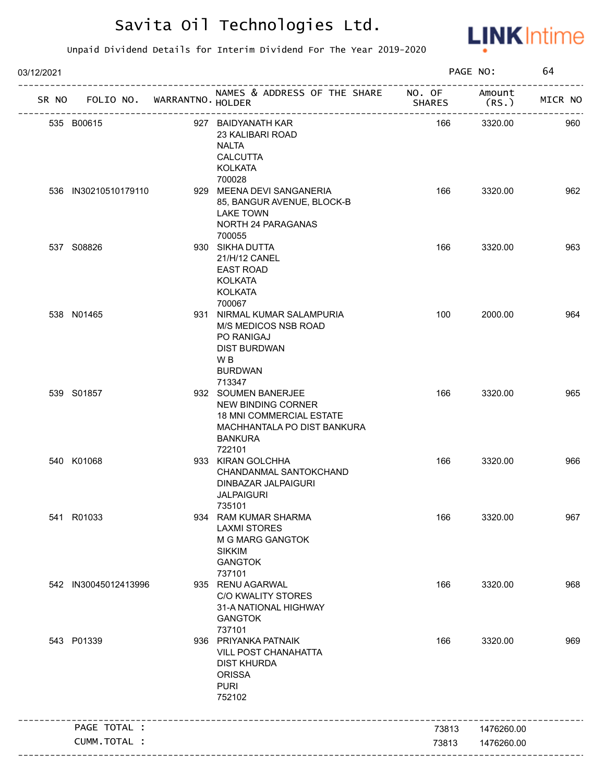

| 03/12/2021 |                             |                                                                                                                                  |               | PAGE NO:        | 64      |
|------------|-----------------------------|----------------------------------------------------------------------------------------------------------------------------------|---------------|-----------------|---------|
| SR NO      | FOLIO NO. WARRANTNO. HOLDER | NAMES & ADDRESS OF THE SHARE NO. OF<br>_____________________                                                                     | <b>SHARES</b> | Amount<br>(RS.) | MICR NO |
|            | 535 B00615                  | 927 BAIDYANATH KAR<br>23 KALIBARI ROAD<br><b>NALTA</b><br><b>CALCUTTA</b><br><b>KOLKATA</b>                                      | 166           | 3320.00         | 960     |
|            | 536 IN30210510179110        | 700028<br>929 MEENA DEVI SANGANERIA<br>85, BANGUR AVENUE, BLOCK-B<br><b>LAKE TOWN</b><br>NORTH 24 PARAGANAS<br>700055            | 166           | 3320.00         | 962     |
|            | 537 S08826                  | 930 SIKHA DUTTA<br>21/H/12 CANEL<br><b>EAST ROAD</b><br><b>KOLKATA</b><br><b>KOLKATA</b><br>700067                               | 166           | 3320.00         | 963     |
|            | 538 N01465                  | 931 NIRMAL KUMAR SALAMPURIA<br>M/S MEDICOS NSB ROAD<br>PO RANIGAJ<br><b>DIST BURDWAN</b><br>W B<br><b>BURDWAN</b><br>713347      | 100           | 2000.00         | 964     |
|            | 539 S01857                  | 932 SOUMEN BANERJEE<br>NEW BINDING CORNER<br>18 MNI COMMERCIAL ESTATE<br>MACHHANTALA PO DIST BANKURA<br><b>BANKURA</b><br>722101 | 166           | 3320.00         | 965     |
|            | 540 K01068                  | 933 KIRAN GOLCHHA<br>CHANDANMAL SANTOKCHAND<br>DINBAZAR JALPAIGURI<br><b>JALPAIGURI</b><br>735101                                | 166           | 3320.00         | 966     |
|            | 541 R01033                  | 934 RAM KUMAR SHARMA<br><b>LAXMI STORES</b><br>M G MARG GANGTOK<br><b>SIKKIM</b><br><b>GANGTOK</b><br>737101                     | 166           | 3320.00         | 967     |
|            | 542 IN30045012413996        | 935 RENU AGARWAL<br><b>C/O KWALITY STORES</b><br>31-A NATIONAL HIGHWAY<br><b>GANGTOK</b><br>737101                               | 166           | 3320.00         | 968     |
|            | 543 P01339                  | 936 PRIYANKA PATNAIK<br>VILL POST CHANAHATTA<br><b>DIST KHURDA</b><br><b>ORISSA</b><br><b>PURI</b><br>752102                     | 166           | 3320.00         | 969     |
|            | PAGE TOTAL :                |                                                                                                                                  | 73813         | 1476260.00      |         |
|            | CUMM.TOTAL :                |                                                                                                                                  | 73813         | 1476260.00      |         |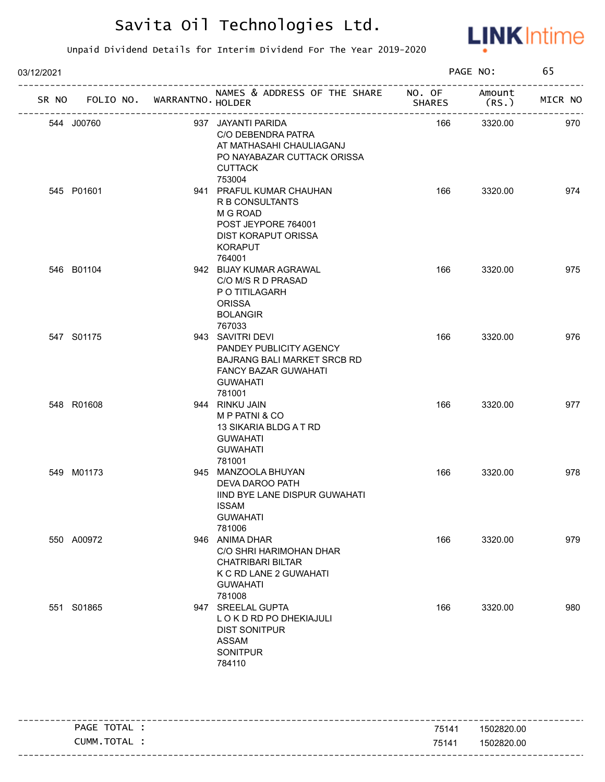

| 03/12/2021 |                                   |  |                                                                                                                                                 |               | PAGE NO:       |         |
|------------|-----------------------------------|--|-------------------------------------------------------------------------------------------------------------------------------------------------|---------------|----------------|---------|
|            | SR NO FOLIO NO. WARRANTNO. HOLDER |  | NAMES & ADDRESS OF THE SHARE NO. OF                                                                                                             | <b>SHARES</b> | Amount<br>(RS. | MICR NO |
|            | 544 J00760                        |  | 937 JAYANTI PARIDA<br>C/O DEBENDRA PATRA<br>AT MATHASAHI CHAULIAGANJ<br>PO NAYABAZAR CUTTACK ORISSA<br><b>CUTTACK</b><br>753004                 | 166           | 3320.00        | 970     |
|            | 545 P01601                        |  | 941 PRAFUL KUMAR CHAUHAN<br><b>R B CONSULTANTS</b><br>M G ROAD<br>POST JEYPORE 764001<br><b>DIST KORAPUT ORISSA</b><br><b>KORAPUT</b><br>764001 | 166           | 3320.00        | 974     |
|            | 546 B01104                        |  | 942 BIJAY KUMAR AGRAWAL<br>C/O M/S R D PRASAD<br>P O TITILAGARH<br><b>ORISSA</b><br><b>BOLANGIR</b><br>767033                                   | 166           | 3320.00        | 975     |
|            | 547 S01175                        |  | 943 SAVITRI DEVI<br>PANDEY PUBLICITY AGENCY<br><b>BAJRANG BALI MARKET SRCB RD</b><br><b>FANCY BAZAR GUWAHATI</b><br><b>GUWAHATI</b><br>781001   | 166           | 3320.00        | 976     |
|            | 548 R01608                        |  | 944 RINKU JAIN<br>M P PATNI & CO<br>13 SIKARIA BLDG A T RD<br><b>GUWAHATI</b><br><b>GUWAHATI</b><br>781001                                      | 166           | 3320.00        | 977     |
|            | 549 M01173                        |  | 945 MANZOOLA BHUYAN<br>DEVA DAROO PATH<br>IIND BYE LANE DISPUR GUWAHATI<br>ISSAM<br><b>GUWAHATI</b><br>781006                                   | 166           | 3320.00        | 978     |
|            | 550 A00972                        |  | 946 ANIMA DHAR<br>C/O SHRI HARIMOHAN DHAR<br><b>CHATRIBARI BILTAR</b><br>K C RD LANE 2 GUWAHATI<br><b>GUWAHATI</b><br>781008                    | 166           | 3320.00        | 979     |
|            | 551 S01865                        |  | 947 SREELAL GUPTA<br>LOKDRDPODHEKIAJULI<br><b>DIST SONITPUR</b><br>ASSAM<br><b>SONITPUR</b><br>784110                                           | 166           | 3320.00        | 980     |

| PAGE TOTAL | 75141 | 1502820.00 |
|------------|-------|------------|
| CUMM.TOTAL | 75141 | 1502820.00 |
|            |       |            |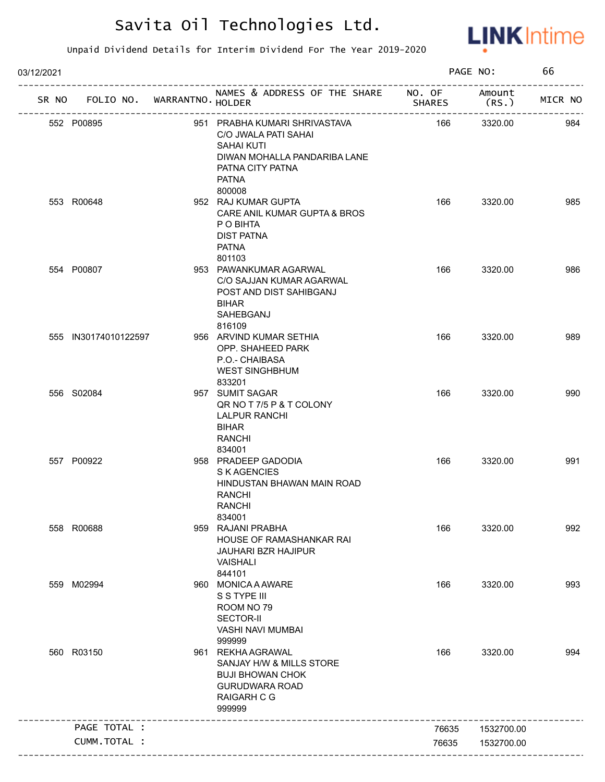

| 03/12/2021 |                             |                    |                                                                                                                                                          |               | PAGE NO:        | 66      |
|------------|-----------------------------|--------------------|----------------------------------------------------------------------------------------------------------------------------------------------------------|---------------|-----------------|---------|
| SR NO      | FOLIO NO. WARRANTNO. HOLDER |                    | NAMES & ADDRESS OF THE SHARE NO. OF                                                                                                                      | <b>SHARES</b> | Amount<br>(RS.) | MICR NO |
|            | 552 P00895                  | ------------------ | 951 PRABHA KUMARI SHRIVASTAVA<br>C/O JWALA PATI SAHAI<br><b>SAHAI KUTI</b><br>DIWAN MOHALLA PANDARIBA LANE<br>PATNA CITY PATNA<br><b>PATNA</b><br>800008 | 166           | 3320.00         | 984     |
|            | 553 R00648                  |                    | 952 RAJ KUMAR GUPTA<br>CARE ANIL KUMAR GUPTA & BROS<br>P O BIHTA<br><b>DIST PATNA</b><br><b>PATNA</b><br>801103                                          | 166           | 3320.00         | 985     |
|            | 554 P00807                  |                    | 953 PAWANKUMAR AGARWAL<br>C/O SAJJAN KUMAR AGARWAL<br>POST AND DIST SAHIBGANJ<br><b>BIHAR</b><br>SAHEBGANJ<br>816109                                     | 166           | 3320.00         | 986     |
|            | 555 IN30174010122597        |                    | 956 ARVIND KUMAR SETHIA<br>OPP. SHAHEED PARK<br>P.O.- CHAIBASA<br><b>WEST SINGHBHUM</b><br>833201                                                        | 166           | 3320.00         | 989     |
|            | 556 S02084                  |                    | 957 SUMIT SAGAR<br>QR NO T 7/5 P & T COLONY<br>LALPUR RANCHI<br><b>BIHAR</b><br><b>RANCHI</b><br>834001                                                  | 166           | 3320.00         | 990     |
|            | 557 P00922                  |                    | 958 PRADEEP GADODIA<br><b>SKAGENCIES</b><br>HINDUSTAN BHAWAN MAIN ROAD<br><b>RANCHI</b><br><b>RANCHI</b><br>834001                                       | 166           | 3320.00         | 991     |
|            | 558 R00688                  |                    | 959 RAJANI PRABHA<br>HOUSE OF RAMASHANKAR RAI<br><b>JAUHARI BZR HAJIPUR</b><br>VAISHALI<br>844101                                                        | 166           | 3320.00         | 992     |
|            | 559 M02994                  |                    | 960 MONICA A AWARE<br>S S TYPE III<br>ROOM NO 79<br><b>SECTOR-II</b><br>VASHI NAVI MUMBAI<br>999999                                                      | 166           | 3320.00         | 993     |
|            | 560 R03150                  |                    | 961 REKHA AGRAWAL<br>SANJAY H/W & MILLS STORE<br><b>BUJI BHOWAN CHOK</b><br><b>GURUDWARA ROAD</b><br><b>RAIGARH C G</b><br>999999                        | 166           | 3320.00         | 994     |
|            | PAGE TOTAL :                |                    |                                                                                                                                                          | 76635         | 1532700.00      |         |
|            | CUMM.TOTAL :                |                    |                                                                                                                                                          | 76635         | 1532700.00      |         |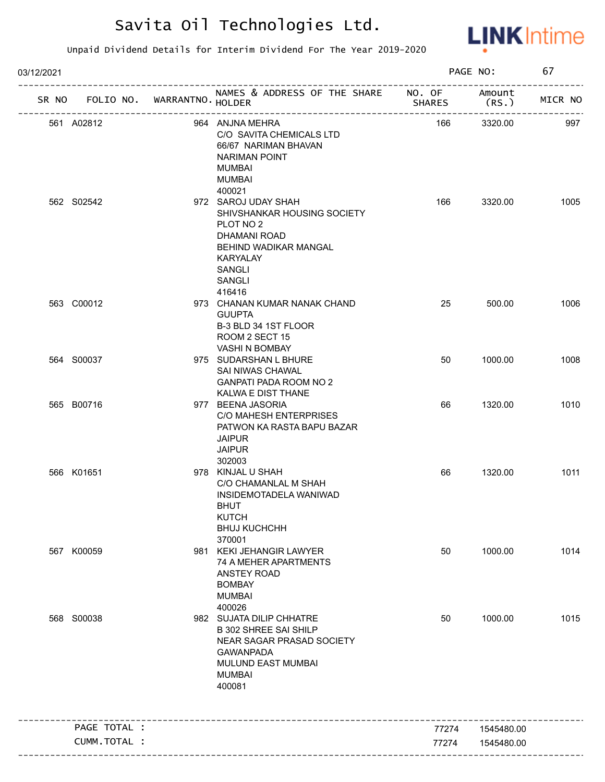

| 03/12/2021 |              |                            |                                                                                                                                                                      |               | PAGE NO:        | 67      |
|------------|--------------|----------------------------|----------------------------------------------------------------------------------------------------------------------------------------------------------------------|---------------|-----------------|---------|
| SR NO      |              | FOLIO NO. WARRANTNO HOLDER | NAMES & ADDRESS OF THE SHARE NO. OF<br>_______________________                                                                                                       | <b>SHARES</b> | Amount<br>(RS.) | MICR NO |
|            | 561 A02812   |                            | 964 ANJNA MEHRA<br>C/O SAVITA CHEMICALS LTD<br>66/67 NARIMAN BHAVAN<br><b>NARIMAN POINT</b><br>MUMBAI<br><b>MUMBAI</b><br>400021                                     | 166           | 3320.00         | 997     |
|            | 562 S02542   |                            | 972 SAROJ UDAY SHAH<br>SHIVSHANKAR HOUSING SOCIETY<br>PLOT NO <sub>2</sub><br><b>DHAMANI ROAD</b><br>BEHIND WADIKAR MANGAL<br>KARYALAY<br>SANGLI<br>SANGLI<br>416416 | 166           | 3320.00         | 1005    |
|            | 563 C00012   |                            | 973 CHANAN KUMAR NANAK CHAND<br><b>GUUPTA</b><br>B-3 BLD 34 1ST FLOOR<br>ROOM 2 SECT 15<br>VASHI N BOMBAY                                                            | 25            | 500.00          | 1006    |
|            | 564 S00037   |                            | 975 SUDARSHAN L BHURE<br>SAI NIWAS CHAWAL<br><b>GANPATI PADA ROOM NO 2</b><br>KALWA E DIST THANE                                                                     | 50            | 1000.00         | 1008    |
|            | 565 B00716   |                            | 977 BEENA JASORIA<br>C/O MAHESH ENTERPRISES<br>PATWON KA RASTA BAPU BAZAR<br><b>JAIPUR</b><br><b>JAIPUR</b><br>302003                                                | 66            | 1320.00         | 1010    |
|            | 566 K01651   |                            | 978 KINJAL U SHAH<br>C/O CHAMANLAL M SHAH<br>INSIDEMOTADELA WANIWAD<br><b>BHUT</b><br><b>KUTCH</b><br><b>BHUJ KUCHCHH</b><br>370001                                  | 66            | 1320.00         | 1011    |
|            | 567 K00059   |                            | 981 KEKI JEHANGIR LAWYER<br>74 A MEHER APARTMENTS<br>ANSTEY ROAD<br><b>BOMBAY</b><br><b>MUMBAI</b><br>400026                                                         | 50            | 1000.00         | 1014    |
|            | 568 S00038   |                            | 982 SUJATA DILIP CHHATRE<br><b>B 302 SHREE SAI SHILP</b><br>NEAR SAGAR PRASAD SOCIETY<br><b>GAWANPADA</b><br>MULUND EAST MUMBAI<br><b>MUMBAI</b><br>400081           | 50            | 1000.00         | 1015    |
|            | PAGE TOTAL : |                            |                                                                                                                                                                      | 77274         | 1545480.00      |         |
|            | CUMM.TOTAL : |                            |                                                                                                                                                                      | 77274         | 1545480.00      |         |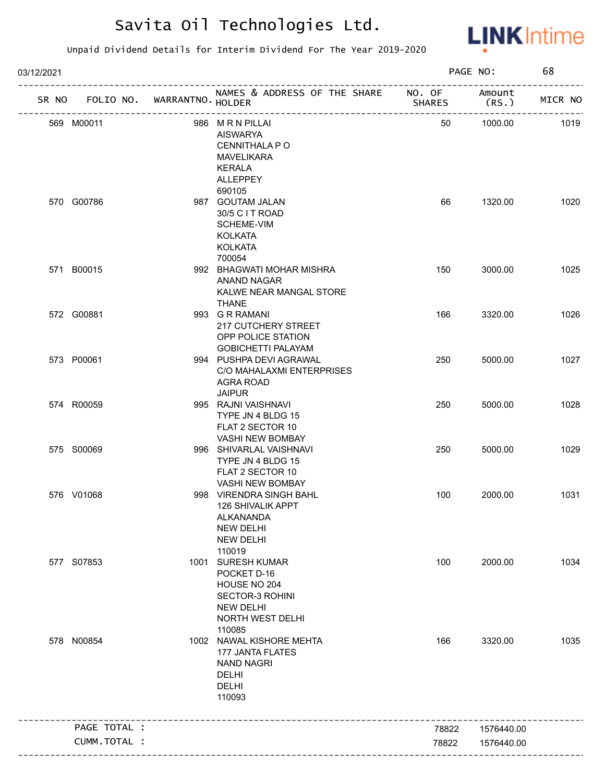

| 03/12/2021 |                                   |                                                                                                                              |               | PAGE NO:        | 68      |
|------------|-----------------------------------|------------------------------------------------------------------------------------------------------------------------------|---------------|-----------------|---------|
|            | SR NO FOLIO NO. WARRANTNO. HOLDER | NAMES & ADDRESS OF THE SHARE NO. OF                                                                                          | <b>SHARES</b> | Amount<br>(RS.) | MICR NO |
|            | 569 M00011                        | 986 MRN PILLAI<br>AISWARYA<br>CENNITHALA P O<br><b>MAVELIKARA</b><br><b>KERALA</b><br>ALLEPPEY<br>690105                     | 50            | 1000.00         | 1019    |
|            | 570 G00786                        | 987 GOUTAM JALAN<br>30/5 C I T ROAD<br>SCHEME-VIM<br><b>KOLKATA</b><br><b>KOLKATA</b><br>700054                              | 66            | 1320.00         | 1020    |
|            | 571 B00015                        | 992 BHAGWATI MOHAR MISHRA<br>ANAND NAGAR<br>KALWE NEAR MANGAL STORE<br>THANE                                                 | 150           | 3000.00         | 1025    |
|            | 572 G00881                        | 993 G R RAMANI<br>217 CUTCHERY STREET<br>OPP POLICE STATION<br><b>GOBICHETTI PALAYAM</b>                                     | 166           | 3320.00         | 1026    |
|            | 573 P00061                        | 994 PUSHPA DEVI AGRAWAL<br>C/O MAHALAXMI ENTERPRISES<br>AGRA ROAD<br><b>JAIPUR</b>                                           | 250           | 5000.00         | 1027    |
|            | 574 R00059                        | 995 RAJNI VAISHNAVI<br>TYPE JN 4 BLDG 15<br>FLAT 2 SECTOR 10<br>VASHI NEW BOMBAY                                             | 250           | 5000.00         | 1028    |
|            | 575 S00069                        | 996 SHIVARLAL VAISHNAVI<br>TYPE JN 4 BLDG 15<br>FLAT 2 SECTOR 10<br>VASHI NEW BOMBAY                                         | 250           | 5000.00         | 1029    |
|            | 576 V01068                        | 998 VIRENDRA SINGH BAHL<br>126 SHIVALIK APPT<br>ALKANANDA<br><b>NEW DELHI</b><br><b>NEW DELHI</b><br>110019                  | 100           | 2000.00         | 1031    |
|            | 577 S07853                        | 1001 SURESH KUMAR<br>POCKET D-16<br>HOUSE NO 204<br><b>SECTOR-3 ROHINI</b><br><b>NEW DELHI</b><br>NORTH WEST DELHI<br>110085 | 100           | 2000.00         | 1034    |
|            | 578 N00854                        | 1002 NAWAL KISHORE MEHTA<br><b>177 JANTA FLATES</b><br><b>NAND NAGRI</b><br>DELHI<br>DELHI<br>110093                         | 166           | 3320.00         | 1035    |
|            | PAGE TOTAL :                      |                                                                                                                              | 78822         | 1576440.00      |         |
|            | CUMM.TOTAL :                      |                                                                                                                              | 78822         | 1576440.00      |         |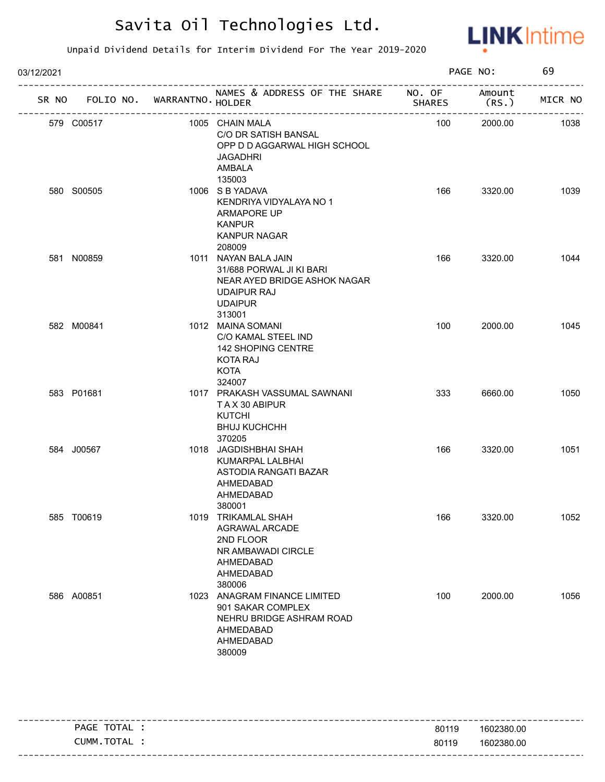

| 03/12/2021 |                                   |  |                                                                                                                                    | PAGE NO:      |                  | 69      |
|------------|-----------------------------------|--|------------------------------------------------------------------------------------------------------------------------------------|---------------|------------------|---------|
|            | SR NO FOLIO NO. WARRANTNO. HOLDER |  | NAMES & ADDRESS OF THE SHARE NO. OF                                                                                                | <b>SHARES</b> | Amount<br>(RS. ) | MICR NO |
|            | 579 C00517                        |  | 1005 CHAIN MALA<br>C/O DR SATISH BANSAL<br>OPP D D AGGARWAL HIGH SCHOOL<br><b>JAGADHRI</b><br>AMBALA<br>135003                     | 100           | 2000.00          | 1038    |
|            | 580 S00505                        |  | 1006 S B YADAVA<br>KENDRIYA VIDYALAYA NO 1<br>ARMAPORE UP<br><b>KANPUR</b><br><b>KANPUR NAGAR</b><br>208009                        | 166           | 3320.00          | 1039    |
|            | 581 N00859                        |  | 1011 NAYAN BALA JAIN<br>31/688 PORWAL JI KI BARI<br>NEAR AYED BRIDGE ASHOK NAGAR<br><b>UDAIPUR RAJ</b><br><b>UDAIPUR</b><br>313001 | 166           | 3320.00          | 1044    |
|            | 582 M00841                        |  | 1012 MAINA SOMANI<br>C/O KAMAL STEEL IND<br>142 SHOPING CENTRE<br>KOTA RAJ<br><b>KOTA</b><br>324007                                | 100           | 2000.00          | 1045    |
|            | 583 P01681                        |  | 1017 PRAKASH VASSUMAL SAWNANI<br>TAX 30 ABIPUR<br>KUTCHI<br><b>BHUJ KUCHCHH</b><br>370205                                          | 333           | 6660.00          | 1050    |
|            | 584 J00567                        |  | 1018 JAGDISHBHAI SHAH<br>KUMARPAL LALBHAI<br>ASTODIA RANGATI BAZAR<br>AHMEDABAD<br>AHMEDABAD<br>380001                             | 166           | 3320.00          | 1051    |
|            | 585 T00619                        |  | 1019 TRIKAMLAL SHAH<br>AGRAWAL ARCADE<br>2ND FLOOR<br>NR AMBAWADI CIRCLE<br>AHMEDABAD<br>AHMEDABAD<br>380006                       | 166           | 3320.00          | 1052    |
|            | 586 A00851                        |  | 1023 ANAGRAM FINANCE LIMITED<br>901 SAKAR COMPLEX<br>NEHRU BRIDGE ASHRAM ROAD<br>AHMEDABAD<br>AHMEDABAD<br>380009                  | 100           | 2000.00          | 1056    |

|                |       | ----------------------- |
|----------------|-------|-------------------------|
| TOTAL<br>PAGE  | 80119 | 1602380.00              |
| TOTAL<br>CUMM. | 80119 | 1602380.00              |
|                |       |                         |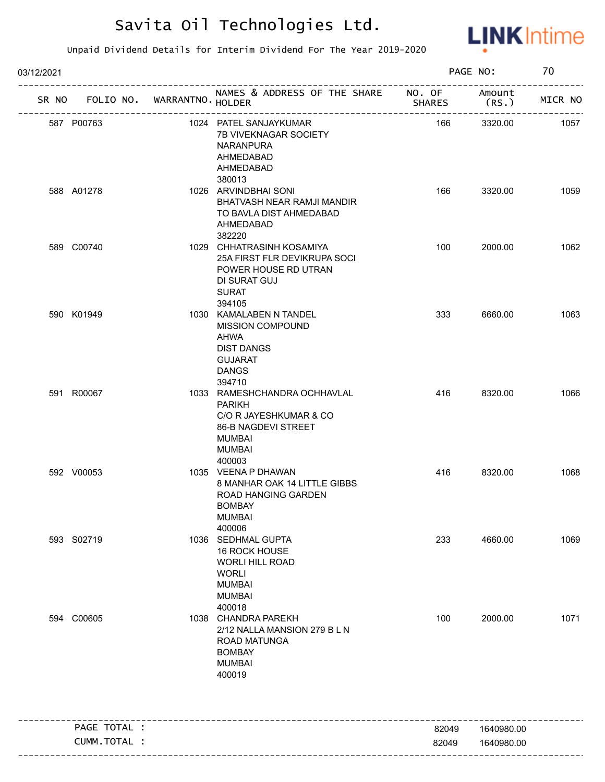

| 03/12/2021 |              |                   |                                                                                                                                     |                | PAGE NO:       | 70      |
|------------|--------------|-------------------|-------------------------------------------------------------------------------------------------------------------------------------|----------------|----------------|---------|
| SR NO      | FOLIO NO.    | WARRANTNO. HOLDER | NAMES & ADDRESS OF THE SHARE NO. OF                                                                                                 | <b>SHARES</b>  | Amount<br>(RS. | MICR NO |
|            | 587 P00763   |                   | 1024 PATEL SANJAYKUMAR<br>7B VIVEKNAGAR SOCIETY<br><b>NARANPURA</b><br>AHMEDABAD<br>AHMEDABAD                                       | 166            | 3320.00        | 1057    |
|            | 588 A01278   |                   | 380013<br>1026 ARVINDBHAI SONI<br><b>BHATVASH NEAR RAMJI MANDIR</b><br>TO BAVLA DIST AHMEDABAD<br>AHMEDABAD<br>382220               | 166            | 3320.00        | 1059    |
|            | 589 C00740   |                   | 1029 CHHATRASINH KOSAMIYA<br>25A FIRST FLR DEVIKRUPA SOCI<br>POWER HOUSE RD UTRAN<br>DI SURAT GUJ<br><b>SURAT</b><br>394105         | 100            | 2000.00        | 1062    |
|            | 590 K01949   |                   | 1030 KAMALABEN N TANDEL<br>MISSION COMPOUND<br>AHWA<br><b>DIST DANGS</b><br><b>GUJARAT</b><br><b>DANGS</b><br>394710                | 333            | 6660.00        | 1063    |
|            | 591 R00067   |                   | 1033 RAMESHCHANDRA OCHHAVLAL<br><b>PARIKH</b><br>C/O R JAYESHKUMAR & CO<br>86-B NAGDEVI STREET<br>MUMBAI<br><b>MUMBAI</b><br>400003 | 416            | 8320.00        | 1066    |
|            | 592 V00053   |                   | 1035 VEENA P DHAWAN<br>8 MANHAR OAK 14 LITTLE GIBBS<br>ROAD HANGING GARDEN<br>BOMBAY<br><b>MUMBAI</b><br>400006                     | 416            | 8320.00        | 1068    |
|            | 593 S02719   |                   | 1036 SEDHMAL GUPTA<br>16 ROCK HOUSE<br>WORLI HILL ROAD<br><b>WORLI</b><br><b>MUMBAI</b><br><b>MUMBAI</b><br>400018                  | 233            | 4660.00        | 1069    |
|            | 594 C00605   |                   | 1038 CHANDRA PAREKH<br>2/12 NALLA MANSION 279 BLN<br>ROAD MATUNGA<br><b>BOMBAY</b><br><b>MUMBAI</b><br>400019                       | 100            | 2000.00        | 1071    |
|            | PAGE TOTAL : |                   |                                                                                                                                     |                | 1640980.00     |         |
|            | CUMM.TOTAL : |                   |                                                                                                                                     | 82049<br>82049 | 1640980.00     |         |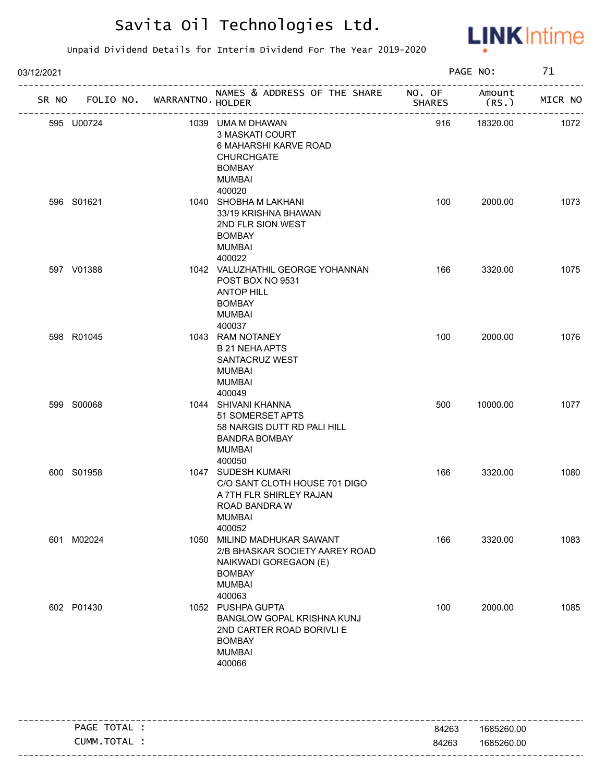

| 03/12/2021 |                                   |  |                                                                                                                                    | PAGE NO:      | 71               |         |
|------------|-----------------------------------|--|------------------------------------------------------------------------------------------------------------------------------------|---------------|------------------|---------|
|            | SR NO FOLIO NO. WARRANTNO. HOLDER |  | NAMES & ADDRESS OF THE SHARE NO. OF<br>----------------------                                                                      | <b>SHARES</b> | Amount<br>(RS. ) | MICR NO |
|            | 595 U00724                        |  | 1039 UMA M DHAWAN<br>3 MASKATI COURT<br>6 MAHARSHI KARVE ROAD<br><b>CHURCHGATE</b><br><b>BOMBAY</b><br><b>MUMBAI</b><br>400020     | 916           | 18320.00         | 1072    |
|            | 596 S01621                        |  | 1040 SHOBHA M LAKHANI<br>33/19 KRISHNA BHAWAN<br>2ND FLR SION WEST<br><b>BOMBAY</b><br><b>MUMBAI</b><br>400022                     | 100           | 2000.00          | 1073    |
|            | 597 V01388                        |  | 1042 VALUZHATHIL GEORGE YOHANNAN<br>POST BOX NO 9531<br><b>ANTOP HILL</b><br><b>BOMBAY</b><br><b>MUMBAI</b><br>400037              | 166           | 3320.00          | 1075    |
|            | 598 R01045                        |  | 1043 RAM NOTANEY<br><b>B 21 NEHA APTS</b><br>SANTACRUZ WEST<br>MUMBAI<br><b>MUMBAI</b><br>400049                                   | 100           | 2000.00          | 1076    |
|            | 599 S00068                        |  | 1044 SHIVANI KHANNA<br>51 SOMERSET APTS<br>58 NARGIS DUTT RD PALI HILL<br><b>BANDRA BOMBAY</b><br><b>MUMBAI</b><br>400050          | 500           | 10000.00         | 1077    |
|            | 600 S01958                        |  | 1047 SUDESH KUMARI<br>C/O SANT CLOTH HOUSE 701 DIGO<br>A 7TH FLR SHIRLEY RAJAN<br>ROAD BANDRA W<br><b>MUMBAI</b><br>400052         | 166           | 3320.00          | 1080    |
|            | 601 M02024                        |  | 1050 MILIND MADHUKAR SAWANT<br>2/B BHASKAR SOCIETY AAREY ROAD<br>NAIKWADI GOREGAON (E)<br><b>BOMBAY</b><br><b>MUMBAI</b><br>400063 | 166           | 3320.00          | 1083    |
|            | 602 P01430                        |  | 1052 PUSHPA GUPTA<br>BANGLOW GOPAL KRISHNA KUNJ<br>2ND CARTER ROAD BORIVLI E<br><b>BOMBAY</b><br><b>MUMBAI</b><br>400066           | 100           | 2000.00          | 1085    |

| TOTAL<br><b>PAGE</b> | 84263 | 1685260.00 |
|----------------------|-------|------------|
| <b>TOTAL</b><br>CUMM | 84263 | 1685260.00 |
|                      |       |            |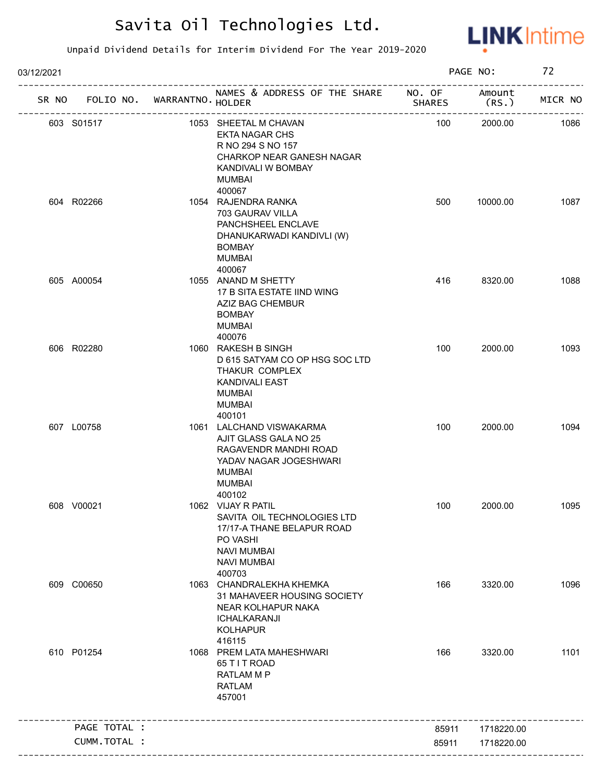

| 03/12/2021 |              |                   |                                                                                                                                                   |                         | PAGE NO:         | 72      |
|------------|--------------|-------------------|---------------------------------------------------------------------------------------------------------------------------------------------------|-------------------------|------------------|---------|
| SR NO      | FOLIO NO.    | WARRANTNO. HOLDER | NAMES & ADDRESS OF THE SHARE                                                                                                                      | NO. OF<br><b>SHARES</b> | Amount<br>(RS. ) | MICR NO |
|            | 603 S01517   |                   | 1053 SHEETAL M CHAVAN<br><b>EKTA NAGAR CHS</b><br>R NO 294 S NO 157<br>CHARKOP NEAR GANESH NAGAR<br>KANDIVALI W BOMBAY<br>MUMBAI<br>400067        | 100                     | 2000.00          | 1086    |
|            | 604 R02266   |                   | 1054 RAJENDRA RANKA<br>703 GAURAV VILLA<br>PANCHSHEEL ENCLAVE<br>DHANUKARWADI KANDIVLI (W)<br><b>BOMBAY</b><br>MUMBAI<br>400067                   | 500                     | 10000.00         | 1087    |
|            | 605 A00054   |                   | 1055 ANAND M SHETTY<br>17 B SITA ESTATE IIND WING<br>AZIZ BAG CHEMBUR<br><b>BOMBAY</b><br><b>MUMBAI</b><br>400076                                 | 416                     | 8320.00          | 1088    |
|            | 606 R02280   |                   | 1060 RAKESH B SINGH<br>D 615 SATYAM CO OP HSG SOC LTD<br>THAKUR COMPLEX<br><b>KANDIVALI EAST</b><br>MUMBAI<br><b>MUMBAI</b><br>400101             | 100                     | 2000.00          | 1093    |
|            | 607 L00758   |                   | 1061 LALCHAND VISWAKARMA<br>AJIT GLASS GALA NO 25<br>RAGAVENDR MANDHI ROAD<br>YADAV NAGAR JOGESHWARI<br><b>MUMBAI</b><br>MUMBAI<br>400102         | 100                     | 2000.00          | 1094    |
|            | 608 V00021   |                   | 1062 VIJAY R PATIL<br>SAVITA OIL TECHNOLOGIES LTD<br>17/17-A THANE BELAPUR ROAD<br>PO VASHI<br><b>NAVI MUMBAI</b><br><b>NAVI MUMBAI</b><br>400703 | 100                     | 2000.00          | 1095    |
|            | 609 C00650   |                   | 1063 CHANDRALEKHA KHEMKA<br>31 MAHAVEER HOUSING SOCIETY<br>NEAR KOLHAPUR NAKA<br>ICHALKARANJI<br><b>KOLHAPUR</b><br>416115                        | 166                     | 3320.00          | 1096    |
|            | 610 P01254   |                   | 1068 PREM LATA MAHESHWARI<br>65 T I T ROAD<br><b>RATLAM M P</b><br><b>RATLAM</b><br>457001                                                        | 166                     | 3320.00          | 1101    |
|            | PAGE TOTAL : |                   |                                                                                                                                                   | 85911                   | 1718220.00       |         |
|            | CUMM.TOTAL : |                   |                                                                                                                                                   | 85911                   | 1718220.00       |         |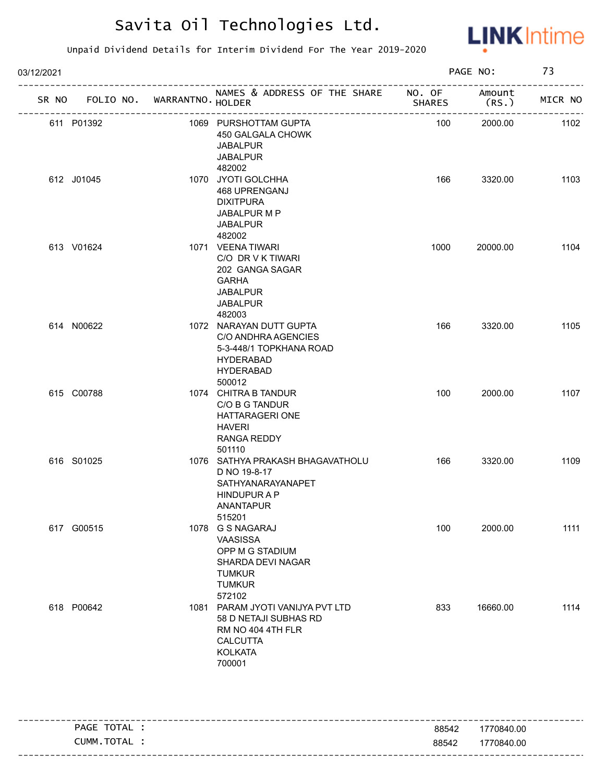

| 03/12/2021 |            |                             |                                                                                                                               |               | PAGE NO:        | 73      |
|------------|------------|-----------------------------|-------------------------------------------------------------------------------------------------------------------------------|---------------|-----------------|---------|
| SR NO      |            | FOLIO NO. WARRANTNO. HOLDER | NAMES & ADDRESS OF THE SHARE NO. OF                                                                                           | <b>SHARES</b> | Amount<br>(RS.) | MICR NO |
|            | 611 P01392 |                             | 1069 PURSHOTTAM GUPTA<br>450 GALGALA CHOWK<br><b>JABALPUR</b><br><b>JABALPUR</b><br>482002                                    | 100           | 2000.00         | 1102    |
|            | 612 J01045 |                             | 1070 JYOTI GOLCHHA<br>468 UPRENGANJ<br><b>DIXITPURA</b><br>JABALPUR M P<br><b>JABALPUR</b><br>482002                          | 166           | 3320.00         | 1103    |
|            | 613 V01624 |                             | 1071 VEENA TIWARI<br>C/O DR V K TIWARI<br>202 GANGA SAGAR<br><b>GARHA</b><br>JABALPUR<br><b>JABALPUR</b><br>482003            | 1000          | 20000.00        | 1104    |
|            | 614 N00622 |                             | 1072 NARAYAN DUTT GUPTA<br>C/O ANDHRA AGENCIES<br>5-3-448/1 TOPKHANA ROAD<br><b>HYDERABAD</b><br><b>HYDERABAD</b><br>500012   | 166           | 3320.00         | 1105    |
|            | 615 C00788 |                             | 1074 CHITRA B TANDUR<br>C/O B G TANDUR<br><b>HATTARAGERI ONE</b><br>HAVERI<br>RANGA REDDY<br>501110                           | 100           | 2000.00         | 1107    |
|            | 616 S01025 |                             | 1076 SATHYA PRAKASH BHAGAVATHOLU<br>D NO 19-8-17<br>SATHYANARAYANAPET<br><b>HINDUPURAP</b><br>ANANTAPUR<br>515201             | 166           | 3320.00         | 1109    |
|            | 617 G00515 |                             | 1078 G S NAGARAJ<br>VAASISSA<br>OPP M G STADIUM<br>SHARDA DEVI NAGAR<br><b>TUMKUR</b><br><b>TUMKUR</b><br>572102              | 100           | 2000.00         | 1111    |
|            | 618 P00642 |                             | 1081 PARAM JYOTI VANIJYA PVT LTD<br>58 D NETAJI SUBHAS RD<br>RM NO 404 4TH FLR<br><b>CALCUTTA</b><br><b>KOLKATA</b><br>700001 | 833           | 16660.00        | 1114    |

| <b>TOTAL</b><br><b>PAGE</b><br>$H_{\rm L}$ | 88542 | 1770840.00                   |
|--------------------------------------------|-------|------------------------------|
| CUMM.TOTAL                                 | 88542 | 1770840.00                   |
|                                            |       | ---------------------------- |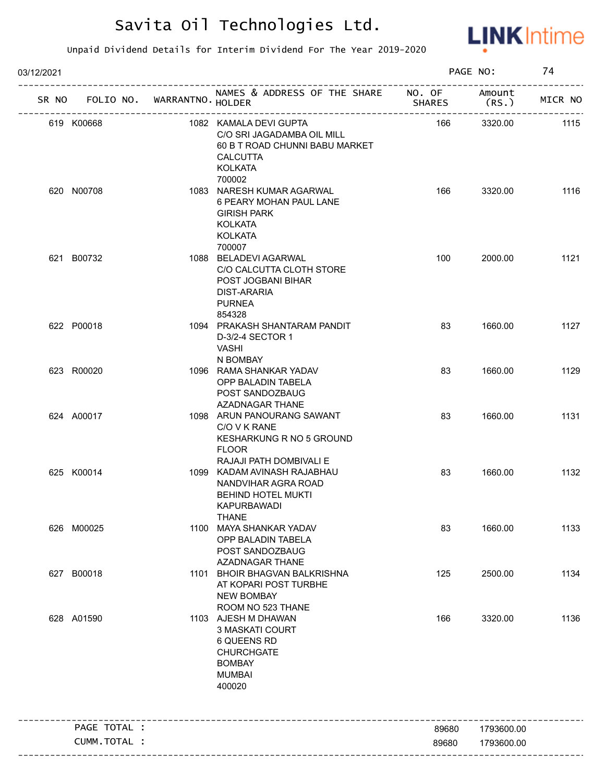

| 03/12/2021    |                                   |                                                                                                                             |               | PAGE NO:         | 74      |
|---------------|-----------------------------------|-----------------------------------------------------------------------------------------------------------------------------|---------------|------------------|---------|
|               | SR NO FOLIO NO. WARRANTNO. HOLDER | NAMES & ADDRESS OF THE SHARE NO. OF                                                                                         | <b>SHARES</b> | Amount<br>(RS. ) | MICR NO |
| 619 K00668    |                                   | 1082 KAMALA DEVI GUPTA<br>C/O SRI JAGADAMBA OIL MILL<br>60 B T ROAD CHUNNI BABU MARKET<br><b>CALCUTTA</b><br><b>KOLKATA</b> | 166           | 3320.00          | 1115    |
| 620 N00708    |                                   | 700002<br>1083 NARESH KUMAR AGARWAL<br>6 PEARY MOHAN PAUL LANE<br><b>GIRISH PARK</b><br><b>KOLKATA</b><br><b>KOLKATA</b>    | 166           | 3320.00          | 1116    |
| 621 B00732    |                                   | 700007<br>1088 BELADEVI AGARWAL<br>C/O CALCUTTA CLOTH STORE<br>POST JOGBANI BIHAR<br><b>DIST-ARARIA</b><br><b>PURNEA</b>    | 100           | 2000.00          | 1121    |
| 622 P00018    |                                   | 854328<br>1094 PRAKASH SHANTARAM PANDIT<br>D-3/2-4 SECTOR 1<br><b>VASHI</b><br>N BOMBAY                                     | 83            | 1660.00          | 1127    |
| 623 R00020    |                                   | 1096 RAMA SHANKAR YADAV<br>OPP BALADIN TABELA<br>POST SANDOZBAUG<br>AZADNAGAR THANE                                         | 83            | 1660.00          | 1129    |
| 624 A00017    |                                   | 1098 ARUN PANOURANG SAWANT<br>C/O V K RANE<br>KESHARKUNG R NO 5 GROUND<br><b>FLOOR</b><br>RAJAJI PATH DOMBIVALI E           | 83            | 1660.00          | 1131    |
| 625 K00014    |                                   | 1099 KADAM AVINASH RAJABHAU<br>NANDVIHAR AGRA ROAD<br>BEHIND HOTEL MUKTI<br>KAPURBAWADI<br><b>THANE</b>                     | 83            | 1660.00          | 1132    |
| 626 M00025    |                                   | 1100 MAYA SHANKAR YADAV<br>OPP BALADIN TABELA<br>POST SANDOZBAUG<br><b>AZADNAGAR THANE</b>                                  | 83            | 1660.00          | 1133    |
| 627 B00018    |                                   | 1101 BHOIR BHAGVAN BALKRISHNA<br>AT KOPARI POST TURBHE<br><b>NEW BOMBAY</b><br>ROOM NO 523 THANE                            | 125           | 2500.00          | 1134    |
| 628 A01590    |                                   | 1103 AJESH M DHAWAN<br>3 MASKATI COURT<br>6 QUEENS RD<br><b>CHURCHGATE</b><br><b>BOMBAY</b><br><b>MUMBAI</b><br>400020      | 166           | 3320.00          | 1136    |
| PAGE TOTAL :  |                                   |                                                                                                                             | 89680         | 1793600.00       |         |
| CUMM. TOTAL : |                                   |                                                                                                                             | 89680         | 1793600.00       |         |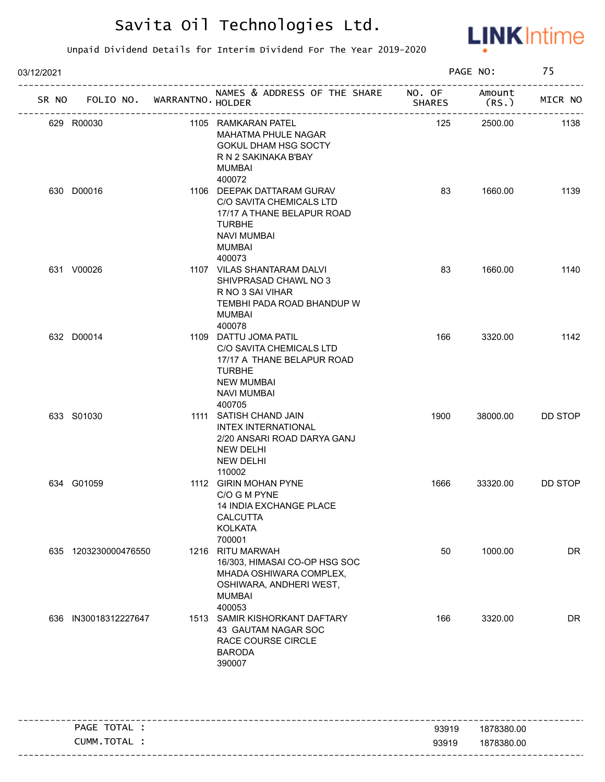

| 03/12/2021 |                                   |  | PAGE NO:                                                                                                                                              | 75            |                 |                |
|------------|-----------------------------------|--|-------------------------------------------------------------------------------------------------------------------------------------------------------|---------------|-----------------|----------------|
|            | SR NO FOLIO NO. WARRANTNO. HOLDER |  | NAMES & ADDRESS OF THE SHARE NO. OF<br>------------------                                                                                             | <b>SHARES</b> | Amount<br>(RS.) | MICR NO        |
|            | 629 R00030                        |  | 1105 RAMKARAN PATEL<br><b>MAHATMA PHULE NAGAR</b><br>GOKUL DHAM HSG SOCTY<br>R N 2 SAKINAKA B'BAY<br>MUMBAI<br>400072                                 | 125           | 2500.00         | 1138           |
|            | 630 D00016                        |  | 1106 DEEPAK DATTARAM GURAV<br>C/O SAVITA CHEMICALS LTD<br>17/17 A THANE BELAPUR ROAD<br><b>TURBHE</b><br><b>NAVI MUMBAI</b><br>MUMBAI<br>400073       | 83            | 1660.00         | 1139           |
|            | 631 V00026                        |  | 1107 VILAS SHANTARAM DALVI<br>SHIVPRASAD CHAWL NO 3<br>R NO 3 SAI VIHAR<br>TEMBHI PADA ROAD BHANDUP W<br>MUMBAI<br>400078                             | 83            | 1660.00         | 1140           |
|            | 632 D00014                        |  | 1109 DATTU JOMA PATIL<br>C/O SAVITA CHEMICALS LTD<br>17/17 A THANE BELAPUR ROAD<br><b>TURBHE</b><br><b>NEW MUMBAI</b><br><b>NAVI MUMBAI</b><br>400705 | 166           | 3320.00         | 1142           |
|            | 633 S01030                        |  | 1111 SATISH CHAND JAIN<br>INTEX INTERNATIONAL<br>2/20 ANSARI ROAD DARYA GANJ<br><b>NEW DELHI</b><br><b>NEW DELHI</b><br>110002                        | 1900          | 38000.00        | DD STOP        |
|            | 634 G01059                        |  | 1112 GIRIN MOHAN PYNE<br>C/O G M PYNE<br><b>14 INDIA EXCHANGE PLACE</b><br><b>CALCUTTA</b><br><b>KOLKATA</b><br>700001                                | 1666          | 33320.00        | <b>DD STOP</b> |
|            | 635 1203230000476550              |  | 1216 RITU MARWAH<br>16/303, HIMASAI CO-OP HSG SOC<br>MHADA OSHIWARA COMPLEX,<br>OSHIWARA, ANDHERI WEST,<br><b>MUMBAI</b><br>400053                    | 50            | 1000.00         | DR             |
|            | 636 IN30018312227647              |  | 1513 SAMIR KISHORKANT DAFTARY<br>43 GAUTAM NAGAR SOC<br>RACE COURSE CIRCLE<br><b>BARODA</b><br>390007                                                 | 166           | 3320.00         | DR             |

| - - | TOTAL<br><b>PAGE</b> | 93919 | ---------------------------------<br>1878380.00 |
|-----|----------------------|-------|-------------------------------------------------|
|     | <b>TOTAL</b><br>NMM. | 93919 | 1878380.00                                      |
|     |                      |       |                                                 |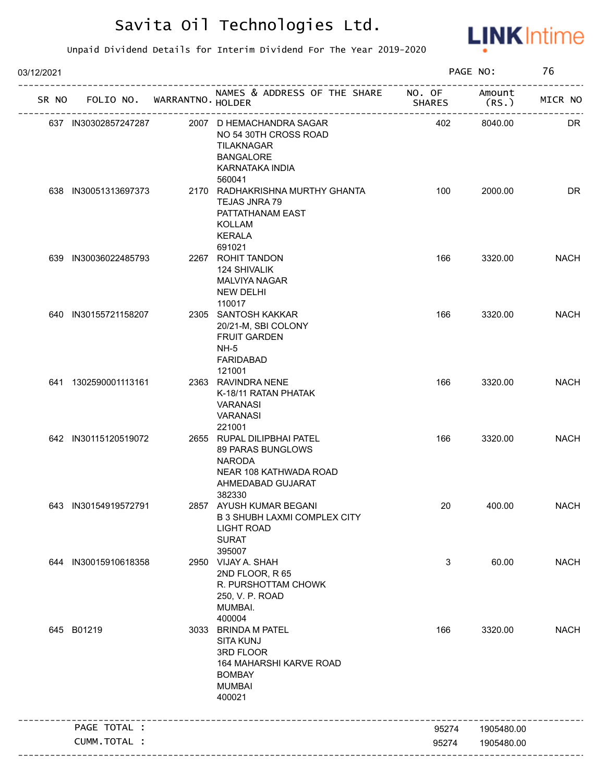

| 03/12/2021 |                             |                                                                                                                             |           | PAGE NO:       | 76          |
|------------|-----------------------------|-----------------------------------------------------------------------------------------------------------------------------|-----------|----------------|-------------|
| SR NO      | FOLIO NO. WARRANTNO. HOLDER | NAMES & ADDRESS OF THE SHARE NO. OF                                                                                         | SHARES    | Amount<br>(RS. | MICR NO     |
|            | 637 IN30302857247287        | 2007 D HEMACHANDRA SAGAR<br>NO 54 30TH CROSS ROAD<br>TILAKNAGAR<br><b>BANGALORE</b><br><b>KARNATAKA INDIA</b><br>560041     | 402       | 8040.00        | DR          |
|            | 638 IN30051313697373        | 2170 RADHAKRISHNA MURTHY GHANTA<br>TEJAS JNRA 79<br>PATTATHANAM EAST<br>KOLLAM<br><b>KERALA</b><br>691021                   | 100       | 2000.00        | DR          |
|            | 639 IN30036022485793        | 2267 ROHIT TANDON<br><b>124 SHIVALIK</b><br><b>MALVIYA NAGAR</b><br><b>NEW DELHI</b><br>110017                              | 166       | 3320.00        | <b>NACH</b> |
|            | 640 IN30155721158207        | 2305 SANTOSH KAKKAR<br>20/21-M, SBI COLONY<br><b>FRUIT GARDEN</b><br>$NH-5$<br><b>FARIDABAD</b><br>121001                   | 166       | 3320.00        | <b>NACH</b> |
|            | 641 1302590001113161        | 2363 RAVINDRA NENE<br>K-18/11 RATAN PHATAK<br>VARANASI<br><b>VARANASI</b><br>221001                                         | 166       | 3320.00        | <b>NACH</b> |
|            | 642 IN30115120519072        | 2655 RUPAL DILIPBHAI PATEL<br>89 PARAS BUNGLOWS<br><b>NARODA</b><br>NEAR 108 KATHWADA ROAD<br>AHMEDABAD GUJARAT<br>382330   | 166       | 3320.00        | <b>NACH</b> |
|            | 643 IN30154919572791        | 2857 AYUSH KUMAR BEGANI<br><b>B 3 SHUBH LAXMI COMPLEX CITY</b><br><b>LIGHT ROAD</b><br><b>SURAT</b><br>395007               | <b>20</b> | 400.00         | <b>NACH</b> |
|            | 644 IN30015910618358        | 2950 VIJAY A. SHAH<br>2ND FLOOR, R 65<br>R. PURSHOTTAM CHOWK<br>250, V. P. ROAD<br>MUMBAI.<br>400004                        | 3         | 60.00          | <b>NACH</b> |
|            | 645 B01219                  | 3033 BRINDA M PATEL<br><b>SITA KUNJ</b><br>3RD FLOOR<br>164 MAHARSHI KARVE ROAD<br><b>BOMBAY</b><br><b>MUMBAI</b><br>400021 | 166       | 3320.00        | <b>NACH</b> |
|            | PAGE TOTAL :                | --------------------------------                                                                                            | 95274     | 1905480.00     |             |
|            | CUMM.TOTAL :                |                                                                                                                             | 95274     | 1905480.00     |             |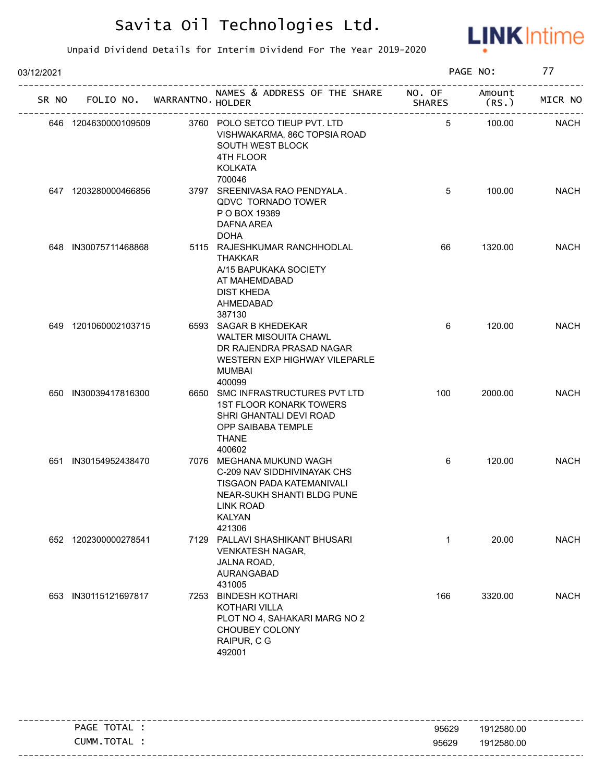

| 03/12/2021 |                             |      |                                                                                                                                                                   |                             | PAGE NO:           | 77          |
|------------|-----------------------------|------|-------------------------------------------------------------------------------------------------------------------------------------------------------------------|-----------------------------|--------------------|-------------|
| SR NO      | FOLIO NO. WARRANTNO. HOLDER |      | NAMES & ADDRESS OF THE SHARE NO. OF                                                                                                                               | <b>SHARES</b>               | Amount<br>$(RS_+)$ | MICR NO     |
|            | 646 1204630000109509        |      | 3760 POLO SETCO TIEUP PVT. LTD<br>VISHWAKARMA, 86C TOPSIA ROAD<br>SOUTH WEST BLOCK<br>4TH FLOOR<br><b>KOLKATA</b><br>700046                                       | ______________________<br>5 | 100.00             | <b>NACH</b> |
|            | 647 1203280000466856        |      | 3797 SREENIVASA RAO PENDYALA.<br><b>QDVC TORNADO TOWER</b><br>P O BOX 19389<br>DAFNA AREA<br><b>DOHA</b>                                                          | 5                           | 100.00             | <b>NACH</b> |
|            | 648 IN30075711468868        |      | 5115 RAJESHKUMAR RANCHHODLAL<br><b>THAKKAR</b><br>A/15 BAPUKAKA SOCIETY<br>AT MAHEMDABAD<br><b>DIST KHEDA</b><br>AHMEDABAD<br>387130                              | 66                          | 1320.00            | <b>NACH</b> |
|            | 649 1201060002103715        |      | 6593 SAGAR B KHEDEKAR<br><b>WALTER MISOUITA CHAWL</b><br>DR RAJENDRA PRASAD NAGAR<br>WESTERN EXP HIGHWAY VILEPARLE<br><b>MUMBAI</b><br>400099                     | 6                           | 120.00             | <b>NACH</b> |
|            | 650 IN30039417816300        |      | 6650 SMC INFRASTRUCTURES PVT LTD<br><b>1ST FLOOR KONARK TOWERS</b><br>SHRI GHANTALI DEVI ROAD<br>OPP SAIBABA TEMPLE<br>THANE<br>400602                            | 100                         | 2000.00            | <b>NACH</b> |
|            | 651 IN30154952438470        |      | 7076 MEGHANA MUKUND WAGH<br>C-209 NAV SIDDHIVINAYAK CHS<br>TISGAON PADA KATEMANIVALI<br>NEAR-SUKH SHANTI BLDG PUNE<br><b>LINK ROAD</b><br><b>KALYAN</b><br>421306 | 6                           | 120.00             | <b>NACH</b> |
|            | 652 1202300000278541        |      | 7129 PALLAVI SHASHIKANT BHUSARI<br><b>VENKATESH NAGAR,</b><br>JALNA ROAD,<br>AURANGABAD<br>431005                                                                 | $\mathbf 1$                 | 20.00              | <b>NACH</b> |
|            | 653 IN30115121697817        | 7253 | <b>BINDESH KOTHARI</b><br><b>KOTHARI VILLA</b><br>PLOT NO 4, SAHAKARI MARG NO 2<br>CHOUBEY COLONY<br>RAIPUR, C G<br>492001                                        | 166                         | 3320.00            | <b>NACH</b> |

|                |       | -----------------------           |
|----------------|-------|-----------------------------------|
| TOTAL<br>PAGE  | 95629 | 1912580.00                        |
| TOTAL<br>CUMM. | 95629 | 1912580.00                        |
|                |       | --------------------------------- |